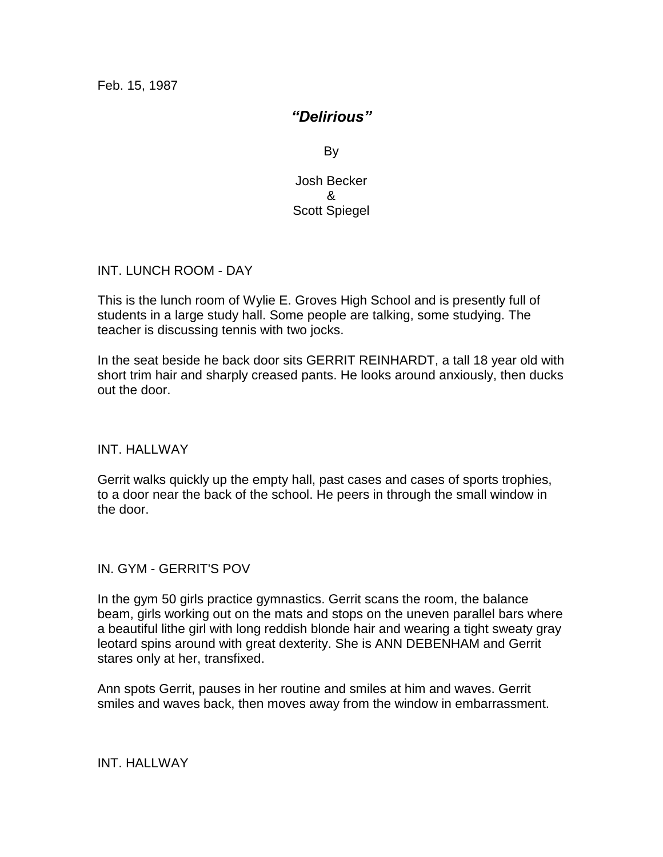Feb. 15, 1987

# *"Delirious"*

By

Josh Becker & Scott Spiegel

# INT. LUNCH ROOM - DAY

This is the lunch room of Wylie E. Groves High School and is presently full of students in a large study hall. Some people are talking, some studying. The teacher is discussing tennis with two jocks.

In the seat beside he back door sits GERRIT REINHARDT, a tall 18 year old with short trim hair and sharply creased pants. He looks around anxiously, then ducks out the door.

# INT. HALLWAY

Gerrit walks quickly up the empty hall, past cases and cases of sports trophies, to a door near the back of the school. He peers in through the small window in the door.

## IN. GYM - GERRIT'S POV

In the gym 50 girls practice gymnastics. Gerrit scans the room, the balance beam, girls working out on the mats and stops on the uneven parallel bars where a beautiful lithe girl with long reddish blonde hair and wearing a tight sweaty gray leotard spins around with great dexterity. She is ANN DEBENHAM and Gerrit stares only at her, transfixed.

Ann spots Gerrit, pauses in her routine and smiles at him and waves. Gerrit smiles and waves back, then moves away from the window in embarrassment.

INT. HALLWAY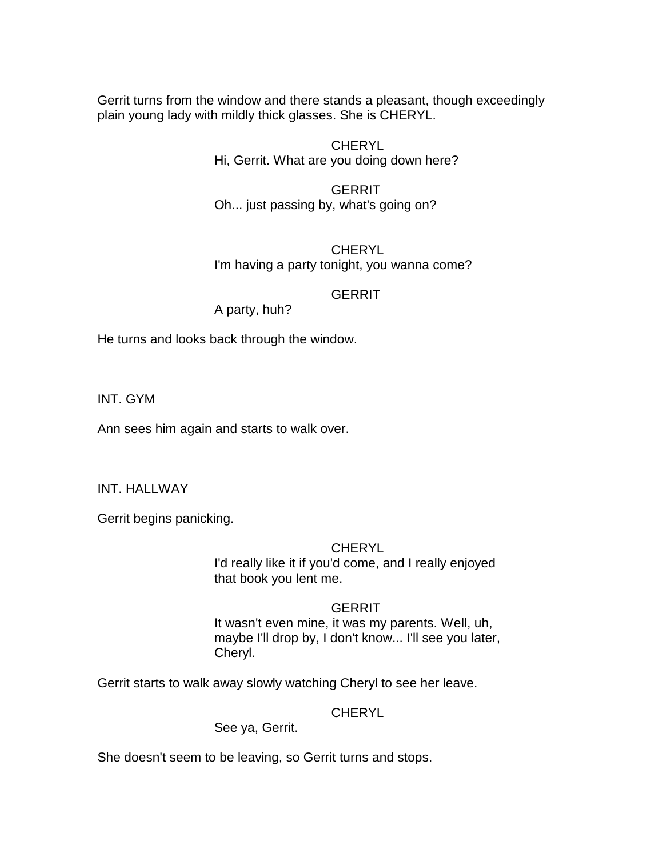Gerrit turns from the window and there stands a pleasant, though exceedingly plain young lady with mildly thick glasses. She is CHERYL.

# CHERYL Hi, Gerrit. What are you doing down here?

# **GERRIT** Oh... just passing by, what's going on?

# CHERYL I'm having a party tonight, you wanna come?

# **GERRIT**

A party, huh?

He turns and looks back through the window.

INT. GYM

Ann sees him again and starts to walk over.

INT. HALLWAY

Gerrit begins panicking.

CHERYL

I'd really like it if you'd come, and I really enjoyed that book you lent me.

# GERRIT

It wasn't even mine, it was my parents. Well, uh, maybe I'll drop by, I don't know... I'll see you later, Cheryl.

Gerrit starts to walk away slowly watching Cheryl to see her leave.

# **CHERYL**

See ya, Gerrit.

She doesn't seem to be leaving, so Gerrit turns and stops.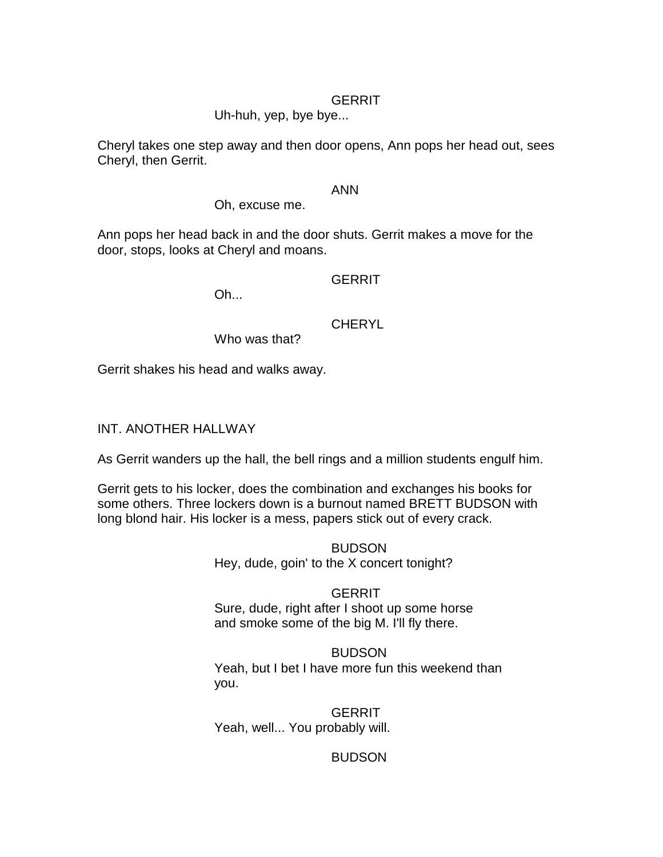## **GERRIT**

# Uh-huh, yep, bye bye...

Cheryl takes one step away and then door opens, Ann pops her head out, sees Cheryl, then Gerrit.

### ANN

Oh, excuse me.

Ann pops her head back in and the door shuts. Gerrit makes a move for the door, stops, looks at Cheryl and moans.

# **GERRIT**

Oh...

**CHERYL** 

Who was that?

Gerrit shakes his head and walks away.

# INT. ANOTHER HALLWAY

As Gerrit wanders up the hall, the bell rings and a million students engulf him.

Gerrit gets to his locker, does the combination and exchanges his books for some others. Three lockers down is a burnout named BRETT BUDSON with long blond hair. His locker is a mess, papers stick out of every crack.

> **BUDSON** Hey, dude, goin' to the X concert tonight?

# **GERRIT**

Sure, dude, right after I shoot up some horse and smoke some of the big M. I'll fly there.

# BUDSON

Yeah, but I bet I have more fun this weekend than you.

**GERRIT** Yeah, well... You probably will.

# BUDSON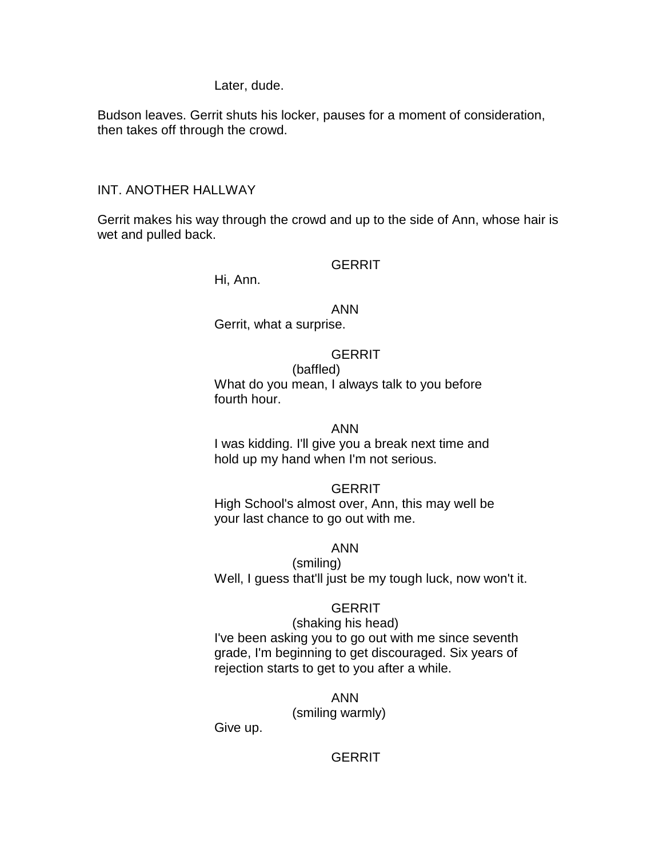Later, dude.

Budson leaves. Gerrit shuts his locker, pauses for a moment of consideration, then takes off through the crowd.

# INT. ANOTHER HALLWAY

Gerrit makes his way through the crowd and up to the side of Ann, whose hair is wet and pulled back.

## **GERRIT**

Hi, Ann.

# ANN

Gerrit, what a surprise.

#### **GERRIT**

(baffled) What do you mean, I always talk to you before fourth hour.

### ANN

I was kidding. I'll give you a break next time and hold up my hand when I'm not serious.

## **GERRIT**

High School's almost over, Ann, this may well be your last chance to go out with me.

## ANN

(smiling) Well, I guess that'll just be my tough luck, now won't it.

## **GERRIT**

## (shaking his head)

I've been asking you to go out with me since seventh grade, I'm beginning to get discouraged. Six years of rejection starts to get to you after a while.

## ANN

(smiling warmly)

Give up.

# **GERRIT**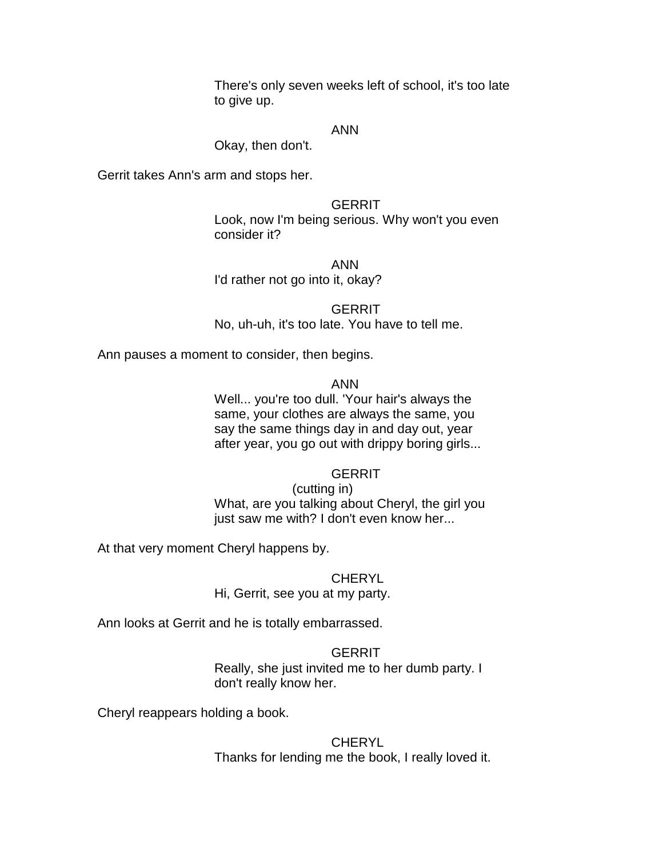There's only seven weeks left of school, it's too late to give up.

ANN

Okay, then don't.

Gerrit takes Ann's arm and stops her.

**GERRIT** 

Look, now I'm being serious. Why won't you even consider it?

ANN I'd rather not go into it, okay?

**GERRIT** No, uh-uh, it's too late. You have to tell me.

Ann pauses a moment to consider, then begins.

ANN

Well... you're too dull. 'Your hair's always the same, your clothes are always the same, you say the same things day in and day out, year after year, you go out with drippy boring girls...

## **GERRIT**

(cutting in) What, are you talking about Cheryl, the girl you just saw me with? I don't even know her...

At that very moment Cheryl happens by.

## **CHERYL**

Hi, Gerrit, see you at my party.

Ann looks at Gerrit and he is totally embarrassed.

## **GERRIT**

Really, she just invited me to her dumb party. I don't really know her.

Cheryl reappears holding a book.

# CHERYL Thanks for lending me the book, I really loved it.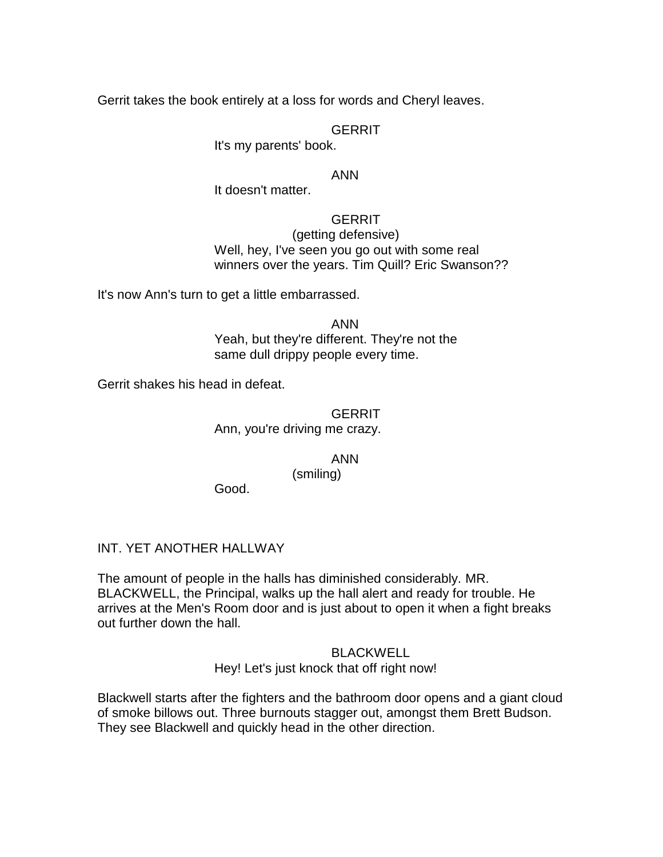Gerrit takes the book entirely at a loss for words and Cheryl leaves.

# **GERRIT**

It's my parents' book.

# ANN

It doesn't matter.

# **GERRIT** (getting defensive) Well, hey, I've seen you go out with some real winners over the years. Tim Quill? Eric Swanson??

It's now Ann's turn to get a little embarrassed.

ANN Yeah, but they're different. They're not the same dull drippy people every time.

Gerrit shakes his head in defeat.

# **GERRIT** Ann, you're driving me crazy.

ANN

(smiling)

Good.

# INT. YET ANOTHER HALLWAY

The amount of people in the halls has diminished considerably. MR. BLACKWELL, the Principal, walks up the hall alert and ready for trouble. He arrives at the Men's Room door and is just about to open it when a fight breaks out further down the hall.

## **BLACKWELL**

Hey! Let's just knock that off right now!

Blackwell starts after the fighters and the bathroom door opens and a giant cloud of smoke billows out. Three burnouts stagger out, amongst them Brett Budson. They see Blackwell and quickly head in the other direction.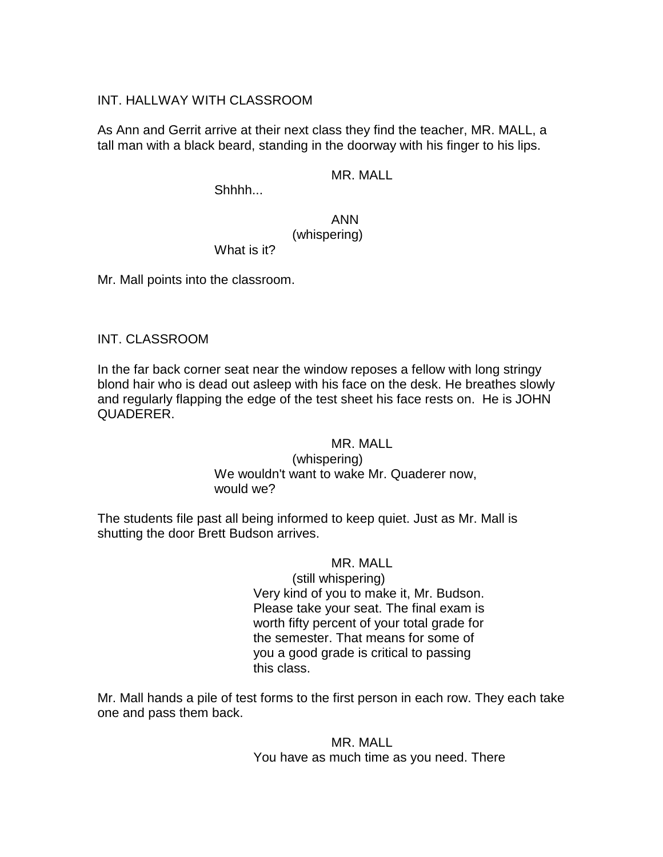# INT. HALLWAY WITH CLASSROOM

As Ann and Gerrit arrive at their next class they find the teacher, MR. MALL, a tall man with a black beard, standing in the doorway with his finger to his lips.

# MR. MALL

Shhhh...

ANN (whispering)

What is it?

Mr. Mall points into the classroom.

# INT. CLASSROOM

In the far back corner seat near the window reposes a fellow with long stringy blond hair who is dead out asleep with his face on the desk. He breathes slowly and regularly flapping the edge of the test sheet his face rests on. He is JOHN QUADERER.

## MR. MALL

### (whispering) We wouldn't want to wake Mr. Quaderer now, would we?

The students file past all being informed to keep quiet. Just as Mr. Mall is shutting the door Brett Budson arrives.

## MR. MALL

(still whispering) Very kind of you to make it, Mr. Budson. Please take your seat. The final exam is worth fifty percent of your total grade for the semester. That means for some of you a good grade is critical to passing this class.

Mr. Mall hands a pile of test forms to the first person in each row. They each take one and pass them back.

> MR. MALL You have as much time as you need. There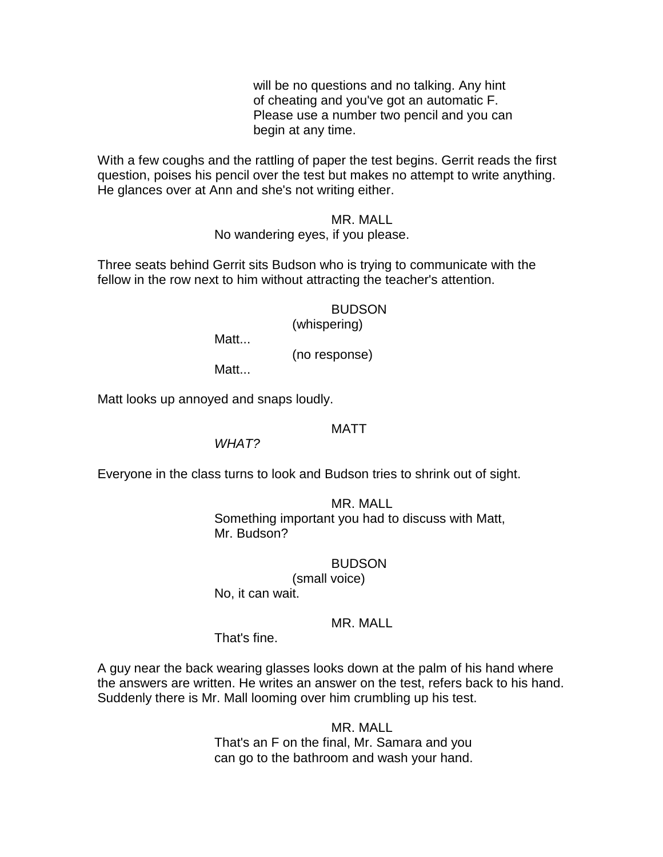will be no questions and no talking. Any hint of cheating and you've got an automatic F. Please use a number two pencil and you can begin at any time.

With a few coughs and the rattling of paper the test begins. Gerrit reads the first question, poises his pencil over the test but makes no attempt to write anything. He glances over at Ann and she's not writing either.

### MR. MALL No wandering eyes, if you please.

Three seats behind Gerrit sits Budson who is trying to communicate with the fellow in the row next to him without attracting the teacher's attention.

## BUDSON

(whispering)

Matt...

(no response)

Matt...

Matt looks up annoyed and snaps loudly.

# MATT

*WHAT?*

Everyone in the class turns to look and Budson tries to shrink out of sight.

MR. MALL

Something important you had to discuss with Matt, Mr. Budson?

BUDSON

(small voice)

No, it can wait.

## MR. MALL

That's fine.

A guy near the back wearing glasses looks down at the palm of his hand where the answers are written. He writes an answer on the test, refers back to his hand. Suddenly there is Mr. Mall looming over him crumbling up his test.

> MR. MALL That's an F on the final, Mr. Samara and you can go to the bathroom and wash your hand.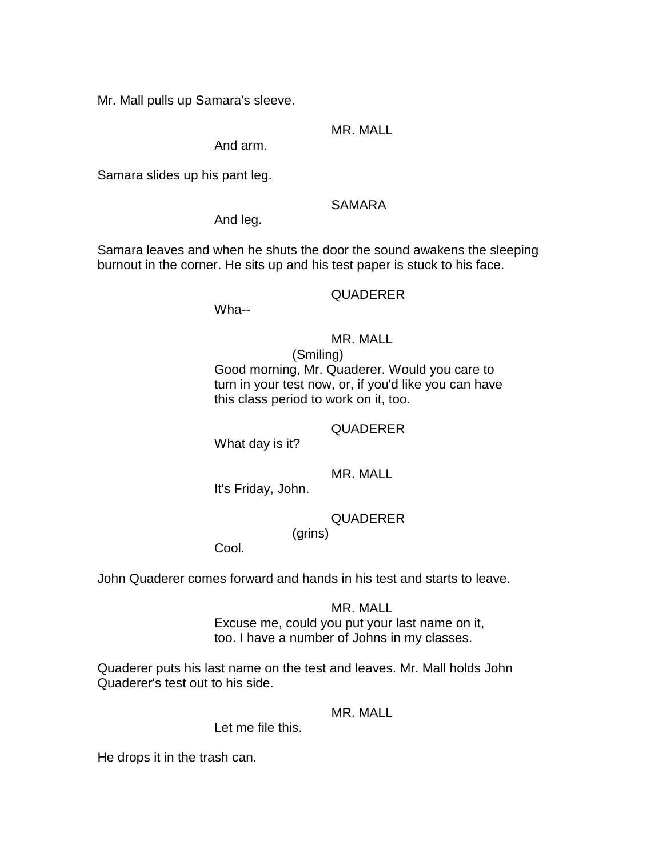Mr. Mall pulls up Samara's sleeve.

MR. MALL

And arm.

Samara slides up his pant leg.

# SAMARA

And leg.

Samara leaves and when he shuts the door the sound awakens the sleeping burnout in the corner. He sits up and his test paper is stuck to his face.

# QUADERER

Wha--

# MR. MALL

(Smiling) Good morning, Mr. Quaderer. Would you care to turn in your test now, or, if you'd like you can have this class period to work on it, too.

# QUADERER

What day is it?

MR. MALL

It's Friday, John.

# QUADERER

(grins)

Cool.

John Quaderer comes forward and hands in his test and starts to leave.

## MR. MALL

Excuse me, could you put your last name on it, too. I have a number of Johns in my classes.

Quaderer puts his last name on the test and leaves. Mr. Mall holds John Quaderer's test out to his side.

# MR. MALL

Let me file this.

He drops it in the trash can.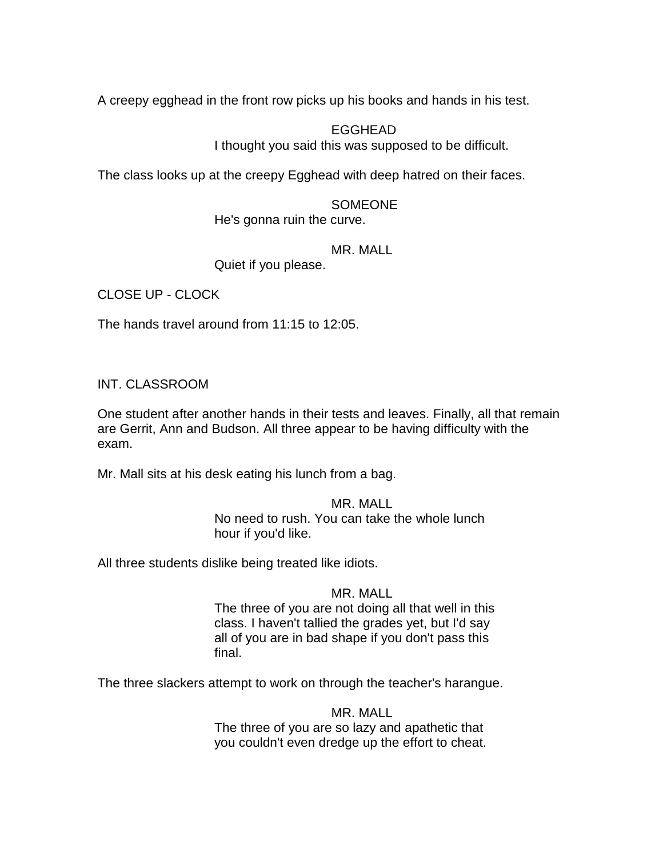A creepy egghead in the front row picks up his books and hands in his test.

# EGGHEAD

I thought you said this was supposed to be difficult.

The class looks up at the creepy Egghead with deep hatred on their faces.

# **SOMEONE**

He's gonna ruin the curve.

# MR. MALL

Quiet if you please.

CLOSE UP - CLOCK

The hands travel around from 11:15 to 12:05.

# INT. CLASSROOM

One student after another hands in their tests and leaves. Finally, all that remain are Gerrit, Ann and Budson. All three appear to be having difficulty with the exam.

Mr. Mall sits at his desk eating his lunch from a bag.

### MR. MALL No need to rush. You can take the whole lunch hour if you'd like.

All three students dislike being treated like idiots.

## MR. MALL

The three of you are not doing all that well in this class. I haven't tallied the grades yet, but I'd say all of you are in bad shape if you don't pass this final.

The three slackers attempt to work on through the teacher's harangue.

MR. MALL The three of you are so lazy and apathetic that you couldn't even dredge up the effort to cheat.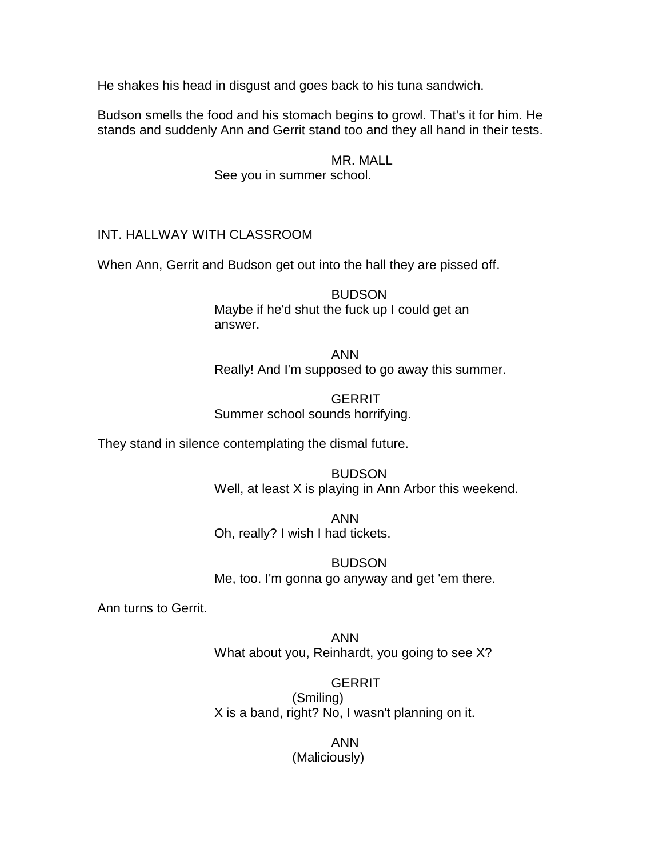He shakes his head in disgust and goes back to his tuna sandwich.

Budson smells the food and his stomach begins to growl. That's it for him. He stands and suddenly Ann and Gerrit stand too and they all hand in their tests.

> MR. MALL See you in summer school.

# INT. HALLWAY WITH CLASSROOM

When Ann, Gerrit and Budson get out into the hall they are pissed off.

BUDSON Maybe if he'd shut the fuck up I could get an answer.

ANN Really! And I'm supposed to go away this summer.

**GERRIT** Summer school sounds horrifying.

They stand in silence contemplating the dismal future.

BUDSON Well, at least X is playing in Ann Arbor this weekend.

ANN Oh, really? I wish I had tickets.

BUDSON Me, too. I'm gonna go anyway and get 'em there.

Ann turns to Gerrit.

ANN What about you, Reinhardt, you going to see X?

**GERRIT** (Smiling) X is a band, right? No, I wasn't planning on it.

> ANN (Maliciously)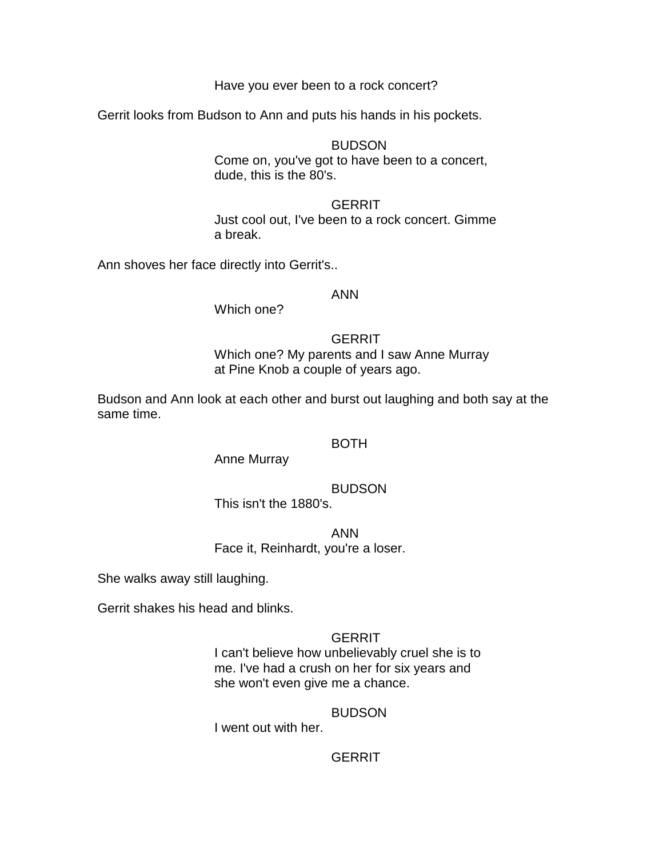Have you ever been to a rock concert?

Gerrit looks from Budson to Ann and puts his hands in his pockets.

BUDSON Come on, you've got to have been to a concert, dude, this is the 80's.

**GERRIT** Just cool out, I've been to a rock concert. Gimme a break.

Ann shoves her face directly into Gerrit's..

## ANN

Which one?

**GERRIT** 

Which one? My parents and I saw Anne Murray at Pine Knob a couple of years ago.

Budson and Ann look at each other and burst out laughing and both say at the same time.

BOTH

Anne Murray

BUDSON

This isn't the 1880's.

ANN

Face it, Reinhardt, you're a loser.

She walks away still laughing.

Gerrit shakes his head and blinks.

# **GERRIT**

I can't believe how unbelievably cruel she is to me. I've had a crush on her for six years and she won't even give me a chance.

## BUDSON

I went out with her.

# **GERRIT**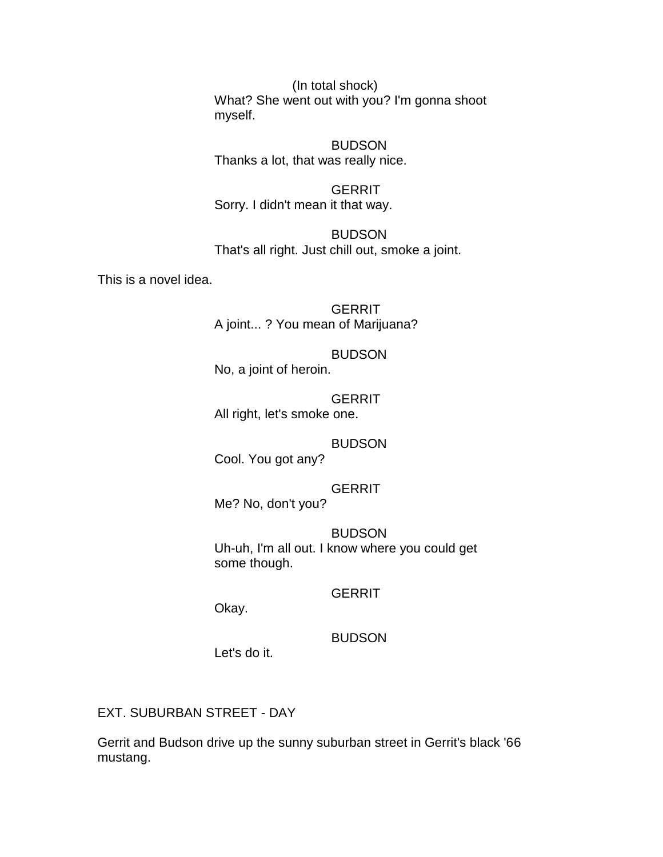(In total shock) What? She went out with you? I'm gonna shoot myself.

BUDSON Thanks a lot, that was really nice.

**GERRIT** Sorry. I didn't mean it that way.

BUDSON That's all right. Just chill out, smoke a joint.

This is a novel idea.

**GERRIT** A joint... ? You mean of Marijuana?

## BUDSON

No, a joint of heroin.

**GERRIT** All right, let's smoke one.

## BUDSON

Cool. You got any?

# **GERRIT**

Me? No, don't you?

## BUDSON

Uh-uh, I'm all out. I know where you could get some though.

# **GERRIT**

Okay.

# BUDSON

Let's do it.

EXT. SUBURBAN STREET - DAY

Gerrit and Budson drive up the sunny suburban street in Gerrit's black '66 mustang.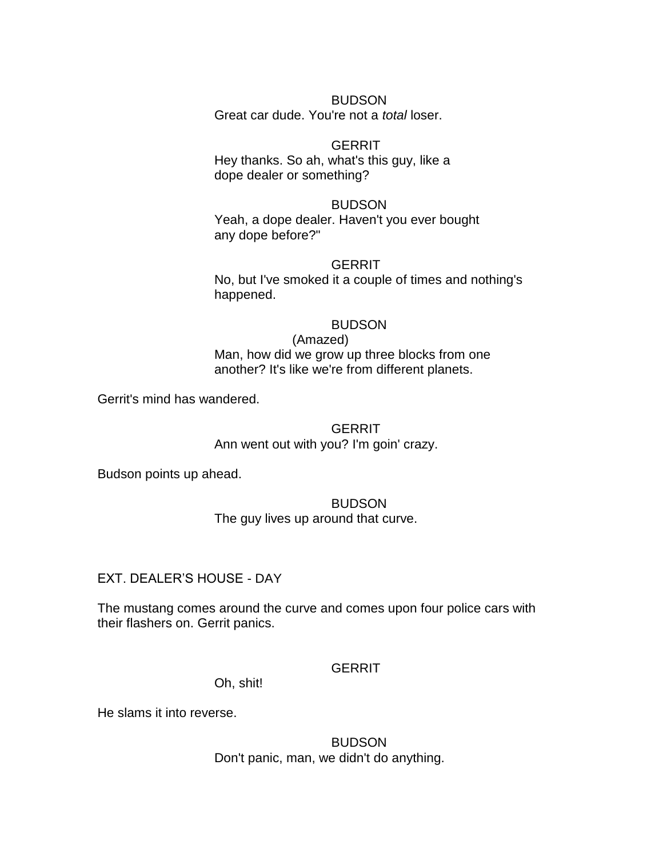#### BUDSON

Great car dude. You're not a *total* loser.

# **GERRIT**

Hey thanks. So ah, what's this guy, like a dope dealer or something?

### **BUDSON**

Yeah, a dope dealer. Haven't you ever bought any dope before?"

#### **GERRIT**

No, but I've smoked it a couple of times and nothing's happened.

### BUDSON

(Amazed) Man, how did we grow up three blocks from one another? It's like we're from different planets.

Gerrit's mind has wandered.

# **GERRIT**

Ann went out with you? I'm goin' crazy.

Budson points up ahead.

# **BUDSON**

The guy lives up around that curve.

# EXT. DEALER"S HOUSE - DAY

The mustang comes around the curve and comes upon four police cars with their flashers on. Gerrit panics.

# **GERRIT**

Oh, shit!

He slams it into reverse.

# BUDSON Don't panic, man, we didn't do anything.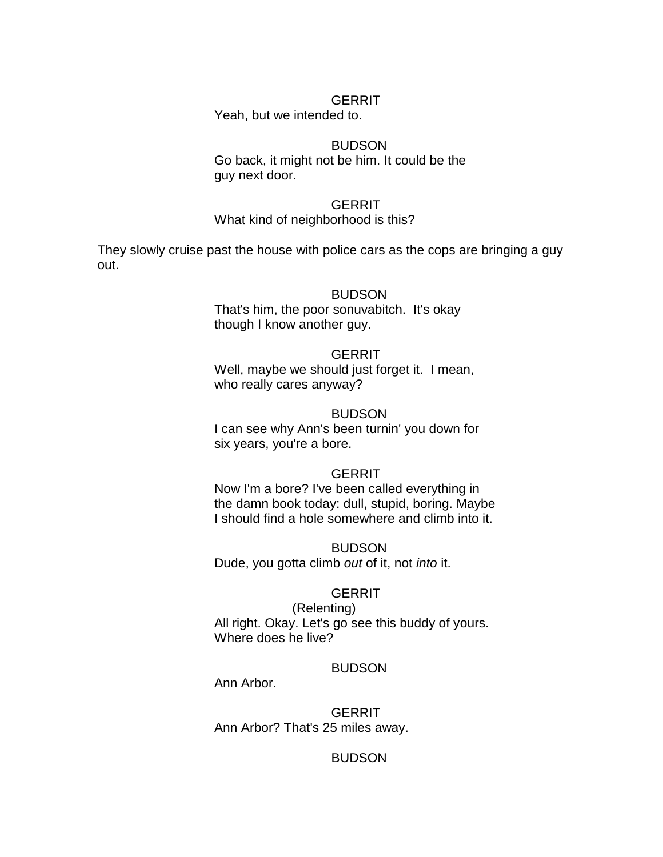### **GERRIT**

Yeah, but we intended to.

### BUDSON

Go back, it might not be him. It could be the guy next door.

### **GERRIT**

### What kind of neighborhood is this?

They slowly cruise past the house with police cars as the cops are bringing a guy out.

#### BUDSON

That's him, the poor sonuvabitch. It's okay though I know another guy.

#### **GERRIT**

Well, maybe we should just forget it. I mean, who really cares anyway?

#### BUDSON

I can see why Ann's been turnin' you down for six years, you're a bore.

### **GERRIT**

Now I'm a bore? I've been called everything in the damn book today: dull, stupid, boring. Maybe I should find a hole somewhere and climb into it.

#### BUDSON

Dude, you gotta climb *out* of it, not *into* it.

### **GERRIT**

(Relenting) All right. Okay. Let's go see this buddy of yours. Where does he live?

#### BUDSON

Ann Arbor.

**GERRIT** Ann Arbor? That's 25 miles away.

### BUDSON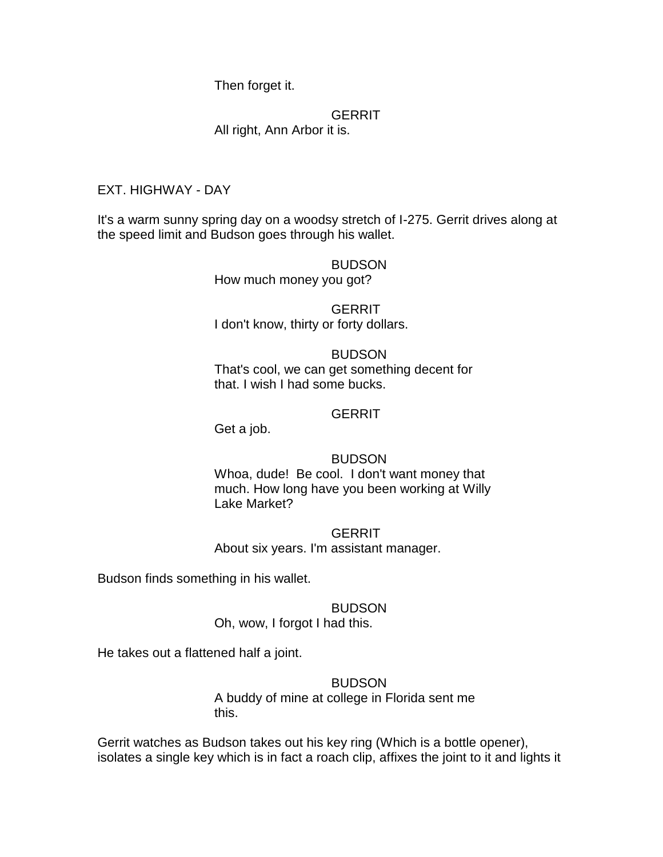Then forget it.

**GERRIT** 

All right, Ann Arbor it is.

EXT. HIGHWAY - DAY

It's a warm sunny spring day on a woodsy stretch of I-275. Gerrit drives along at the speed limit and Budson goes through his wallet.

BUDSON

How much money you got?

**GERRIT** I don't know, thirty or forty dollars.

# BUDSON

That's cool, we can get something decent for that. I wish I had some bucks.

# **GERRIT**

Get a job.

# BUDSON

Whoa, dude! Be cool. I don't want money that much. How long have you been working at Willy Lake Market?

**GERRIT** 

About six years. I'm assistant manager.

Budson finds something in his wallet.

# BUDSON

Oh, wow, I forgot I had this.

He takes out a flattened half a joint.

# BUDSON

A buddy of mine at college in Florida sent me this.

Gerrit watches as Budson takes out his key ring (Which is a bottle opener), isolates a single key which is in fact a roach clip, affixes the joint to it and lights it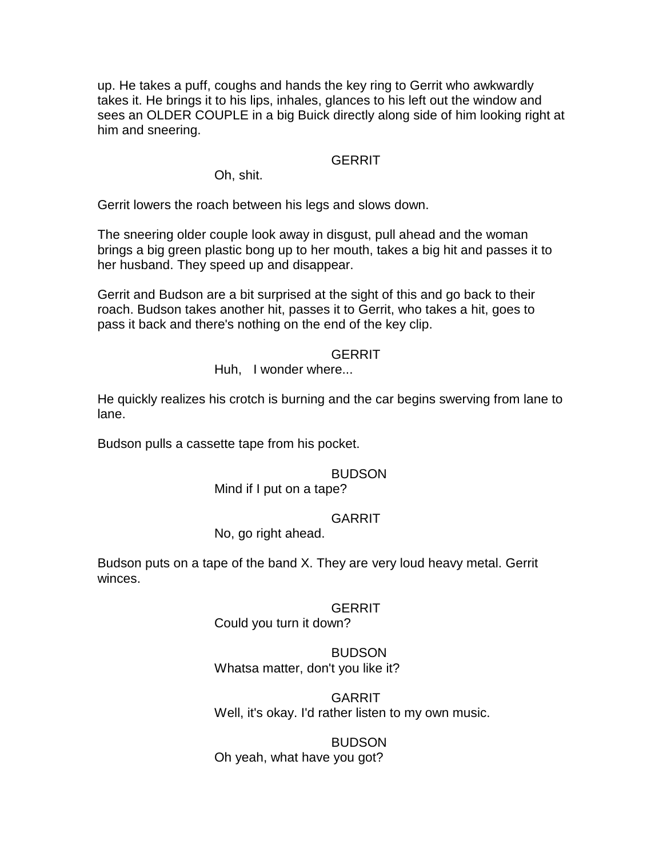up. He takes a puff, coughs and hands the key ring to Gerrit who awkwardly takes it. He brings it to his lips, inhales, glances to his left out the window and sees an OLDER COUPLE in a big Buick directly along side of him looking right at him and sneering.

### **GERRIT**

Oh, shit.

Gerrit lowers the roach between his legs and slows down.

The sneering older couple look away in disgust, pull ahead and the woman brings a big green plastic bong up to her mouth, takes a big hit and passes it to her husband. They speed up and disappear.

Gerrit and Budson are a bit surprised at the sight of this and go back to their roach. Budson takes another hit, passes it to Gerrit, who takes a hit, goes to pass it back and there's nothing on the end of the key clip.

## **GERRIT**

Huh, I wonder where...

He quickly realizes his crotch is burning and the car begins swerving from lane to lane.

Budson pulls a cassette tape from his pocket.

# BUDSON

Mind if I put on a tape?

# **GARRIT**

No, go right ahead.

Budson puts on a tape of the band X. They are very loud heavy metal. Gerrit winces.

# **GERRIT**

Could you turn it down?

# BUDSON

Whatsa matter, don't you like it?

## GARRIT

Well, it's okay. I'd rather listen to my own music.

BUDSON Oh yeah, what have you got?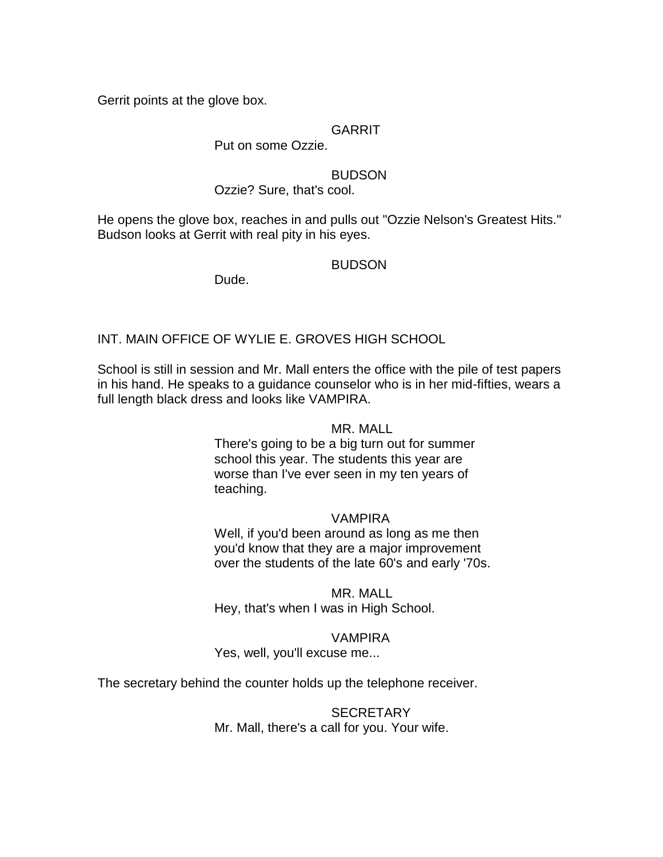Gerrit points at the glove box.

# **GARRIT**

## Put on some Ozzie.

## **BUDSON**

# Ozzie? Sure, that's cool.

He opens the glove box, reaches in and pulls out "Ozzie Nelson's Greatest Hits." Budson looks at Gerrit with real pity in his eyes.

## BUDSON

Dude.

# INT. MAIN OFFICE OF WYLIE E. GROVES HIGH SCHOOL

School is still in session and Mr. Mall enters the office with the pile of test papers in his hand. He speaks to a guidance counselor who is in her mid-fifties, wears a full length black dress and looks like VAMPIRA.

### MR. MALL

There's going to be a big turn out for summer school this year. The students this year are worse than I've ever seen in my ten years of teaching.

#### VAMPIRA

Well, if you'd been around as long as me then you'd know that they are a major improvement over the students of the late 60's and early '70s.

MR. MALL Hey, that's when I was in High School.

# VAMPIRA

### Yes, well, you'll excuse me...

The secretary behind the counter holds up the telephone receiver.

SECRETARY Mr. Mall, there's a call for you. Your wife.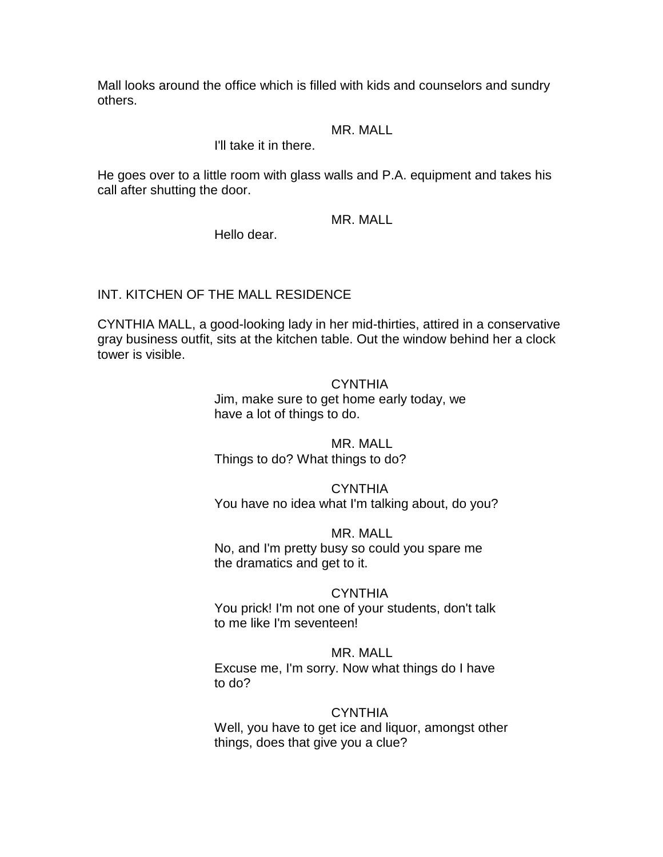Mall looks around the office which is filled with kids and counselors and sundry others.

MR. MALL

I'll take it in there.

He goes over to a little room with glass walls and P.A. equipment and takes his call after shutting the door.

MR. MALL

Hello dear.

# INT. KITCHEN OF THE MALL RESIDENCE

CYNTHIA MALL, a good-looking lady in her mid-thirties, attired in a conservative gray business outfit, sits at the kitchen table. Out the window behind her a clock tower is visible.

#### **CYNTHIA**

Jim, make sure to get home early today, we have a lot of things to do.

MR. MALL Things to do? What things to do?

**CYNTHIA** You have no idea what I'm talking about, do you?

## MR. MALL

No, and I'm pretty busy so could you spare me the dramatics and get to it.

## CYNTHIA

You prick! I'm not one of your students, don't talk to me like I'm seventeen!

## MR. MALL

Excuse me, I'm sorry. Now what things do I have to do?

# **CYNTHIA**

Well, you have to get ice and liquor, amongst other things, does that give you a clue?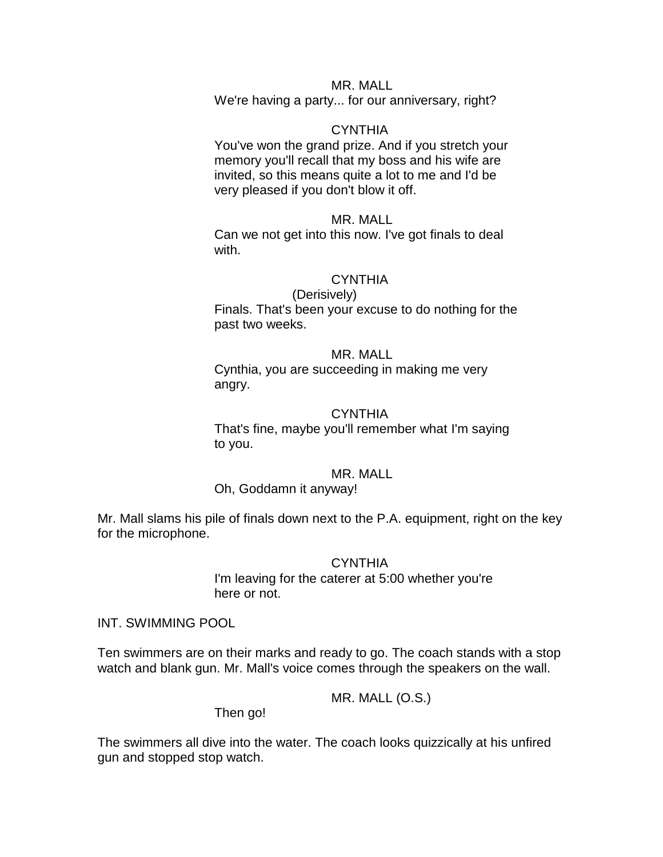### MR. MALL

We're having a party... for our anniversary, right?

#### **CYNTHIA**

You've won the grand prize. And if you stretch your memory you'll recall that my boss and his wife are invited, so this means quite a lot to me and I'd be very pleased if you don't blow it off.

## MR. MALL

Can we not get into this now. I've got finals to deal with.

# **CYNTHIA**

(Derisively) Finals. That's been your excuse to do nothing for the past two weeks.

#### MR. MALL

Cynthia, you are succeeding in making me very angry.

#### **CYNTHIA**

That's fine, maybe you'll remember what I'm saying to you.

# MR. MALL

Oh, Goddamn it anyway!

Mr. Mall slams his pile of finals down next to the P.A. equipment, right on the key for the microphone.

#### **CYNTHIA**

I'm leaving for the caterer at 5:00 whether you're here or not.

INT. SWIMMING POOL

Ten swimmers are on their marks and ready to go. The coach stands with a stop watch and blank gun. Mr. Mall's voice comes through the speakers on the wall.

MR. MALL (O.S.)

Then go!

The swimmers all dive into the water. The coach looks quizzically at his unfired gun and stopped stop watch.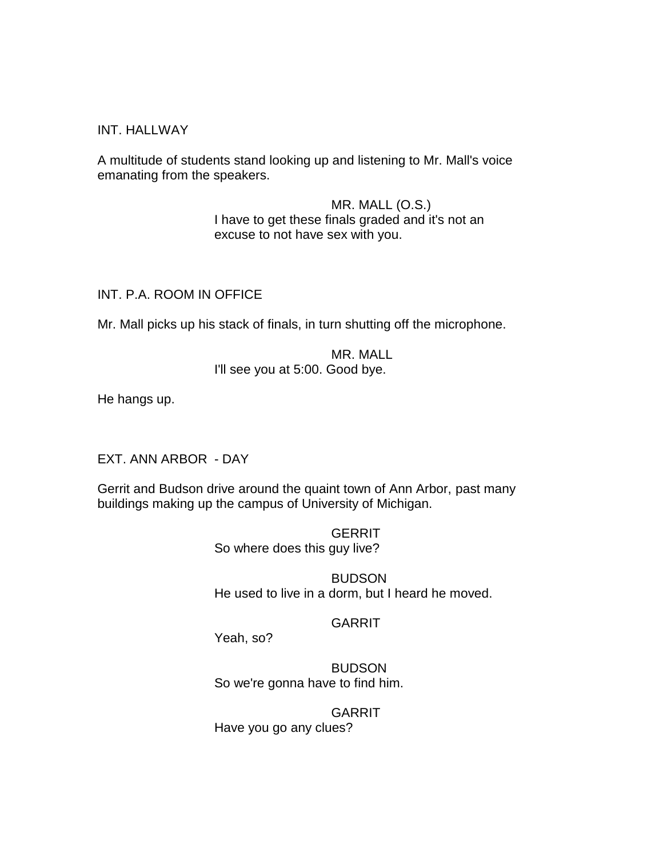## INT. HALLWAY

A multitude of students stand looking up and listening to Mr. Mall's voice emanating from the speakers.

> MR. MALL (O.S.) I have to get these finals graded and it's not an excuse to not have sex with you.

INT. P.A. ROOM IN OFFICE

Mr. Mall picks up his stack of finals, in turn shutting off the microphone.

MR. MALL I'll see you at 5:00. Good bye.

He hangs up.

EXT. ANN ARBOR - DAY

Gerrit and Budson drive around the quaint town of Ann Arbor, past many buildings making up the campus of University of Michigan.

> **GERRIT** So where does this guy live?

BUDSON He used to live in a dorm, but I heard he moved.

## GARRIT

Yeah, so?

**BUDSON** So we're gonna have to find him.

**GARRIT** Have you go any clues?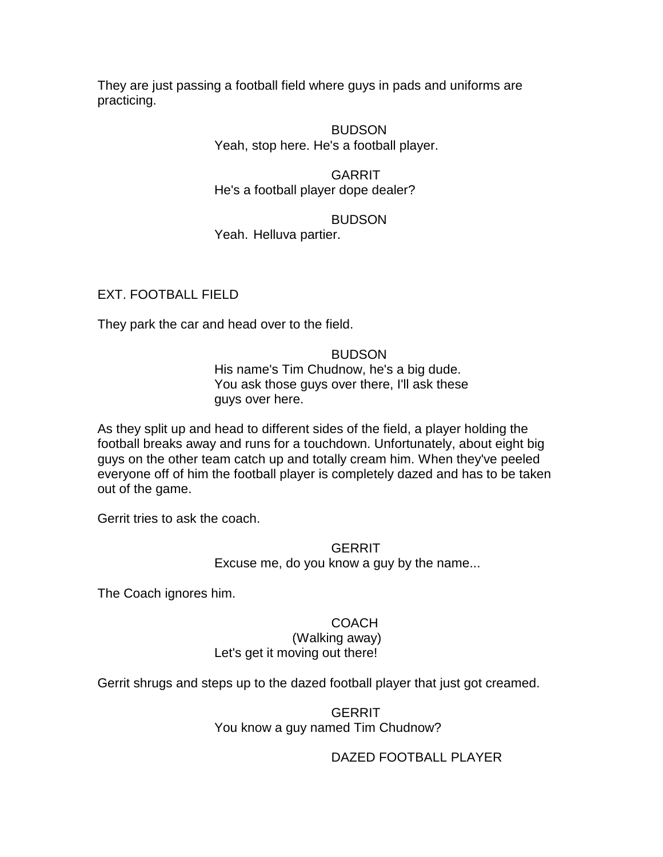They are just passing a football field where guys in pads and uniforms are practicing.

# BUDSON Yeah, stop here. He's a football player.

# GARRIT

He's a football player dope dealer?

# BUDSON

# Yeah. Helluva partier.

# EXT. FOOTBALL FIELD

They park the car and head over to the field.

## BUDSON

His name's Tim Chudnow, he's a big dude. You ask those guys over there, I'll ask these guys over here.

As they split up and head to different sides of the field, a player holding the football breaks away and runs for a touchdown. Unfortunately, about eight big guys on the other team catch up and totally cream him. When they've peeled everyone off of him the football player is completely dazed and has to be taken out of the game.

Gerrit tries to ask the coach.

# **GERRIT**

Excuse me, do you know a guy by the name...

The Coach ignores him.

# **COACH**

### (Walking away) Let's get it moving out there!

Gerrit shrugs and steps up to the dazed football player that just got creamed.

**GERRIT** You know a guy named Tim Chudnow?

# DAZED FOOTBALL PLAYER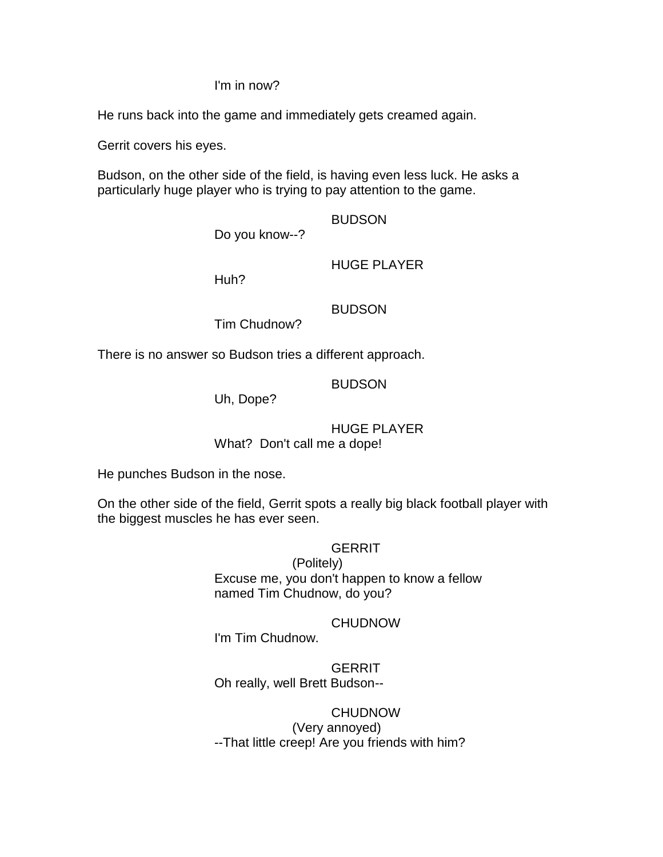# I'm in now?

He runs back into the game and immediately gets creamed again.

Gerrit covers his eyes.

Budson, on the other side of the field, is having even less luck. He asks a particularly huge player who is trying to pay attention to the game.

BUDSON

Do you know--?

HUGE PLAYER

Huh?

BUDSON

Tim Chudnow?

There is no answer so Budson tries a different approach.

BUDSON

Uh, Dope?

# HUGE PLAYER

What? Don't call me a dope!

He punches Budson in the nose.

On the other side of the field, Gerrit spots a really big black football player with the biggest muscles he has ever seen.

# **GERRIT**

(Politely) Excuse me, you don't happen to know a fellow named Tim Chudnow, do you?

## **CHUDNOW**

I'm Tim Chudnow.

**GERRIT** Oh really, well Brett Budson--

**CHUDNOW** (Very annoyed) --That little creep! Are you friends with him?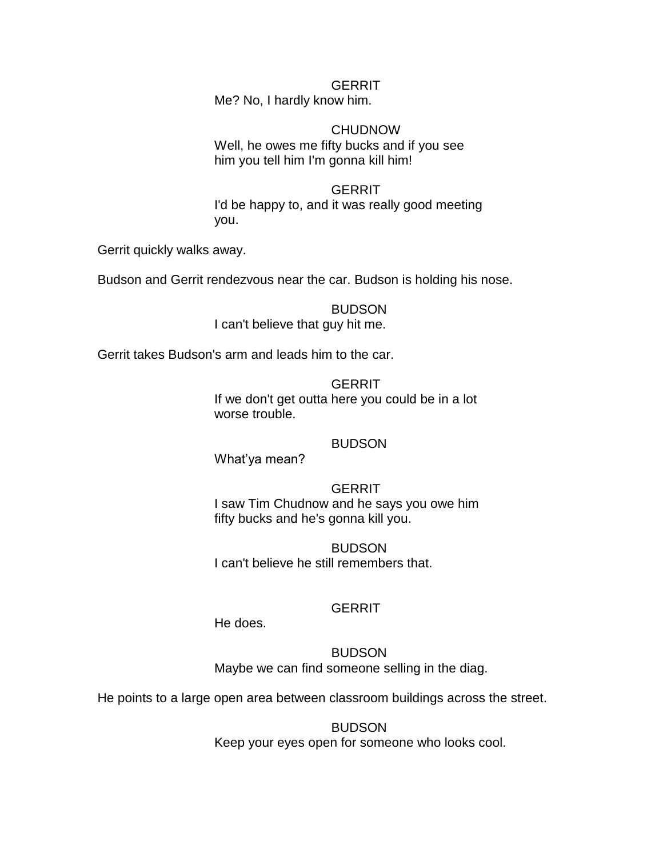#### **GERRIT**

Me? No, I hardly know him.

#### CHUDNOW

Well, he owes me fifty bucks and if you see him you tell him I'm gonna kill him!

**GERRIT** I'd be happy to, and it was really good meeting you.

Gerrit quickly walks away.

Budson and Gerrit rendezvous near the car. Budson is holding his nose.

BUDSON I can't believe that guy hit me.

Gerrit takes Budson's arm and leads him to the car.

**GERRIT** If we don't get outta here you could be in a lot worse trouble.

# BUDSON

What'ya mean?

**GERRIT** I saw Tim Chudnow and he says you owe him fifty bucks and he's gonna kill you.

**BUDSON** I can't believe he still remembers that.

## **GERRIT**

He does.

# BUDSON

Maybe we can find someone selling in the diag.

He points to a large open area between classroom buildings across the street.

BUDSON

Keep your eyes open for someone who looks cool.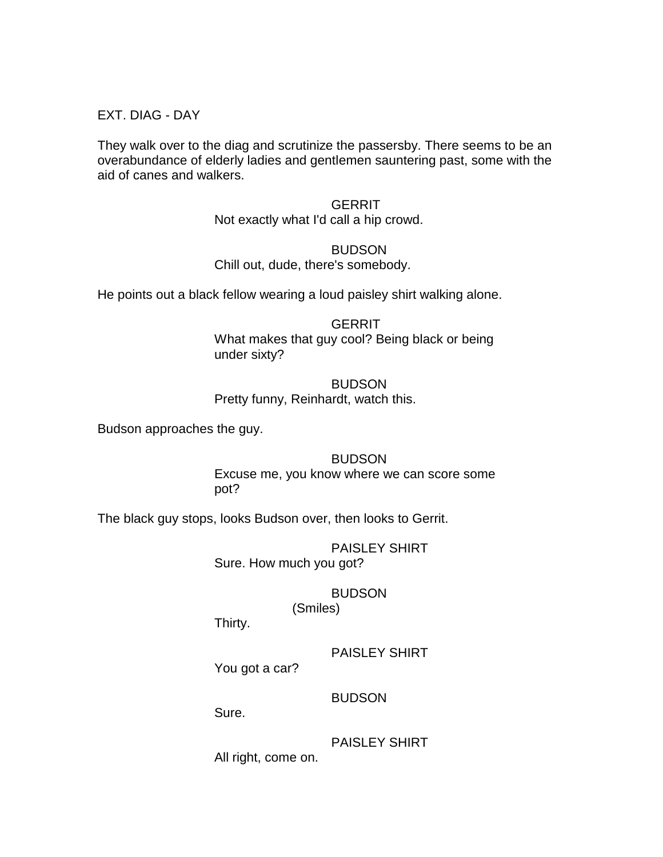EXT. DIAG - DAY

They walk over to the diag and scrutinize the passersby. There seems to be an overabundance of elderly ladies and gentlemen sauntering past, some with the aid of canes and walkers.

# **GERRIT**

Not exactly what I'd call a hip crowd.

#### **BUDSON**

Chill out, dude, there's somebody.

He points out a black fellow wearing a loud paisley shirt walking alone.

**GERRIT** What makes that guy cool? Being black or being under sixty?

#### BUDSON Pretty funny, Reinhardt, watch this.

Budson approaches the guy.

#### **BUDSON**

Excuse me, you know where we can score some pot?

The black guy stops, looks Budson over, then looks to Gerrit.

#### PAISLEY SHIRT

Sure. How much you got?

# BUDSON

# (Smiles)

Thirty.

PAISLEY SHIRT

You got a car?

**BUDSON** 

Sure.

PAISLEY SHIRT

All right, come on.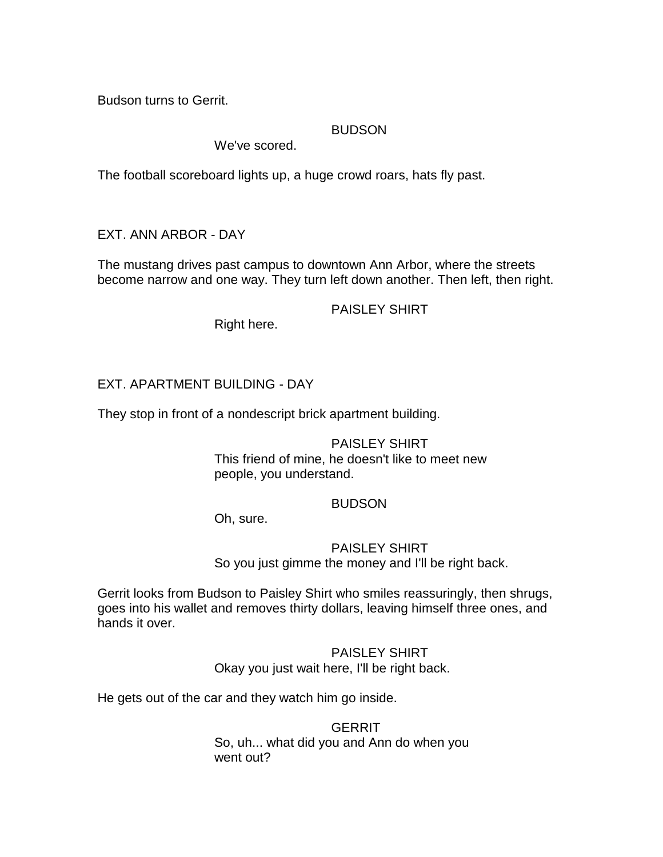Budson turns to Gerrit.

# BUDSON

# We've scored.

The football scoreboard lights up, a huge crowd roars, hats fly past.

EXT. ANN ARBOR - DAY

The mustang drives past campus to downtown Ann Arbor, where the streets become narrow and one way. They turn left down another. Then left, then right.

# PAISLEY SHIRT

Right here.

# EXT. APARTMENT BUILDING - DAY

They stop in front of a nondescript brick apartment building.

# PAISLEY SHIRT

This friend of mine, he doesn't like to meet new people, you understand.

# BUDSON

Oh, sure.

# PAISLEY SHIRT

So you just gimme the money and I'll be right back.

Gerrit looks from Budson to Paisley Shirt who smiles reassuringly, then shrugs, goes into his wallet and removes thirty dollars, leaving himself three ones, and hands it over.

# PAISLEY SHIRT

Okay you just wait here, I'll be right back.

He gets out of the car and they watch him go inside.

# **GERRIT** So, uh... what did you and Ann do when you went out?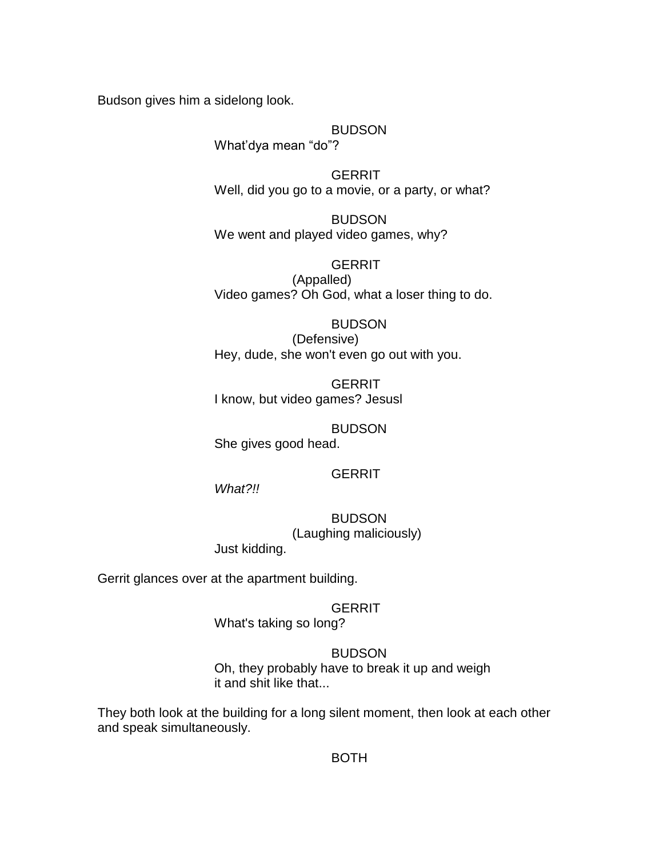Budson gives him a sidelong look.

# BUDSON

What"dya mean "do"?

**GERRIT** Well, did you go to a movie, or a party, or what?

BUDSON We went and played video games, why?

**GERRIT** (Appalled) Video games? Oh God, what a loser thing to do.

# **BUDSON**

(Defensive) Hey, dude, she won't even go out with you.

**GERRIT** I know, but video games? Jesusl

BUDSON She gives good head.

# **GERRIT**

*What?!!*

BUDSON (Laughing maliciously)

Just kidding.

Gerrit glances over at the apartment building.

## **GERRIT**

What's taking so long?

# **BUDSON**

Oh, they probably have to break it up and weigh it and shit like that...

They both look at the building for a long silent moment, then look at each other and speak simultaneously.

BOTH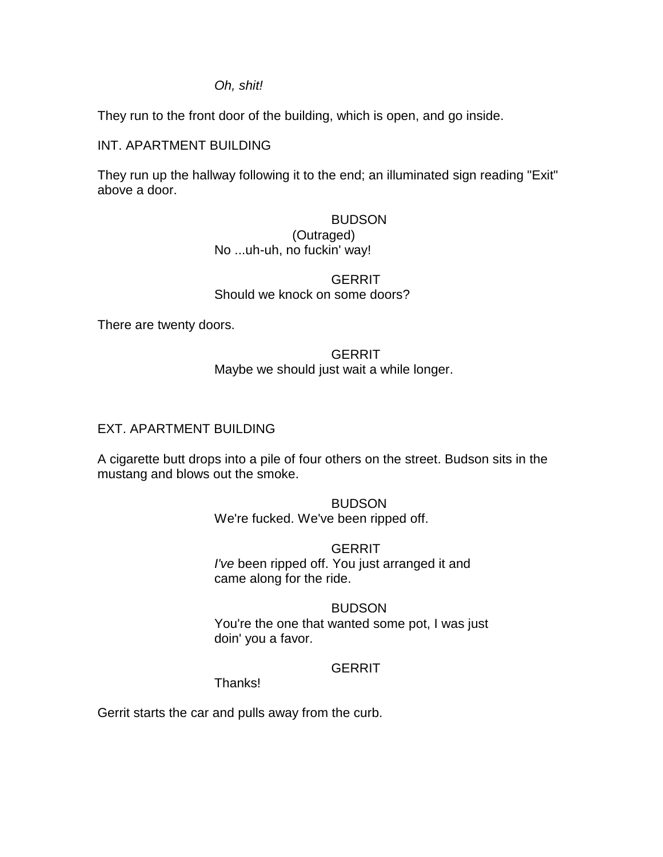*Oh, shit!*

They run to the front door of the building, which is open, and go inside.

# INT. APARTMENT BUILDING

They run up the hallway following it to the end; an illuminated sign reading "Exit" above a door.

# BUDSON (Outraged) No ...uh-uh, no fuckin' way!

# **GERRIT** Should we knock on some doors?

There are twenty doors.

# **GERRIT** Maybe we should just wait a while longer.

# EXT. APARTMENT BUILDING

A cigarette butt drops into a pile of four others on the street. Budson sits in the mustang and blows out the smoke.

# **BUDSON**

We're fucked. We've been ripped off.

## **GERRIT**

*I've* been ripped off. You just arranged it and came along for the ride.

## **BUDSON**

You're the one that wanted some pot, I was just doin' you a favor.

# **GERRIT**

Thanks!

Gerrit starts the car and pulls away from the curb.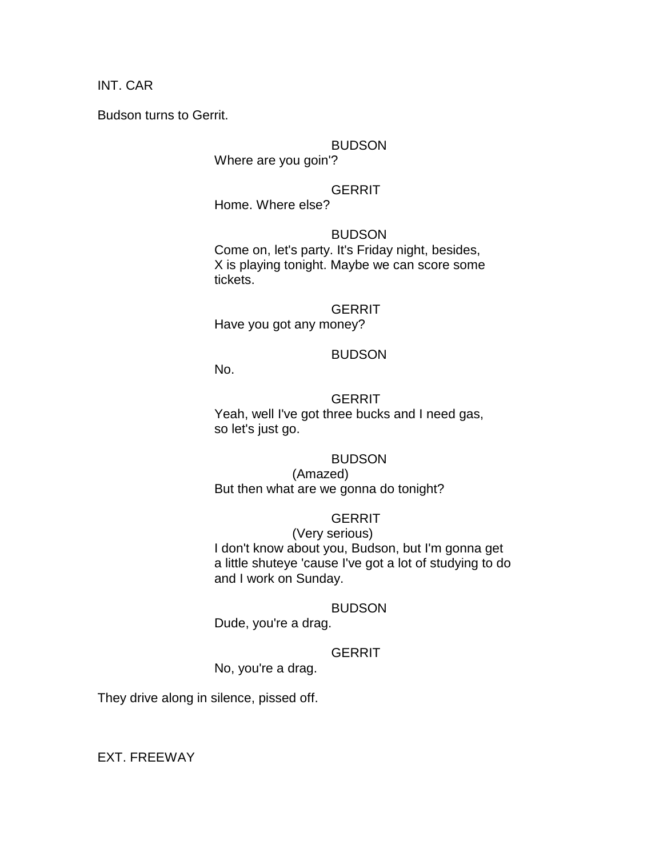INT. CAR

Budson turns to Gerrit.

#### BUDSON

Where are you goin'?

### **GERRIT**

Home. Where else?

### BUDSON

Come on, let's party. It's Friday night, besides, X is playing tonight. Maybe we can score some tickets.

### **GERRIT**

Have you got any money?

# BUDSON

No.

# **GERRIT**

Yeah, well I've got three bucks and I need gas, so let's just go.

# BUDSON

(Amazed) But then what are we gonna do tonight?

# **GERRIT**

(Very serious) I don't know about you, Budson, but I'm gonna get a little shuteye 'cause I've got a lot of studying to do and I work on Sunday.

#### BUDSON

Dude, you're a drag.

### **GERRIT**

No, you're a drag.

They drive along in silence, pissed off.

EXT. FREEWAY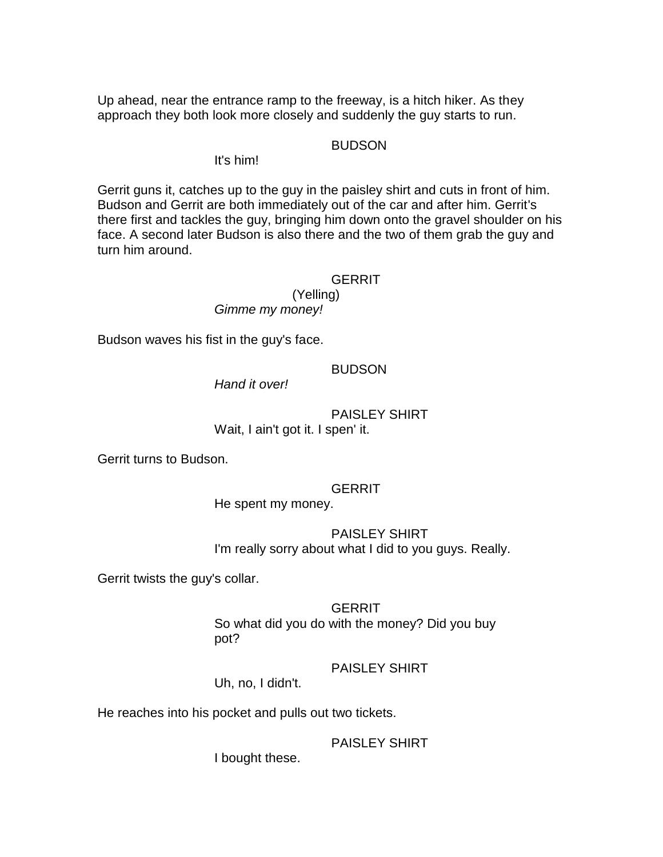Up ahead, near the entrance ramp to the freeway, is a hitch hiker. As they approach they both look more closely and suddenly the guy starts to run.

#### BUDSON

It's him!

Gerrit guns it, catches up to the guy in the paisley shirt and cuts in front of him. Budson and Gerrit are both immediately out of the car and after him. Gerrit's there first and tackles the guy, bringing him down onto the gravel shoulder on his face. A second later Budson is also there and the two of them grab the guy and turn him around.

## **GERRIT**

(Yelling) *Gimme my money!*

Budson waves his fist in the guy's face.

### BUDSON

*Hand it over!*

PAISLEY SHIRT Wait, I ain't got it. I spen' it.

Gerrit turns to Budson.

# **GERRIT**

He spent my money.

## PAISLEY SHIRT

I'm really sorry about what I did to you guys. Really.

Gerrit twists the guy's collar.

## **GERRIT**

So what did you do with the money? Did you buy pot?

# PAISLEY SHIRT

Uh, no, I didn't.

He reaches into his pocket and pulls out two tickets.

PAISLEY SHIRT

I bought these.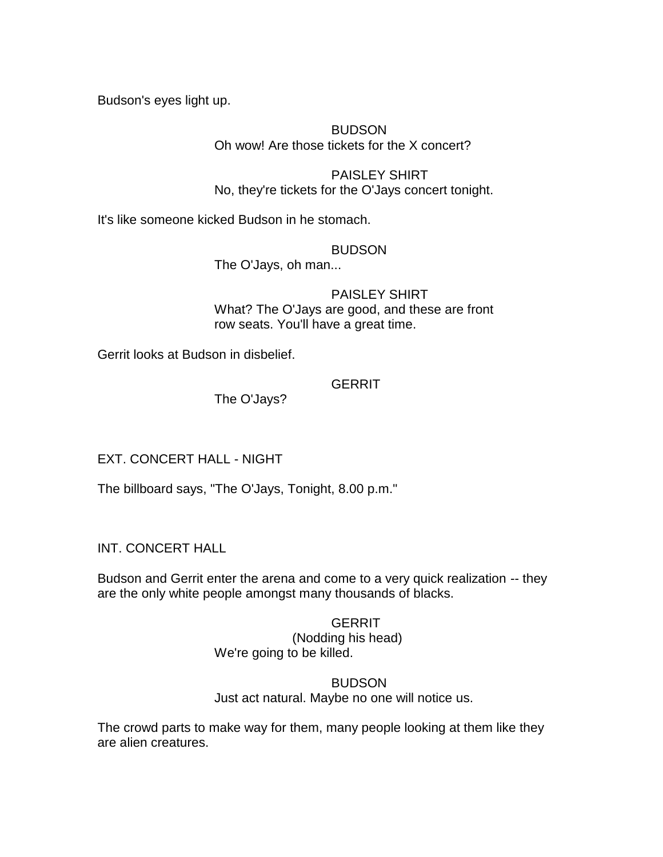Budson's eyes light up.

# BUDSON Oh wow! Are those tickets for the X concert?

PAISLEY SHIRT No, they're tickets for the O'Jays concert tonight.

It's like someone kicked Budson in he stomach.

# **BUDSON**

The O'Jays, oh man...

PAISLEY SHIRT What? The O'Jays are good, and these are front row seats. You'll have a great time.

Gerrit looks at Budson in disbelief.

# **GERRIT**

The O'Jays?

EXT. CONCERT HALL - NIGHT

The billboard says, "The O'Jays, Tonight, 8.00 p.m."

INT. CONCERT HALL

Budson and Gerrit enter the arena and come to a very quick realization -- they are the only white people amongst many thousands of blacks.

> **GERRIT** (Nodding his head) We're going to be killed.

BUDSON Just act natural. Maybe no one will notice us.

The crowd parts to make way for them, many people looking at them like they are alien creatures.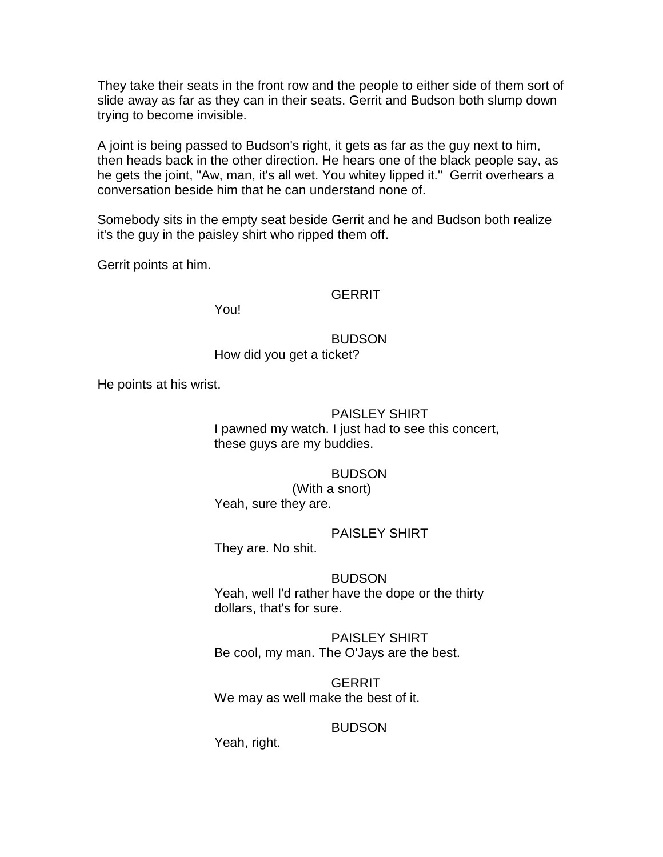They take their seats in the front row and the people to either side of them sort of slide away as far as they can in their seats. Gerrit and Budson both slump down trying to become invisible.

A joint is being passed to Budson's right, it gets as far as the guy next to him, then heads back in the other direction. He hears one of the black people say, as he gets the joint, "Aw, man, it's all wet. You whitey lipped it." Gerrit overhears a conversation beside him that he can understand none of.

Somebody sits in the empty seat beside Gerrit and he and Budson both realize it's the guy in the paisley shirt who ripped them off.

Gerrit points at him.

## **GERRIT**

You!

BUDSON How did you get a ticket?

He points at his wrist.

#### PAISLEY SHIRT

I pawned my watch. I just had to see this concert, these guys are my buddies.

#### BUDSON

(With a snort) Yeah, sure they are.

#### PAISLEY SHIRT

They are. No shit.

#### BUDSON

Yeah, well I'd rather have the dope or the thirty dollars, that's for sure.

PAISLEY SHIRT Be cool, my man. The O'Jays are the best.

**GERRIT** We may as well make the best of it.

## BUDSON

Yeah, right.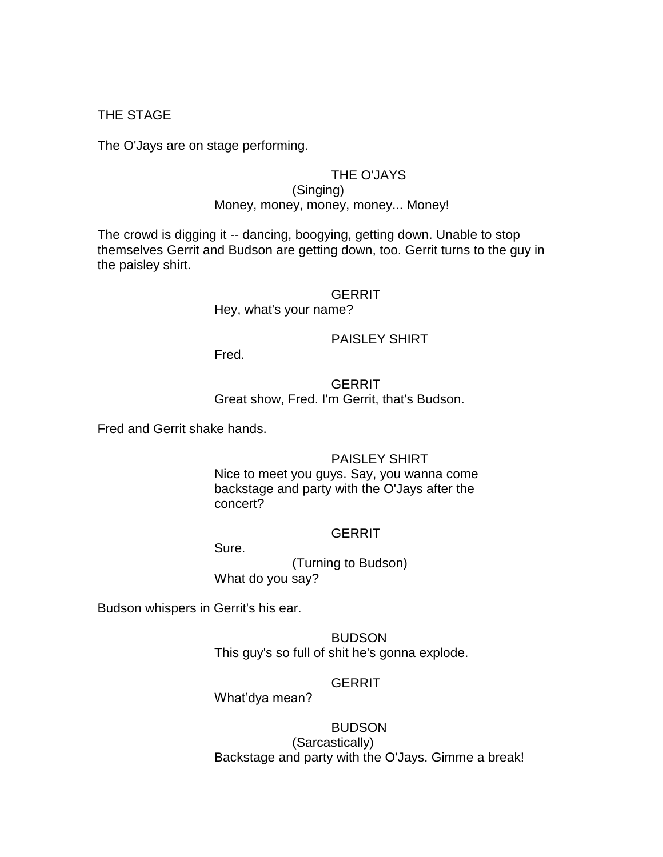## THE STAGE

The O'Jays are on stage performing.

# THE O'JAYS

#### (Singing) Money, money, money, money... Money!

The crowd is digging it -- dancing, boogying, getting down. Unable to stop themselves Gerrit and Budson are getting down, too. Gerrit turns to the guy in the paisley shirt.

#### **GERRIT**

Hey, what's your name?

# PAISLEY SHIRT

Fred.

# **GERRIT** Great show, Fred. I'm Gerrit, that's Budson.

Fred and Gerrit shake hands.

# PAISLEY SHIRT

Nice to meet you guys. Say, you wanna come backstage and party with the O'Jays after the concert?

#### **GERRIT**

Sure.

(Turning to Budson) What do you say?

Budson whispers in Gerrit's his ear.

BUDSON This guy's so full of shit he's gonna explode.

### **GERRIT**

What"dya mean?

BUDSON (Sarcastically) Backstage and party with the O'Jays. Gimme a break!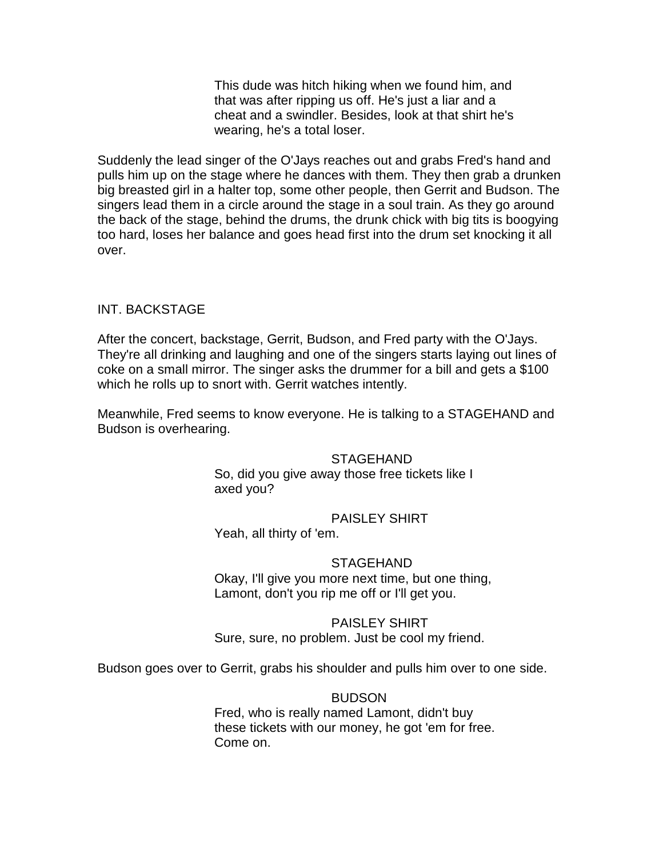This dude was hitch hiking when we found him, and that was after ripping us off. He's just a liar and a cheat and a swindler. Besides, look at that shirt he's wearing, he's a total loser.

Suddenly the lead singer of the O'Jays reaches out and grabs Fred's hand and pulls him up on the stage where he dances with them. They then grab a drunken big breasted girl in a halter top, some other people, then Gerrit and Budson. The singers lead them in a circle around the stage in a soul train. As they go around the back of the stage, behind the drums, the drunk chick with big tits is boogying too hard, loses her balance and goes head first into the drum set knocking it all over.

## INT. BACKSTAGE

After the concert, backstage, Gerrit, Budson, and Fred party with the O'Jays. They're all drinking and laughing and one of the singers starts laying out lines of coke on a small mirror. The singer asks the drummer for a bill and gets a \$100 which he rolls up to snort with. Gerrit watches intently.

Meanwhile, Fred seems to know everyone. He is talking to a STAGEHAND and Budson is overhearing.

#### **STAGEHAND**

So, did you give away those free tickets like I axed you?

### PAISLEY SHIRT

Yeah, all thirty of 'em.

#### **STAGEHAND**

Okay, I'll give you more next time, but one thing, Lamont, don't you rip me off or I'll get you.

#### PAISLEY SHIRT

Sure, sure, no problem. Just be cool my friend.

Budson goes over to Gerrit, grabs his shoulder and pulls him over to one side.

#### BUDSON

Fred, who is really named Lamont, didn't buy these tickets with our money, he got 'em for free. Come on.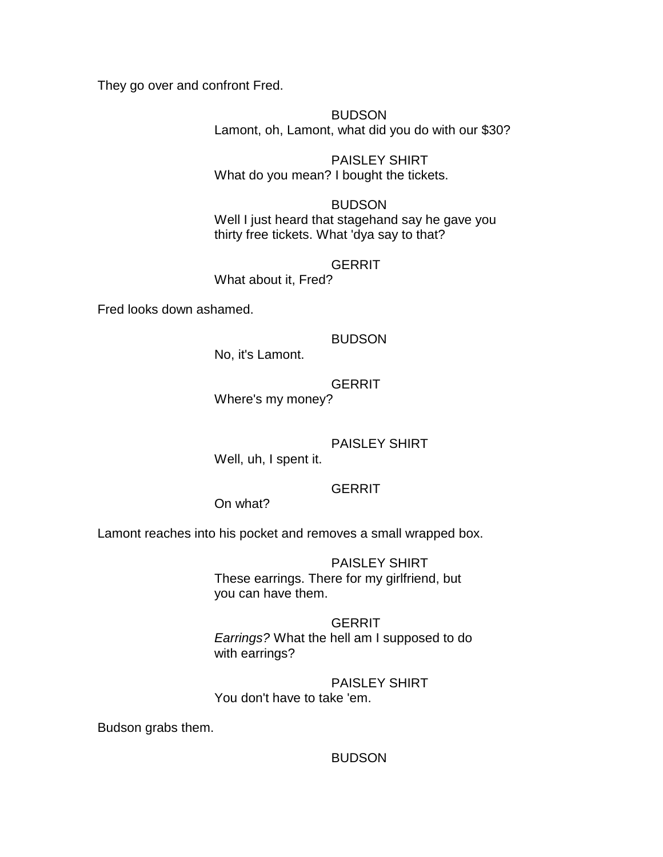They go over and confront Fred.

BUDSON Lamont, oh, Lamont, what did you do with our \$30?

PAISLEY SHIRT What do you mean? I bought the tickets.

BUDSON Well I just heard that stagehand say he gave you thirty free tickets. What 'dya say to that?

**GERRIT** 

What about it, Fred?

Fred looks down ashamed.

# BUDSON

No, it's Lamont.

**GERRIT** 

Where's my money?

# PAISLEY SHIRT

Well, uh, I spent it.

# **GERRIT**

On what?

Lamont reaches into his pocket and removes a small wrapped box.

PAISLEY SHIRT These earrings. There for my girlfriend, but you can have them.

**GERRIT** *Earrings?* What the hell am I supposed to do with earrings?

PAISLEY SHIRT You don't have to take 'em.

Budson grabs them.

BUDSON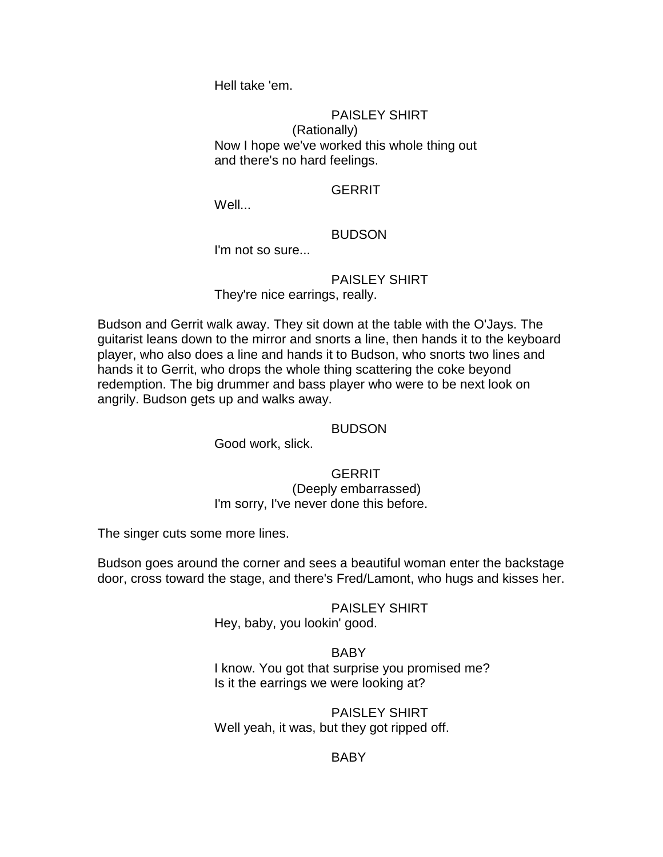Hell take 'em.

# PAISLEY SHIRT (Rationally) Now I hope we've worked this whole thing out and there's no hard feelings.

# **GERRIT**

Well...

# BUDSON

I'm not so sure...

# PAISLEY SHIRT

They're nice earrings, really.

Budson and Gerrit walk away. They sit down at the table with the O'Jays. The guitarist leans down to the mirror and snorts a line, then hands it to the keyboard player, who also does a line and hands it to Budson, who snorts two lines and hands it to Gerrit, who drops the whole thing scattering the coke beyond redemption. The big drummer and bass player who were to be next look on angrily. Budson gets up and walks away.

# BUDSON

Good work, slick.

**GERRIT** (Deeply embarrassed) I'm sorry, I've never done this before.

The singer cuts some more lines.

Budson goes around the corner and sees a beautiful woman enter the backstage door, cross toward the stage, and there's Fred/Lamont, who hugs and kisses her.

PAISLEY SHIRT

Hey, baby, you lookin' good.

## **BABY**

I know. You got that surprise you promised me? Is it the earrings we were looking at?

PAISLEY SHIRT Well yeah, it was, but they got ripped off.

BABY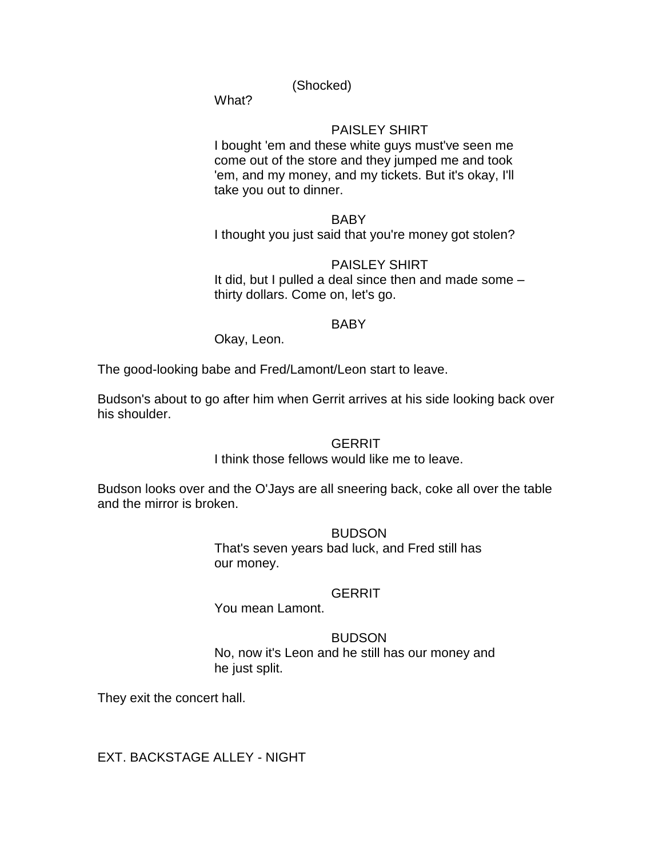## (Shocked)

What?

## PAISLEY SHIRT

I bought 'em and these white guys must've seen me come out of the store and they jumped me and took 'em, and my money, and my tickets. But it's okay, I'll take you out to dinner.

## BABY

I thought you just said that you're money got stolen?

## PAISLEY SHIRT

It did, but I pulled a deal since then and made some – thirty dollars. Come on, let's go.

## **BABY**

Okay, Leon.

The good-looking babe and Fred/Lamont/Leon start to leave.

Budson's about to go after him when Gerrit arrives at his side looking back over his shoulder.

## **GERRIT**

I think those fellows would like me to leave.

Budson looks over and the O'Jays are all sneering back, coke all over the table and the mirror is broken.

## BUDSON

That's seven years bad luck, and Fred still has our money.

## **GERRIT**

You mean Lamont.

### BUDSON

No, now it's Leon and he still has our money and he just split.

They exit the concert hall.

EXT. BACKSTAGE ALLEY - NIGHT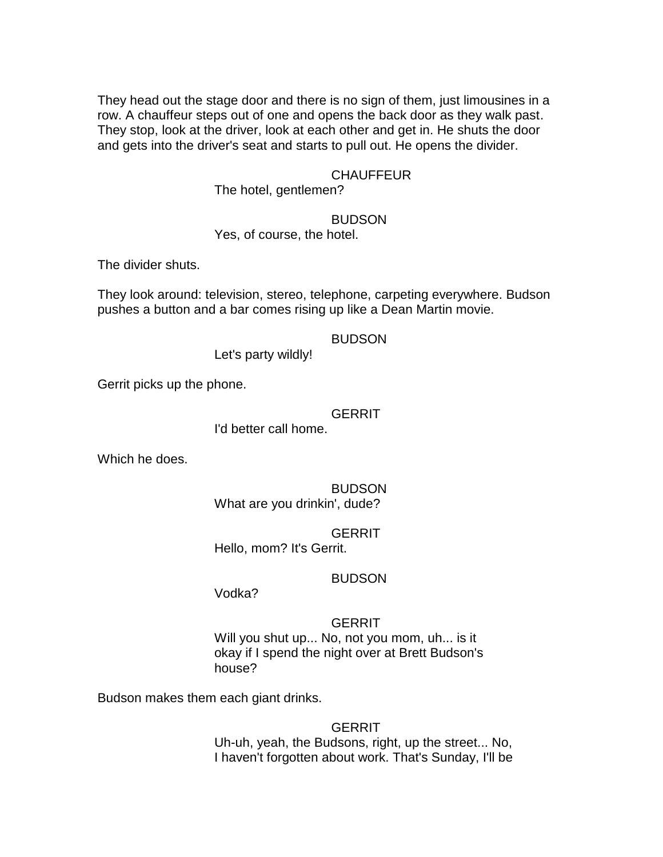They head out the stage door and there is no sign of them, just limousines in a row. A chauffeur steps out of one and opens the back door as they walk past. They stop, look at the driver, look at each other and get in. He shuts the door and gets into the driver's seat and starts to pull out. He opens the divider.

#### **CHAUFFEUR**

The hotel, gentlemen?

#### BUDSON

Yes, of course, the hotel.

The divider shuts.

They look around: television, stereo, telephone, carpeting everywhere. Budson pushes a button and a bar comes rising up like a Dean Martin movie.

#### BUDSON

Let's party wildly!

Gerrit picks up the phone.

#### **GERRIT**

I'd better call home.

Which he does.

BUDSON What are you drinkin', dude?

**GERRIT** 

Hello, mom? It's Gerrit.

#### BUDSON

Vodka?

#### **GERRIT**

Will you shut up... No, not you mom, uh... is it okay if I spend the night over at Brett Budson's house?

Budson makes them each giant drinks.

#### **GERRIT**

Uh-uh, yeah, the Budsons, right, up the street... No, I haven't forgotten about work. That's Sunday, I'll be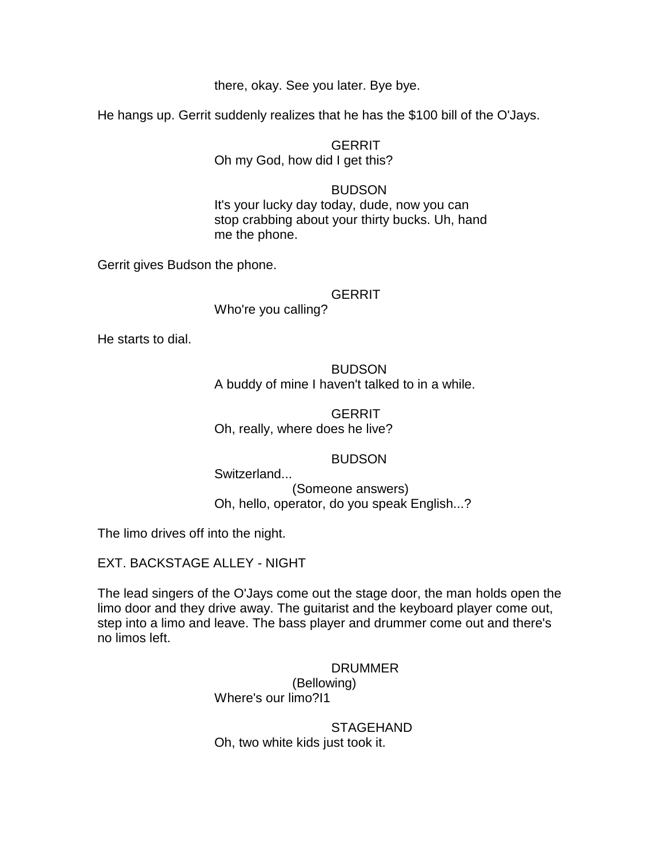there, okay. See you later. Bye bye.

He hangs up. Gerrit suddenly realizes that he has the \$100 bill of the O'Jays.

**GERRIT** Oh my God, how did I get this?

#### BUDSON

It's your lucky day today, dude, now you can stop crabbing about your thirty bucks. Uh, hand me the phone.

Gerrit gives Budson the phone.

## **GERRIT**

Who're you calling?

He starts to dial.

## BUDSON

A buddy of mine I haven't talked to in a while.

#### **GERRIT** Oh, really, where does he live?

## BUDSON

Switzerland...

(Someone answers) Oh, hello, operator, do you speak English...?

The limo drives off into the night.

EXT. BACKSTAGE ALLEY - NIGHT

The lead singers of the O'Jays come out the stage door, the man holds open the limo door and they drive away. The guitarist and the keyboard player come out, step into a limo and leave. The bass player and drummer come out and there's no limos left.

> DRUMMER (Bellowing) Where's our limo?I1

STAGEHAND Oh, two white kids just took it.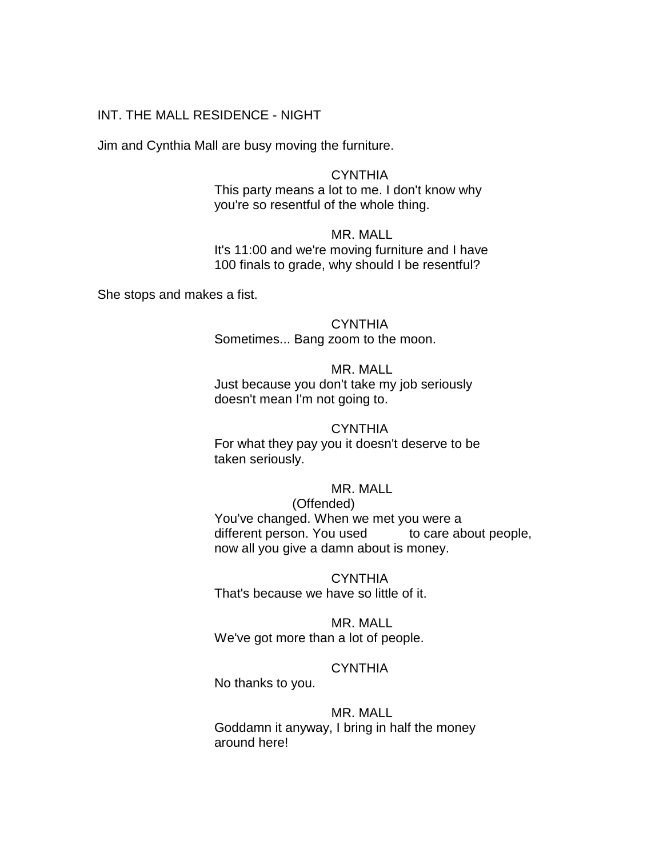## INT. THE MALL RESIDENCE - NIGHT

Jim and Cynthia Mall are busy moving the furniture.

## **CYNTHIA** This party means a lot to me. I don't know why you're so resentful of the whole thing.

## MR. MALL It's 11:00 and we're moving furniture and I have 100 finals to grade, why should I be resentful?

She stops and makes a fist.

## **CYNTHIA**

Sometimes... Bang zoom to the moon.

#### MR. MALL

Just because you don't take my job seriously doesn't mean I'm not going to.

#### **CYNTHIA**

For what they pay you it doesn't deserve to be taken seriously.

### MR. MALL

### (Offended)

You've changed. When we met you were a different person. You used to care about people, now all you give a damn about is money.

#### **CYNTHIA**

That's because we have so little of it.

#### MR. MALL

We've got more than a lot of people.

## **CYNTHIA**

No thanks to you.

#### MR. MALL

Goddamn it anyway, I bring in half the money around here!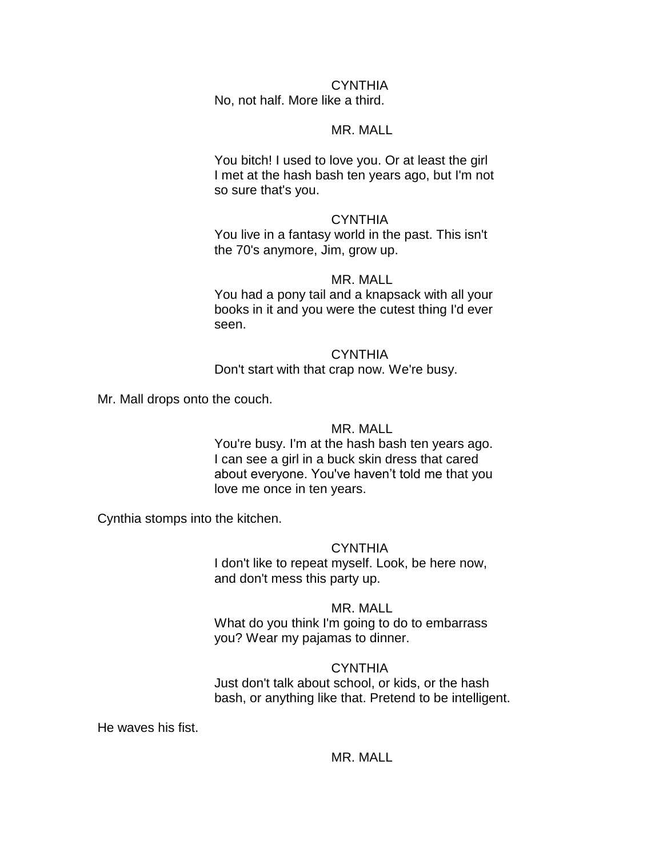#### **CYNTHIA**

No, not half. More like a third.

### MR. MALL

You bitch! I used to love you. Or at least the girl I met at the hash bash ten years ago, but I'm not so sure that's you.

#### **CYNTHIA**

You live in a fantasy world in the past. This isn't the 70's anymore, Jim, grow up.

## MR. MALL

You had a pony tail and a knapsack with all your books in it and you were the cutest thing I'd ever seen.

#### **CYNTHIA**

Don't start with that crap now. We're busy.

Mr. Mall drops onto the couch.

#### MR. MALL

You're busy. I'm at the hash bash ten years ago. I can see a girl in a buck skin dress that cared about everyone. You've haven"t told me that you love me once in ten years.

Cynthia stomps into the kitchen.

#### **CYNTHIA**

I don't like to repeat myself. Look, be here now, and don't mess this party up.

### MR. MALL

What do you think I'm going to do to embarrass you? Wear my pajamas to dinner.

### CYNTHIA

Just don't talk about school, or kids, or the hash bash, or anything like that. Pretend to be intelligent.

He waves his fist.

## MR. MALL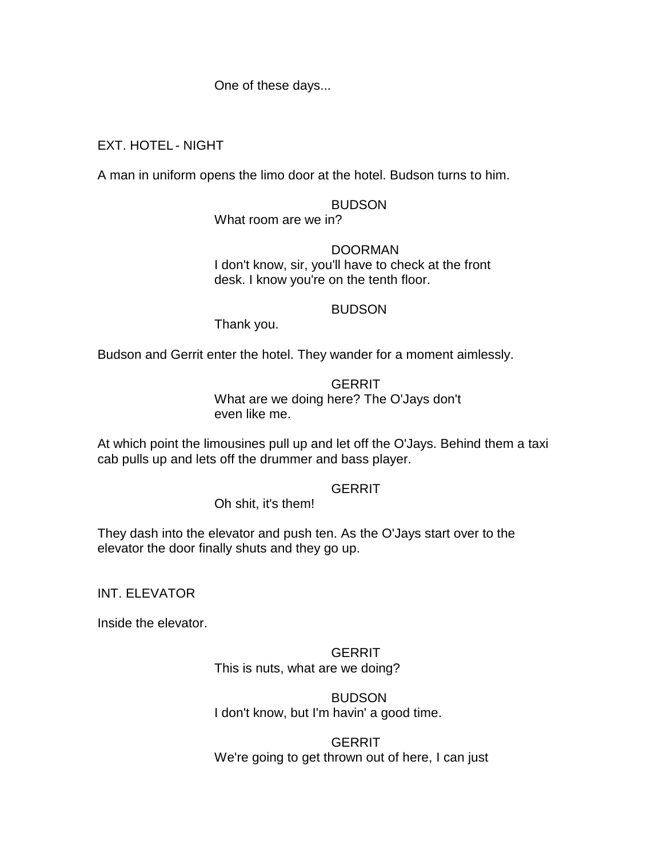One of these days...

## EXT. HOTEL - NIGHT

A man in uniform opens the limo door at the hotel. Budson turns to him.

## BUDSON

What room are we in?

### DOORMAN

I don't know, sir, you'll have to check at the front desk. I know you're on the tenth floor.

#### BUDSON

Thank you.

Budson and Gerrit enter the hotel. They wander for a moment aimlessly.

### **GERRIT**

What are we doing here? The O'Jays don't even like me.

At which point the limousines pull up and let off the O'Jays. Behind them a taxi cab pulls up and lets off the drummer and bass player.

## **GERRIT**

Oh shit, it's them!

They dash into the elevator and push ten. As the O'Jays start over to the elevator the door finally shuts and they go up.

### INT. ELEVATOR

Inside the elevator.

# **GERRIT**

This is nuts, what are we doing?

#### **BUDSON** I don't know, but I'm havin' a good time.

**GERRIT** We're going to get thrown out of here, I can just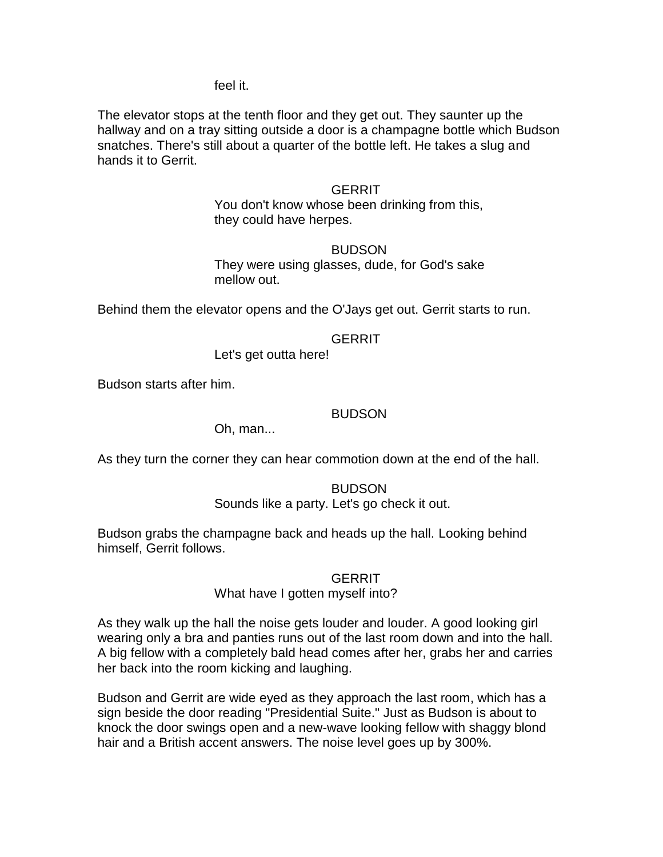feel it.

The elevator stops at the tenth floor and they get out. They saunter up the hallway and on a tray sitting outside a door is a champagne bottle which Budson snatches. There's still about a quarter of the bottle left. He takes a slug and hands it to Gerrit.

## **GERRIT**

You don't know whose been drinking from this, they could have herpes.

## **BUDSON**

They were using glasses, dude, for God's sake mellow out.

Behind them the elevator opens and the O'Jays get out. Gerrit starts to run.

## **GERRIT**

Let's get outta here!

Budson starts after him.

## BUDSON

Oh, man...

As they turn the corner they can hear commotion down at the end of the hall.

### BUDSON

## Sounds like a party. Let's go check it out.

Budson grabs the champagne back and heads up the hall. Looking behind himself, Gerrit follows.

## **GERRIT**

## What have I gotten myself into?

As they walk up the hall the noise gets louder and louder. A good looking girl wearing only a bra and panties runs out of the last room down and into the hall. A big fellow with a completely bald head comes after her, grabs her and carries her back into the room kicking and laughing.

Budson and Gerrit are wide eyed as they approach the last room, which has a sign beside the door reading "Presidential Suite." Just as Budson is about to knock the door swings open and a new-wave looking fellow with shaggy blond hair and a British accent answers. The noise level goes up by 300%.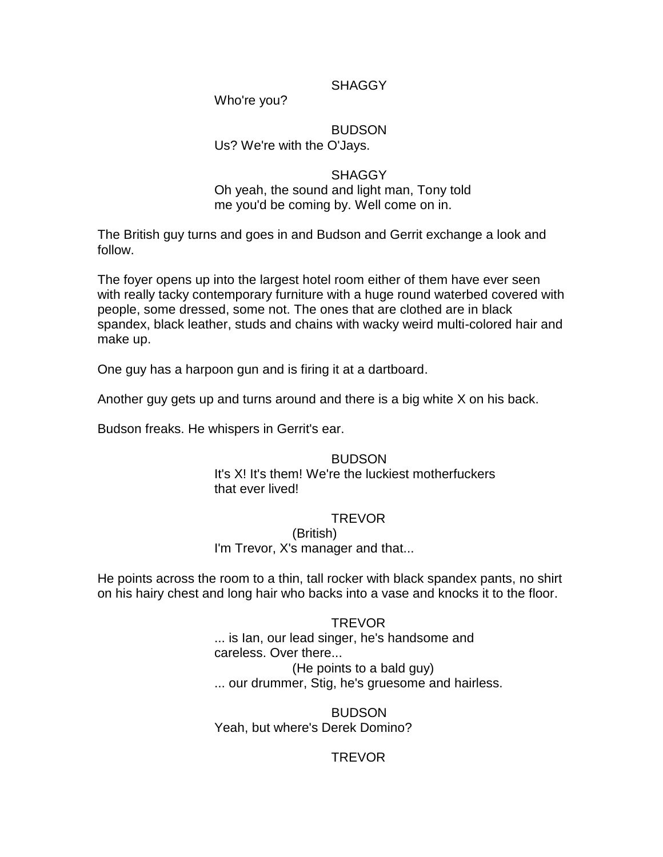## **SHAGGY**

Who're you?

## BUDSON

## Us? We're with the O'Jays.

## **SHAGGY**

Oh yeah, the sound and light man, Tony told me you'd be coming by. Well come on in.

The British guy turns and goes in and Budson and Gerrit exchange a look and follow.

The foyer opens up into the largest hotel room either of them have ever seen with really tacky contemporary furniture with a huge round waterbed covered with people, some dressed, some not. The ones that are clothed are in black spandex, black leather, studs and chains with wacky weird multi-colored hair and make up.

One guy has a harpoon gun and is firing it at a dartboard.

Another guy gets up and turns around and there is a big white X on his back.

Budson freaks. He whispers in Gerrit's ear.

### BUDSON

It's X! It's them! We're the luckiest motherfuckers that ever lived!

## TREVOR

(British)

I'm Trevor, X's manager and that...

He points across the room to a thin, tall rocker with black spandex pants, no shirt on his hairy chest and long hair who backs into a vase and knocks it to the floor.

### TREVOR

... is Ian, our lead singer, he's handsome and careless. Over there...

(He points to a bald guy) ... our drummer, Stig, he's gruesome and hairless.

BUDSON Yeah, but where's Derek Domino?

## TREVOR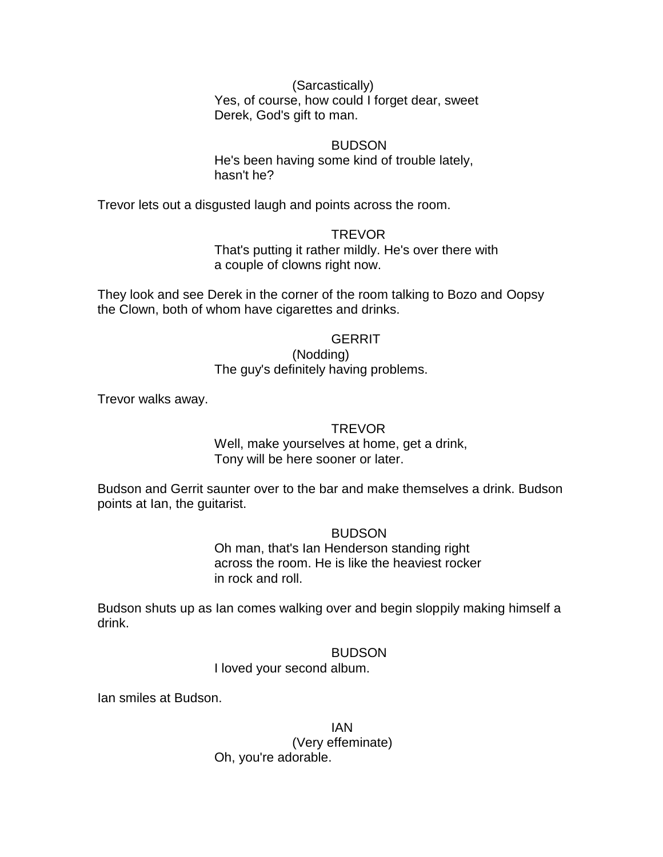(Sarcastically) Yes, of course, how could I forget dear, sweet Derek, God's gift to man.

BUDSON He's been having some kind of trouble lately, hasn't he?

Trevor lets out a disgusted laugh and points across the room.

### **TREVOR** That's putting it rather mildly. He's over there with a couple of clowns right now.

They look and see Derek in the corner of the room talking to Bozo and Oopsy the Clown, both of whom have cigarettes and drinks.

## **GERRIT**

(Nodding) The guy's definitely having problems.

Trevor walks away.

## **TREVOR**

Well, make yourselves at home, get a drink, Tony will be here sooner or later.

Budson and Gerrit saunter over to the bar and make themselves a drink. Budson points at Ian, the guitarist.

## BUDSON

Oh man, that's Ian Henderson standing right across the room. He is like the heaviest rocker in rock and roll.

Budson shuts up as Ian comes walking over and begin sloppily making himself a drink.

## BUDSON

I loved your second album.

Ian smiles at Budson.

IAN (Very effeminate) Oh, you're adorable.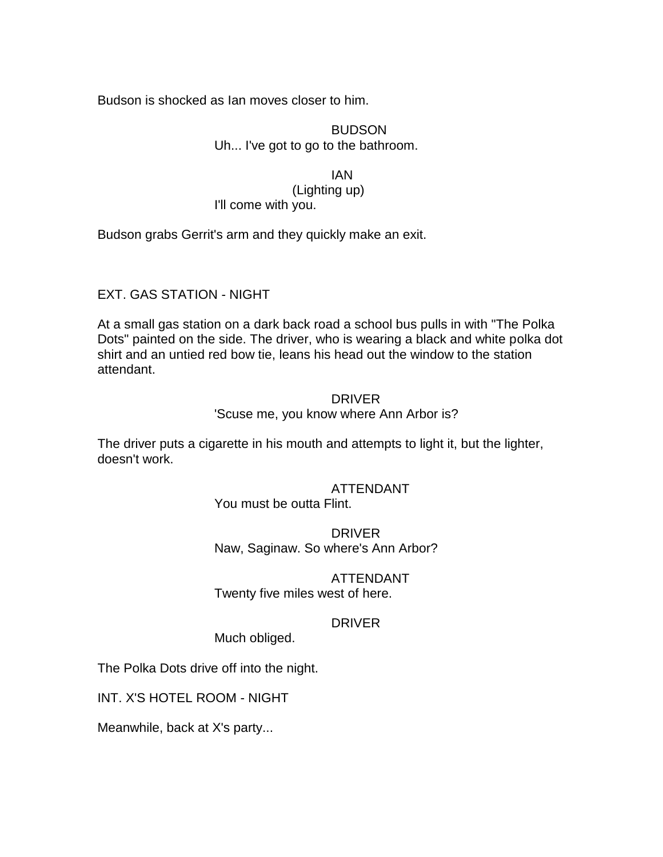Budson is shocked as Ian moves closer to him.

## BUDSON Uh... I've got to go to the bathroom.

#### IAN

#### (Lighting up) I'll come with you.

Budson grabs Gerrit's arm and they quickly make an exit.

## EXT. GAS STATION - NIGHT

At a small gas station on a dark back road a school bus pulls in with "The Polka Dots" painted on the side. The driver, who is wearing a black and white polka dot shirt and an untied red bow tie, leans his head out the window to the station attendant.

## DRIVER

'Scuse me, you know where Ann Arbor is?

The driver puts a cigarette in his mouth and attempts to light it, but the lighter, doesn't work.

## ATTENDANT

You must be outta Flint.

DRIVER Naw, Saginaw. So where's Ann Arbor?

## ATTENDANT

Twenty five miles west of here.

## DRIVER

Much obliged.

The Polka Dots drive off into the night.

INT. X'S HOTEL ROOM - NIGHT

Meanwhile, back at X's party...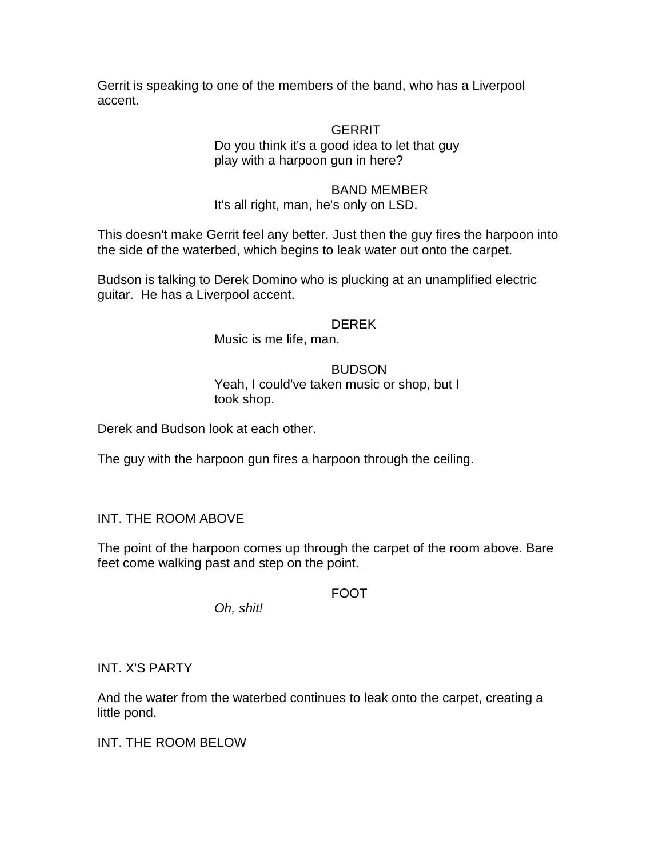Gerrit is speaking to one of the members of the band, who has a Liverpool accent.

### **GERRIT**

## Do you think it's a good idea to let that guy play with a harpoon gun in here?

#### BAND MEMBER

It's all right, man, he's only on LSD.

This doesn't make Gerrit feel any better. Just then the guy fires the harpoon into the side of the waterbed, which begins to leak water out onto the carpet.

Budson is talking to Derek Domino who is plucking at an unamplified electric guitar. He has a Liverpool accent.

#### DEREK

Music is me life, man.

#### BUDSON

Yeah, I could've taken music or shop, but I took shop.

Derek and Budson look at each other.

The guy with the harpoon gun fires a harpoon through the ceiling.

### INT. THE ROOM ABOVE

The point of the harpoon comes up through the carpet of the room above. Bare feet come walking past and step on the point.

FOOT

*Oh, shit!*

## INT. X'S PARTY

And the water from the waterbed continues to leak onto the carpet, creating a little pond.

INT. THE ROOM BELOW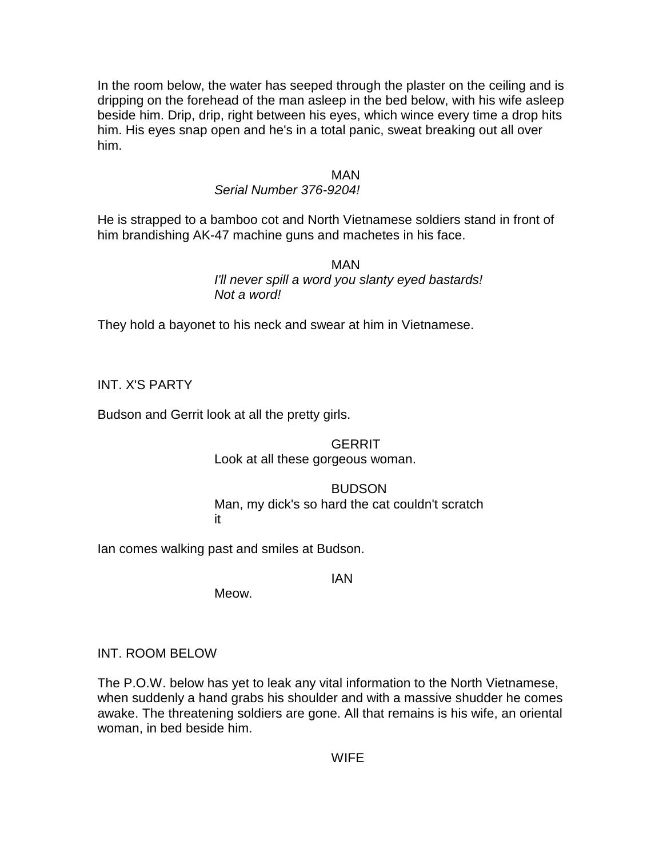In the room below, the water has seeped through the plaster on the ceiling and is dripping on the forehead of the man asleep in the bed below, with his wife asleep beside him. Drip, drip, right between his eyes, which wince every time a drop hits him. His eyes snap open and he's in a total panic, sweat breaking out all over him.

#### MAN

#### *Serial Number 376-9204!*

He is strapped to a bamboo cot and North Vietnamese soldiers stand in front of him brandishing AK-47 machine guns and machetes in his face.

# MAN

*I'll never spill a word you slanty eyed bastards! Not a word!*

They hold a bayonet to his neck and swear at him in Vietnamese.

### INT. X'S PARTY

Budson and Gerrit look at all the pretty girls.

# **GERRIT**

Look at all these gorgeous woman.

#### BUDSON Man, my dick's so hard the cat couldn't scratch it

Ian comes walking past and smiles at Budson.

## IAN

Meow.

## INT. ROOM BELOW

The P.O.W. below has yet to leak any vital information to the North Vietnamese, when suddenly a hand grabs his shoulder and with a massive shudder he comes awake. The threatening soldiers are gone. All that remains is his wife, an oriental woman, in bed beside him.

**WIFF**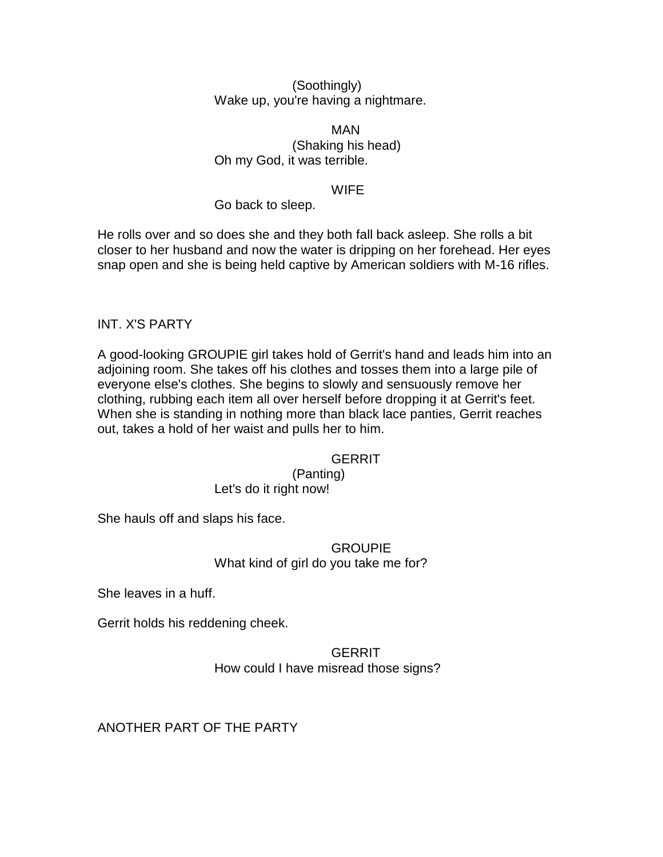(Soothingly) Wake up, you're having a nightmare.

MAN (Shaking his head) Oh my God, it was terrible.

### WIFE

Go back to sleep.

He rolls over and so does she and they both fall back asleep. She rolls a bit closer to her husband and now the water is dripping on her forehead. Her eyes snap open and she is being held captive by American soldiers with M-16 rifles.

INT. X'S PARTY

A good-looking GROUPIE girl takes hold of Gerrit's hand and leads him into an adjoining room. She takes off his clothes and tosses them into a large pile of everyone else's clothes. She begins to slowly and sensuously remove her clothing, rubbing each item all over herself before dropping it at Gerrit's feet. When she is standing in nothing more than black lace panties, Gerrit reaches out, takes a hold of her waist and pulls her to him.

### **GERRIT**

(Panting)

Let's do it right now!

She hauls off and slaps his face.

## **GROUPIE**

What kind of girl do you take me for?

She leaves in a huff.

Gerrit holds his reddening cheek.

## GERRIT How could I have misread those signs?

ANOTHER PART OF THE PARTY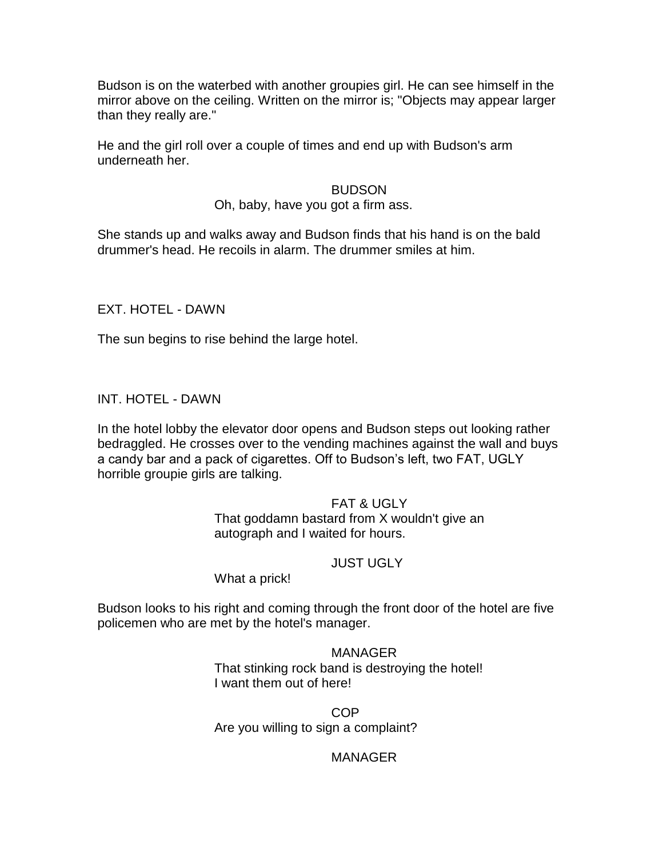Budson is on the waterbed with another groupies girl. He can see himself in the mirror above on the ceiling. Written on the mirror is; "Objects may appear larger than they really are."

He and the girl roll over a couple of times and end up with Budson's arm underneath her.

#### BUDSON

## Oh, baby, have you got a firm ass.

She stands up and walks away and Budson finds that his hand is on the bald drummer's head. He recoils in alarm. The drummer smiles at him.

## EXT. HOTEL - DAWN

The sun begins to rise behind the large hotel.

## INT. HOTEL - DAWN

In the hotel lobby the elevator door opens and Budson steps out looking rather bedraggled. He crosses over to the vending machines against the wall and buys a candy bar and a pack of cigarettes. Off to Budson's left, two FAT, UGLY horrible groupie girls are talking.

### FAT & UGLY

That goddamn bastard from X wouldn't give an autograph and I waited for hours.

## JUST UGLY

### What a prick!

Budson looks to his right and coming through the front door of the hotel are five policemen who are met by the hotel's manager.

### MANAGER

That stinking rock band is destroying the hotel! I want them out of here!

COP Are you willing to sign a complaint?

## MANAGER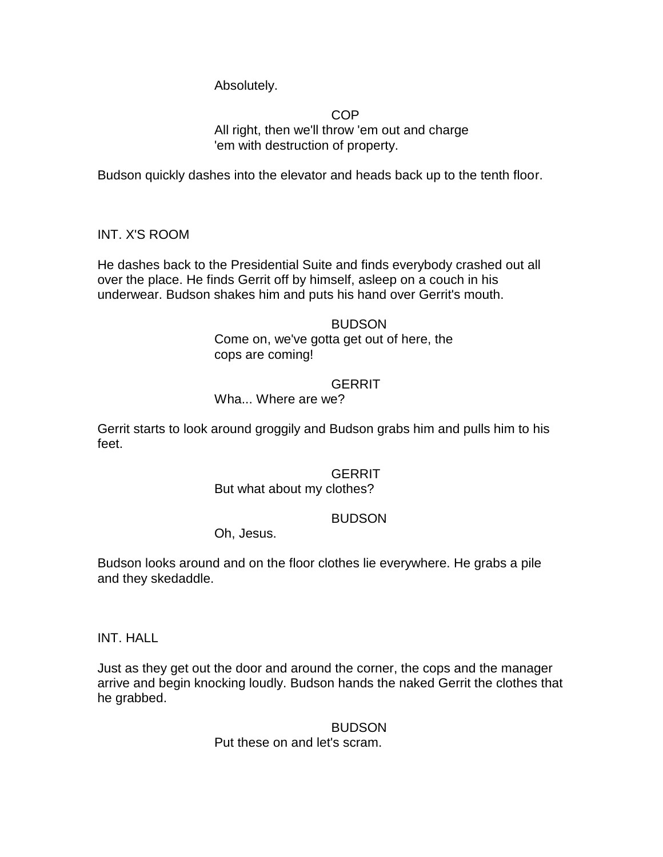Absolutely.

COP All right, then we'll throw 'em out and charge 'em with destruction of property.

Budson quickly dashes into the elevator and heads back up to the tenth floor.

INT. X'S ROOM

He dashes back to the Presidential Suite and finds everybody crashed out all over the place. He finds Gerrit off by himself, asleep on a couch in his underwear. Budson shakes him and puts his hand over Gerrit's mouth.

## **BUDSON**

Come on, we've gotta get out of here, the cops are coming!

## **GERRIT**

Wha... Where are we?

Gerrit starts to look around groggily and Budson grabs him and pulls him to his feet.

## **GERRIT**

But what about my clothes?

## BUDSON

Oh, Jesus.

Budson looks around and on the floor clothes lie everywhere. He grabs a pile and they skedaddle.

INT. HALL

Just as they get out the door and around the corner, the cops and the manager arrive and begin knocking loudly. Budson hands the naked Gerrit the clothes that he grabbed.

> BUDSON Put these on and let's scram.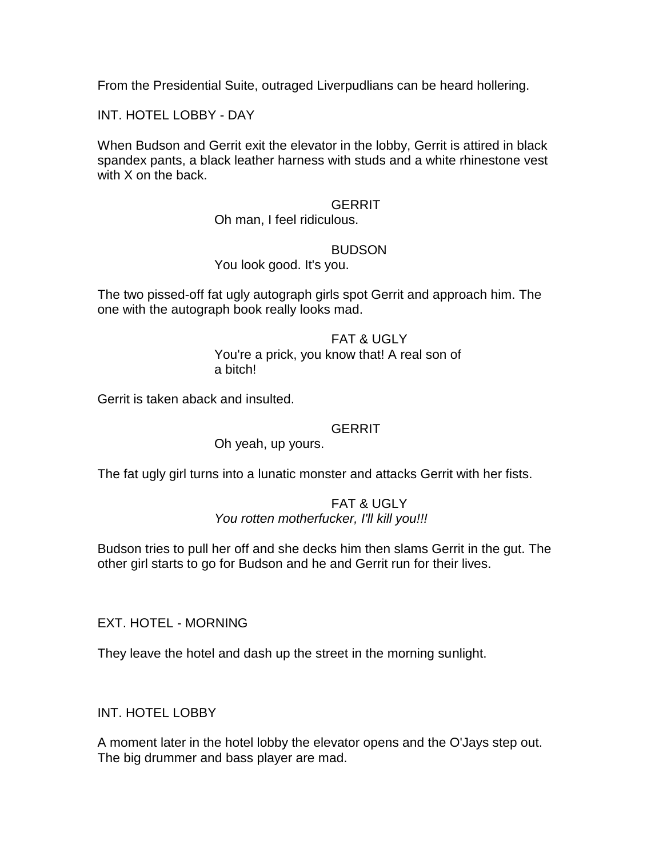From the Presidential Suite, outraged Liverpudlians can be heard hollering.

INT. HOTEL LOBBY - DAY

When Budson and Gerrit exit the elevator in the lobby, Gerrit is attired in black spandex pants, a black leather harness with studs and a white rhinestone vest with X on the back.

### **GERRIT**

Oh man, I feel ridiculous.

## **BUDSON**

#### You look good. It's you.

The two pissed-off fat ugly autograph girls spot Gerrit and approach him. The one with the autograph book really looks mad.

> FAT & UGLY You're a prick, you know that! A real son of a bitch!

Gerrit is taken aback and insulted.

## **GERRIT**

Oh yeah, up yours.

The fat ugly girl turns into a lunatic monster and attacks Gerrit with her fists.

## FAT & UGLY

## *You rotten motherfucker, I'll kill you!!!*

Budson tries to pull her off and she decks him then slams Gerrit in the gut. The other girl starts to go for Budson and he and Gerrit run for their lives.

EXT. HOTEL - MORNING

They leave the hotel and dash up the street in the morning sunlight.

### INT. HOTEL LOBBY

A moment later in the hotel lobby the elevator opens and the O'Jays step out. The big drummer and bass player are mad.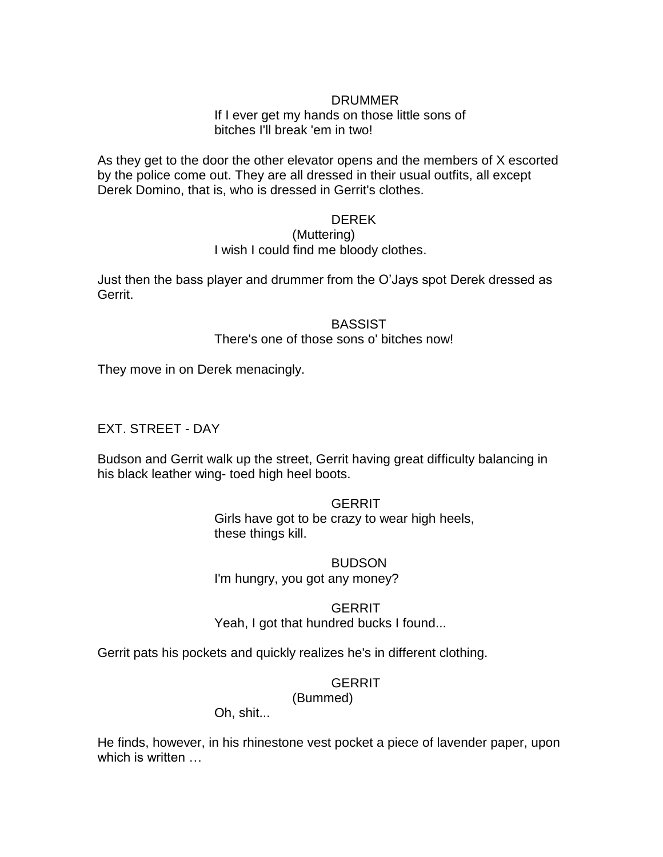## DRUMMER

## If I ever get my hands on those little sons of bitches I'll break 'em in two!

As they get to the door the other elevator opens and the members of X escorted by the police come out. They are all dressed in their usual outfits, all except Derek Domino, that is, who is dressed in Gerrit's clothes.

## DEREK

#### (Muttering) I wish I could find me bloody clothes.

Just then the bass player and drummer from the O"Jays spot Derek dressed as Gerrit.

### BASSIST There's one of those sons o' bitches now!

They move in on Derek menacingly.

## EXT. STREET - DAY

Budson and Gerrit walk up the street, Gerrit having great difficulty balancing in his black leather wing- toed high heel boots.

### **GERRIT**

Girls have got to be crazy to wear high heels, these things kill.

### BUDSON

I'm hungry, you got any money?

### **GERRIT**

Yeah, I got that hundred bucks I found...

Gerrit pats his pockets and quickly realizes he's in different clothing.

## **GERRIT**

(Bummed)

Oh, shit...

He finds, however, in his rhinestone vest pocket a piece of lavender paper, upon which is written ...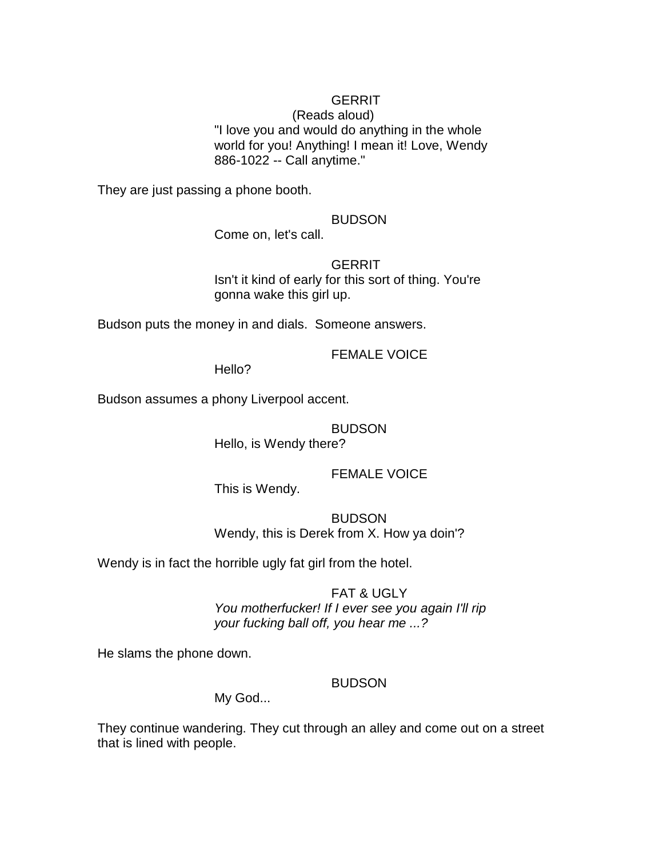## **GERRIT**

(Reads aloud) "I love you and would do anything in the whole world for you! Anything! I mean it! Love, Wendy 886-1022 -- Call anytime."

They are just passing a phone booth.

#### BUDSON

Come on, let's call.

#### **GERRIT**

Isn't it kind of early for this sort of thing. You're gonna wake this girl up.

Budson puts the money in and dials. Someone answers.

FEMALE VOICE

Hello?

Budson assumes a phony Liverpool accent.

## BUDSON

Hello, is Wendy there?

### FEMALE VOICE

This is Wendy.

BUDSON Wendy, this is Derek from X. How ya doin'?

Wendy is in fact the horrible ugly fat girl from the hotel.

FAT & UGLY *You motherfucker! If I ever see you again I'll rip your fucking ball off, you hear me ...?*

He slams the phone down.

### **BUDSON**

My God...

They continue wandering. They cut through an alley and come out on a street that is lined with people.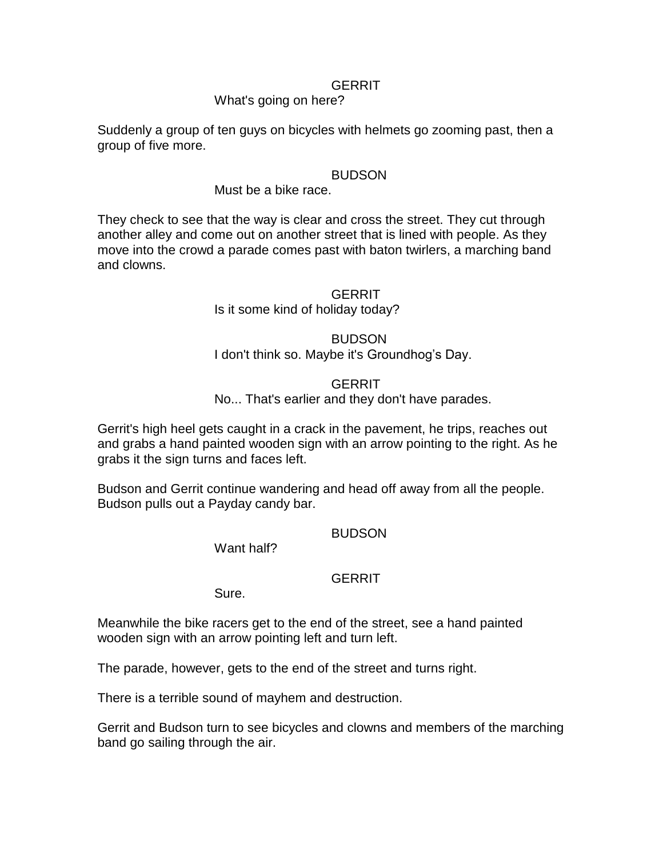## **GERRIT**

## What's going on here?

Suddenly a group of ten guys on bicycles with helmets go zooming past, then a group of five more.

#### BUDSON

## Must be a bike race.

They check to see that the way is clear and cross the street. They cut through another alley and come out on another street that is lined with people. As they move into the crowd a parade comes past with baton twirlers, a marching band and clowns.

#### **GERRIT**

Is it some kind of holiday today?

#### BUDSON

I don't think so. Maybe it's Groundhog's Day.

#### **GERRIT**

No... That's earlier and they don't have parades.

Gerrit's high heel gets caught in a crack in the pavement, he trips, reaches out and grabs a hand painted wooden sign with an arrow pointing to the right. As he grabs it the sign turns and faces left.

Budson and Gerrit continue wandering and head off away from all the people. Budson pulls out a Payday candy bar.

#### BUDSON

Want half?

# **GERRIT**

Sure.

Meanwhile the bike racers get to the end of the street, see a hand painted wooden sign with an arrow pointing left and turn left.

The parade, however, gets to the end of the street and turns right.

There is a terrible sound of mayhem and destruction.

Gerrit and Budson turn to see bicycles and clowns and members of the marching band go sailing through the air.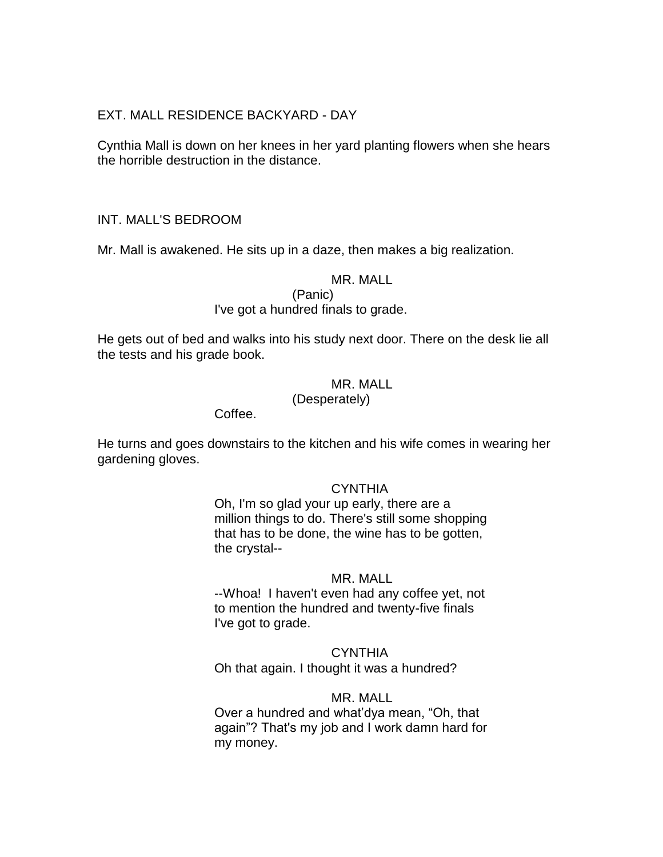## EXT. MALL RESIDENCE BACKYARD - DAY

Cynthia Mall is down on her knees in her yard planting flowers when she hears the horrible destruction in the distance.

### INT. MALL'S BEDROOM

Mr. Mall is awakened. He sits up in a daze, then makes a big realization.

## MR. MALL

(Panic)

#### I've got a hundred finals to grade.

He gets out of bed and walks into his study next door. There on the desk lie all the tests and his grade book.

## MR. MALL

## (Desperately)

Coffee.

He turns and goes downstairs to the kitchen and his wife comes in wearing her gardening gloves.

## **CYNTHIA**

Oh, I'm so glad your up early, there are a million things to do. There's still some shopping that has to be done, the wine has to be gotten, the crystal--

#### MR. MALL

--Whoa! I haven't even had any coffee yet, not to mention the hundred and twenty-five finals I've got to grade.

#### **CYNTHIA**

Oh that again. I thought it was a hundred?

## MR. MALL

Over a hundred and what"dya mean, "Oh, that again"? That's my job and I work damn hard for my money.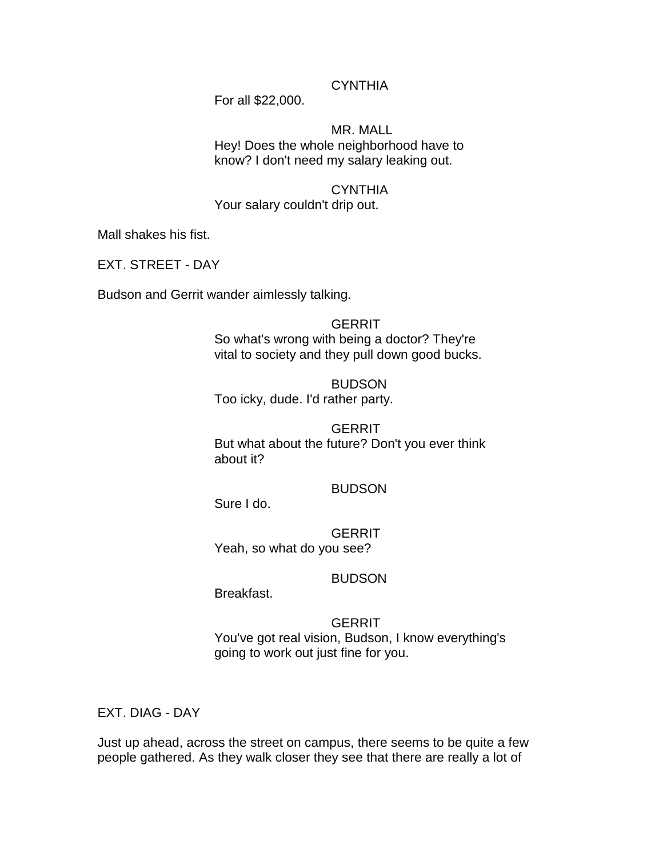## **CYNTHIA**

For all \$22,000.

## MR. MALL

Hey! Does the whole neighborhood have to know? I don't need my salary leaking out.

## **CYNTHIA**

## Your salary couldn't drip out.

Mall shakes his fist.

EXT. STREET - DAY

Budson and Gerrit wander aimlessly talking.

### **GERRIT**

So what's wrong with being a doctor? They're vital to society and they pull down good bucks.

BUDSON Too icky, dude. I'd rather party.

## **GERRIT**

But what about the future? Don't you ever think about it?

### BUDSON

Sure I do.

## **GERRIT**

Yeah, so what do you see?

### BUDSON

Breakfast.

## **GERRIT**

You've got real vision, Budson, I know everything's going to work out just fine for you.

EXT. DIAG - DAY

Just up ahead, across the street on campus, there seems to be quite a few people gathered. As they walk closer they see that there are really a lot of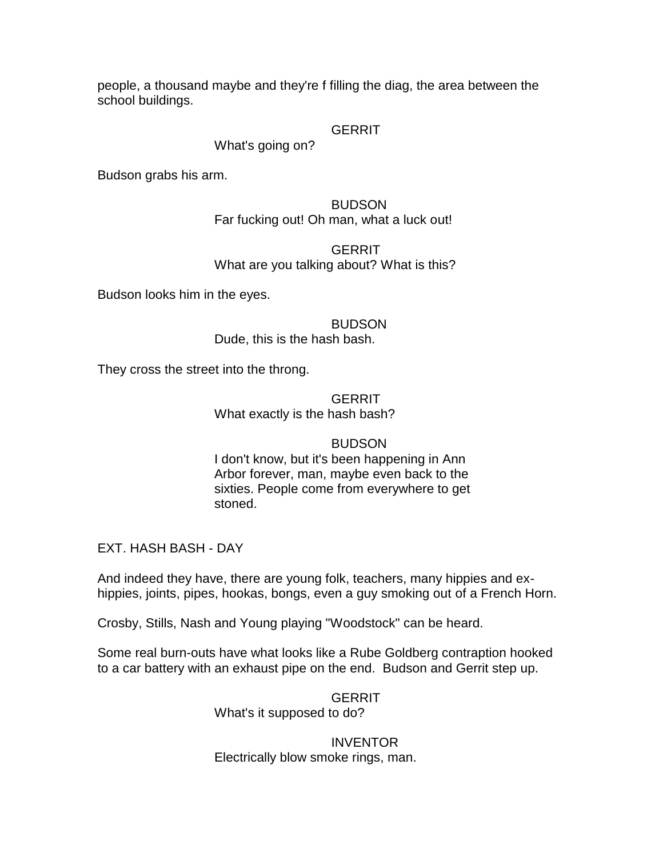people, a thousand maybe and they're f filling the diag, the area between the school buildings.

## **GERRIT**

## What's going on?

Budson grabs his arm.

BUDSON Far fucking out! Oh man, what a luck out!

**GERRIT** What are you talking about? What is this?

Budson looks him in the eyes.

### **BUDSON**

Dude, this is the hash bash.

They cross the street into the throng.

### **GERRIT**

What exactly is the hash bash?

### BUDSON

I don't know, but it's been happening in Ann Arbor forever, man, maybe even back to the sixties. People come from everywhere to get stoned.

EXT. HASH BASH - DAY

And indeed they have, there are young folk, teachers, many hippies and exhippies, joints, pipes, hookas, bongs, even a guy smoking out of a French Horn.

Crosby, Stills, Nash and Young playing "Woodstock" can be heard.

Some real burn-outs have what looks like a Rube Goldberg contraption hooked to a car battery with an exhaust pipe on the end. Budson and Gerrit step up.

# **GERRIT**

What's it supposed to do?

## INVENTOR Electrically blow smoke rings, man.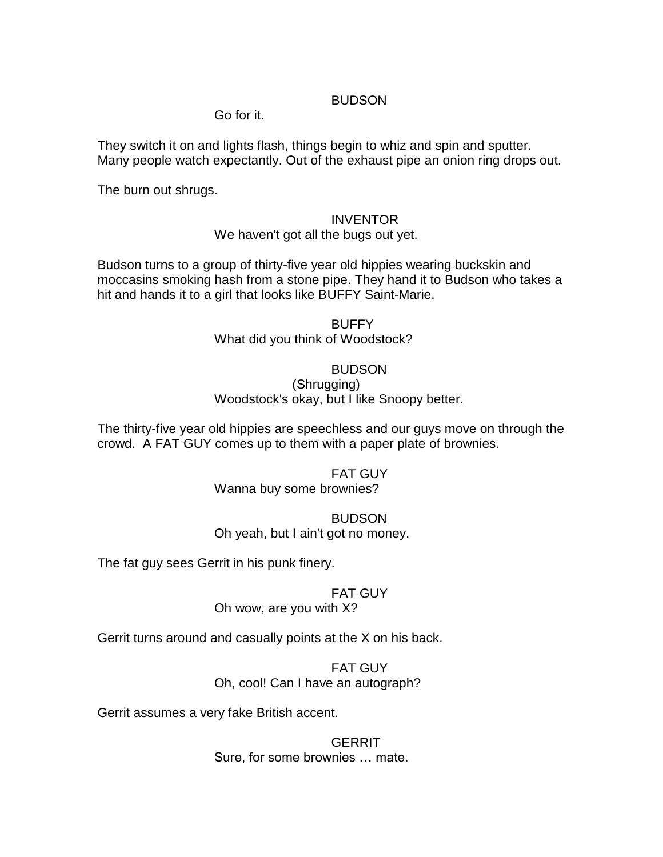#### BUDSON

Go for it.

They switch it on and lights flash, things begin to whiz and spin and sputter. Many people watch expectantly. Out of the exhaust pipe an onion ring drops out.

The burn out shrugs.

### INVENTOR

We haven't got all the bugs out yet.

Budson turns to a group of thirty-five year old hippies wearing buckskin and moccasins smoking hash from a stone pipe. They hand it to Budson who takes a hit and hands it to a girl that looks like BUFFY Saint-Marie.

**BUFFY** 

What did you think of Woodstock?

## BUDSON

(Shrugging) Woodstock's okay, but I like Snoopy better.

The thirty-five year old hippies are speechless and our guys move on through the crowd. A FAT GUY comes up to them with a paper plate of brownies.

### FAT GUY

Wanna buy some brownies?

### BUDSON

Oh yeah, but I ain't got no money.

The fat guy sees Gerrit in his punk finery.

## FAT GUY

Oh wow, are you with X?

Gerrit turns around and casually points at the X on his back.

FAT GUY Oh, cool! Can I have an autograph?

Gerrit assumes a very fake British accent.

**GERRIT** Sure, for some brownies … mate.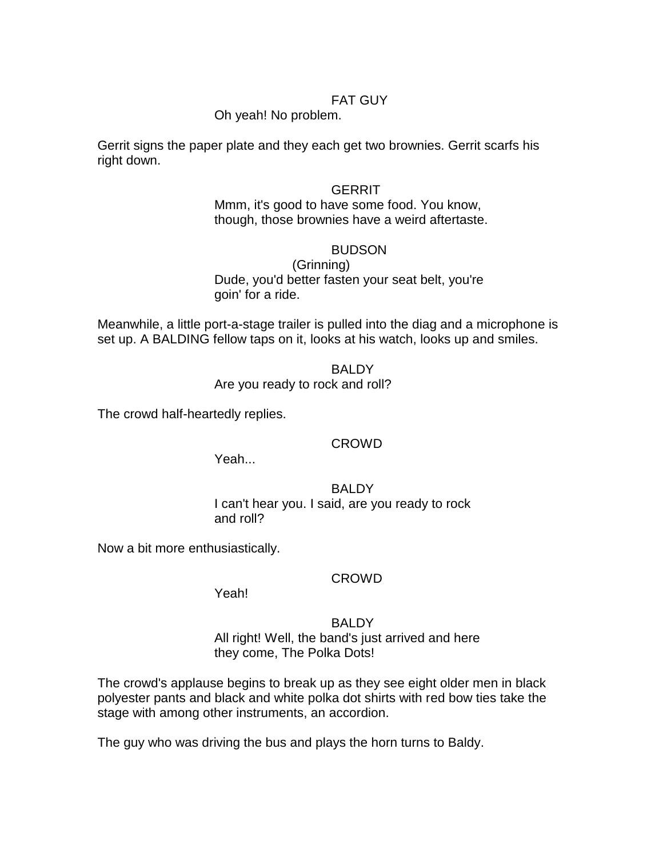## FAT GUY

## Oh yeah! No problem.

Gerrit signs the paper plate and they each get two brownies. Gerrit scarfs his right down.

#### **GERRIT**

Mmm, it's good to have some food. You know, though, those brownies have a weird aftertaste.

## **BUDSON**

(Grinning) Dude, you'd better fasten your seat belt, you're goin' for a ride.

Meanwhile, a little port-a-stage trailer is pulled into the diag and a microphone is set up. A BALDING fellow taps on it, looks at his watch, looks up and smiles.

> **BALDY** Are you ready to rock and roll?

The crowd half-heartedly replies.

### CROWD

Yeah...

**BALDY** I can't hear you. I said, are you ready to rock and roll?

Now a bit more enthusiastically.

### CROWD

Yeah!

**BALDY** All right! Well, the band's just arrived and here they come, The Polka Dots!

The crowd's applause begins to break up as they see eight older men in black polyester pants and black and white polka dot shirts with red bow ties take the stage with among other instruments, an accordion.

The guy who was driving the bus and plays the horn turns to Baldy.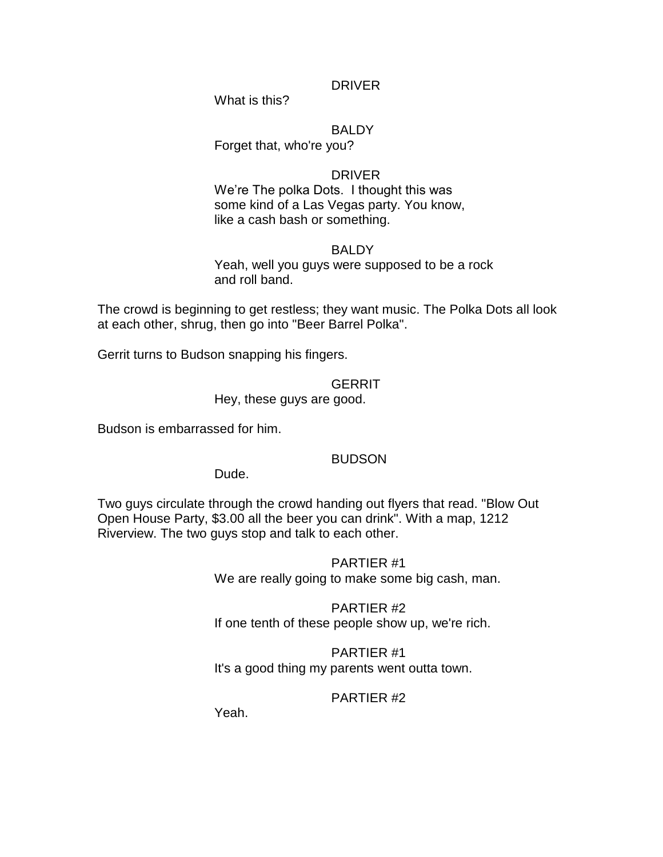## DRIVER

What is this?

#### **BALDY**

Forget that, who're you?

#### DRIVER

We're The polka Dots. I thought this was some kind of a Las Vegas party. You know, like a cash bash or something.

#### **BALDY**

Yeah, well you guys were supposed to be a rock and roll band.

The crowd is beginning to get restless; they want music. The Polka Dots all look at each other, shrug, then go into "Beer Barrel Polka".

Gerrit turns to Budson snapping his fingers.

#### **GERRIT**

Hey, these guys are good.

Budson is embarrassed for him.

#### BUDSON

Dude.

Two guys circulate through the crowd handing out flyers that read. "Blow Out Open House Party, \$3.00 all the beer you can drink". With a map, 1212 Riverview. The two guys stop and talk to each other.

> PARTIER #1 We are really going to make some big cash, man.

PARTIER #2 If one tenth of these people show up, we're rich.

### PARTIER #1

It's a good thing my parents went outta town.

## PARTIER #2

Yeah.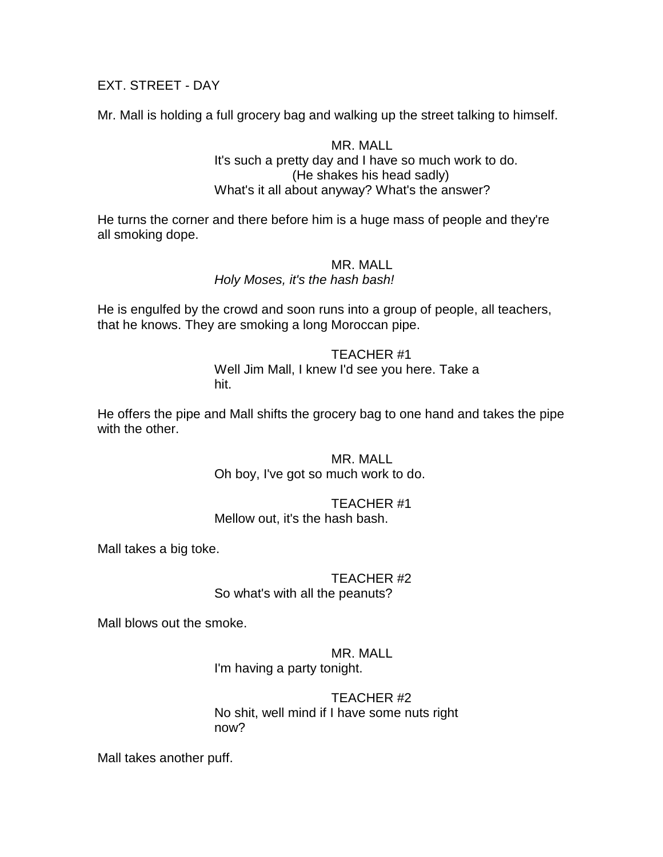EXT. STREET - DAY

Mr. Mall is holding a full grocery bag and walking up the street talking to himself.

## MR. MALL It's such a pretty day and I have so much work to do. (He shakes his head sadly) What's it all about anyway? What's the answer?

He turns the corner and there before him is a huge mass of people and they're all smoking dope.

#### MR. MALL *Holy Moses, it's the hash bash!*

He is engulfed by the crowd and soon runs into a group of people, all teachers, that he knows. They are smoking a long Moroccan pipe.

## TEACHER #1

Well Jim Mall, I knew I'd see you here. Take a hit.

He offers the pipe and Mall shifts the grocery bag to one hand and takes the pipe with the other.

> MR. MALL Oh boy, I've got so much work to do.

#### TEACHER #1 Mellow out, it's the hash bash.

Mall takes a big toke.

## TEACHER #2

So what's with all the peanuts?

Mall blows out the smoke.

# MR. MALL

I'm having a party tonight.

## TEACHER #2

No shit, well mind if I have some nuts right now?

Mall takes another puff.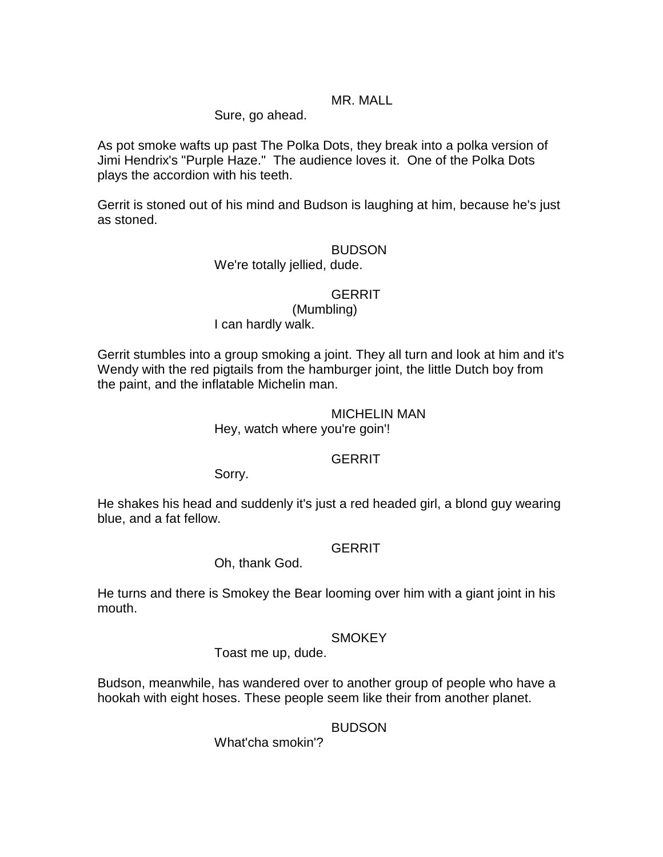## MR. MALL

#### Sure, go ahead.

As pot smoke wafts up past The Polka Dots, they break into a polka version of Jimi Hendrix's "Purple Haze." The audience loves it. One of the Polka Dots plays the accordion with his teeth.

Gerrit is stoned out of his mind and Budson is laughing at him, because he's just as stoned.

#### **BUDSON**

#### We're totally jellied, dude.

### **GERRIT**

#### (Mumbling) I can hardly walk.

Gerrit stumbles into a group smoking a joint. They all turn and look at him and it's Wendy with the red pigtails from the hamburger joint, the little Dutch boy from the paint, and the inflatable Michelin man.

### MICHELIN MAN

Hey, watch where you're goin'!

### **GERRIT**

Sorry.

He shakes his head and suddenly it's just a red headed girl, a blond guy wearing blue, and a fat fellow.

### **GERRIT**

## Oh, thank God.

He turns and there is Smokey the Bear looming over him with a giant joint in his mouth.

### **SMOKEY**

Toast me up, dude.

Budson, meanwhile, has wandered over to another group of people who have a hookah with eight hoses. These people seem like their from another planet.

## BUDSON

What'cha smokin'?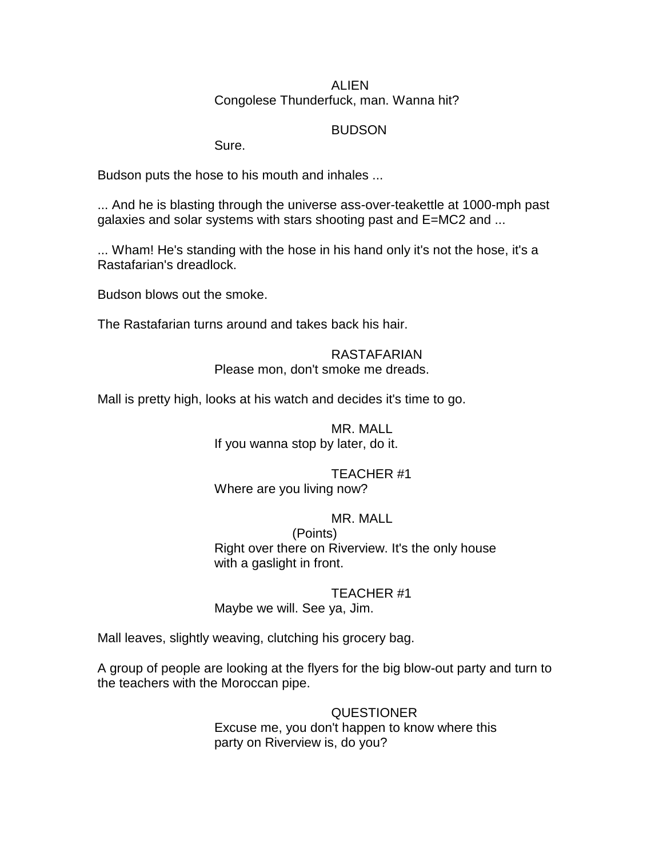## ALIEN Congolese Thunderfuck, man. Wanna hit?

## BUDSON

Sure.

Budson puts the hose to his mouth and inhales ...

... And he is blasting through the universe ass-over-teakettle at 1000-mph past galaxies and solar systems with stars shooting past and E=MC2 and ...

... Wham! He's standing with the hose in his hand only it's not the hose, it's a Rastafarian's dreadlock.

Budson blows out the smoke.

The Rastafarian turns around and takes back his hair.

### RASTAFARIAN

Please mon, don't smoke me dreads.

Mall is pretty high, looks at his watch and decides it's time to go.

MR. MALL If you wanna stop by later, do it.

### TEACHER #1

Where are you living now?

## MR. MALL

(Points) Right over there on Riverview. It's the only house with a gaslight in front.

### TEACHER #1

Maybe we will. See ya, Jim.

Mall leaves, slightly weaving, clutching his grocery bag.

A group of people are looking at the flyers for the big blow-out party and turn to the teachers with the Moroccan pipe.

## QUESTIONER

Excuse me, you don't happen to know where this party on Riverview is, do you?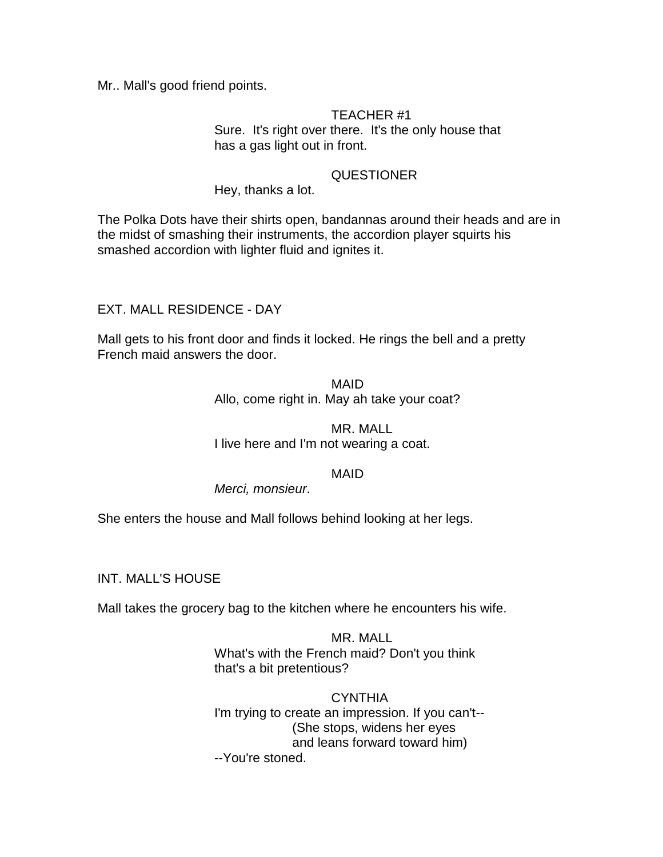Mr.. Mall's good friend points.

## TEACHER #1 Sure. It's right over there. It's the only house that has a gas light out in front.

## **QUESTIONER**

Hey, thanks a lot.

The Polka Dots have their shirts open, bandannas around their heads and are in the midst of smashing their instruments, the accordion player squirts his smashed accordion with lighter fluid and ignites it.

## EXT. MALL RESIDENCE - DAY

Mall gets to his front door and finds it locked. He rings the bell and a pretty French maid answers the door.

> MAID Allo, come right in. May ah take your coat?

# MR. MALL

I live here and I'm not wearing a coat.

## MAID

*Merci, monsieur*.

She enters the house and Mall follows behind looking at her legs.

INT. MALL'S HOUSE

Mall takes the grocery bag to the kitchen where he encounters his wife.

MR. MALL What's with the French maid? Don't you think that's a bit pretentious?

**CYNTHIA** I'm trying to create an impression. If you can't-- (She stops, widens her eyes and leans forward toward him) --You're stoned.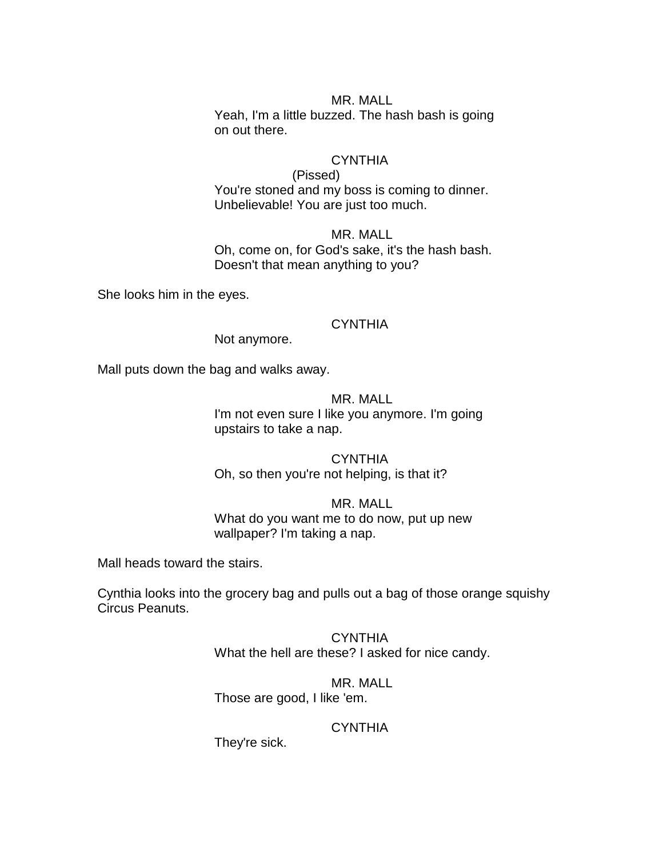#### MR. MALL

Yeah, I'm a little buzzed. The hash bash is going on out there.

## **CYNTHIA**

(Pissed) You're stoned and my boss is coming to dinner. Unbelievable! You are just too much.

## MR. MALL Oh, come on, for God's sake, it's the hash bash. Doesn't that mean anything to you?

She looks him in the eyes.

#### **CYNTHIA**

Not anymore.

Mall puts down the bag and walks away.

## MR. MALL

I'm not even sure I like you anymore. I'm going upstairs to take a nap.

#### **CYNTHIA** Oh, so then you're not helping, is that it?

#### MR. MALL

What do you want me to do now, put up new wallpaper? I'm taking a nap.

Mall heads toward the stairs.

Cynthia looks into the grocery bag and pulls out a bag of those orange squishy Circus Peanuts.

> **CYNTHIA** What the hell are these? I asked for nice candy.

#### MR. MALL

Those are good, I like 'em.

## **CYNTHIA**

They're sick.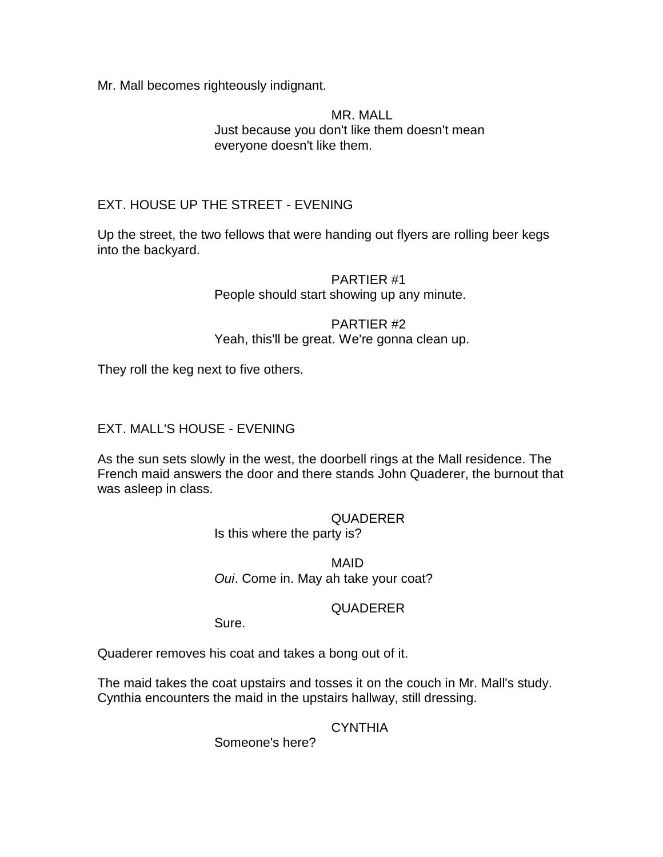Mr. Mall becomes righteously indignant.

## MR. MALL Just because you don't like them doesn't mean everyone doesn't like them.

## EXT. HOUSE UP THE STREET - EVENING

Up the street, the two fellows that were handing out flyers are rolling beer kegs into the backyard.

## PARTIER #1

People should start showing up any minute.

#### PARTIER #2 Yeah, this'll be great. We're gonna clean up.

They roll the keg next to five others.

## EXT. MALL'S HOUSE - EVENING

As the sun sets slowly in the west, the doorbell rings at the Mall residence. The French maid answers the door and there stands John Quaderer, the burnout that was asleep in class.

> QUADERER Is this where the party is?

MAID *Oui*. Come in. May ah take your coat?

## QUADERER

Sure.

Quaderer removes his coat and takes a bong out of it.

The maid takes the coat upstairs and tosses it on the couch in Mr. Mall's study. Cynthia encounters the maid in the upstairs hallway, still dressing.

## **CYNTHIA**

Someone's here?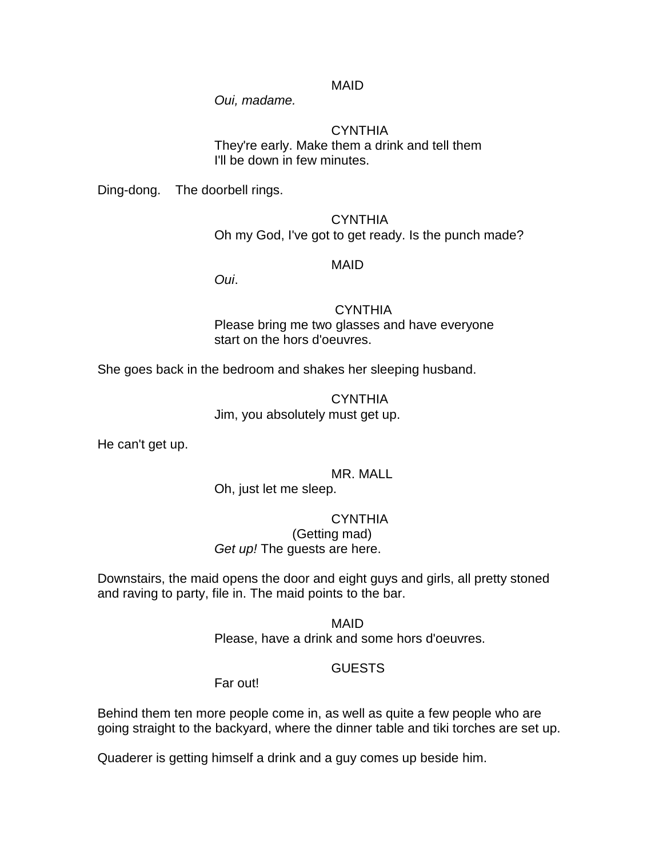### MAID

*Oui, madame.*

## **CYNTHIA** They're early. Make them a drink and tell them I'll be down in few minutes.

Ding-dong. The doorbell rings.

**CYNTHIA** Oh my God, I've got to get ready. Is the punch made?

### MAID

*Oui*.

**CYNTHIA** Please bring me two glasses and have everyone start on the hors d'oeuvres.

She goes back in the bedroom and shakes her sleeping husband.

**CYNTHIA** Jim, you absolutely must get up.

He can't get up.

MR. MALL

Oh, just let me sleep.

## **CYNTHIA**

(Getting mad)

*Get up!* The guests are here.

Downstairs, the maid opens the door and eight guys and girls, all pretty stoned and raving to party, file in. The maid points to the bar.

MAID

Please, have a drink and some hors d'oeuvres.

## **GUESTS**

Far out!

Behind them ten more people come in, as well as quite a few people who are going straight to the backyard, where the dinner table and tiki torches are set up.

Quaderer is getting himself a drink and a guy comes up beside him.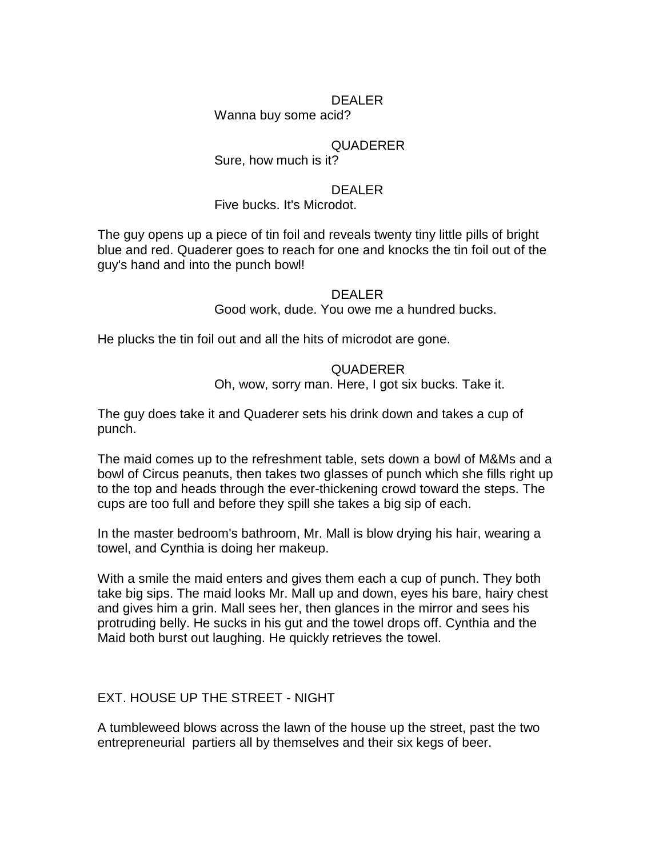## DEALER

Wanna buy some acid?

## QUADERER

## Sure, how much is it?

## DEALER

## Five bucks. It's Microdot.

The guy opens up a piece of tin foil and reveals twenty tiny little pills of bright blue and red. Quaderer goes to reach for one and knocks the tin foil out of the guy's hand and into the punch bowl!

### DEALER

Good work, dude. You owe me a hundred bucks.

He plucks the tin foil out and all the hits of microdot are gone.

## QUADERER

Oh, wow, sorry man. Here, I got six bucks. Take it.

The guy does take it and Quaderer sets his drink down and takes a cup of punch.

The maid comes up to the refreshment table, sets down a bowl of M&Ms and a bowl of Circus peanuts, then takes two glasses of punch which she fills right up to the top and heads through the ever-thickening crowd toward the steps. The cups are too full and before they spill she takes a big sip of each.

In the master bedroom's bathroom, Mr. Mall is blow drying his hair, wearing a towel, and Cynthia is doing her makeup.

With a smile the maid enters and gives them each a cup of punch. They both take big sips. The maid looks Mr. Mall up and down, eyes his bare, hairy chest and gives him a grin. Mall sees her, then glances in the mirror and sees his protruding belly. He sucks in his gut and the towel drops off. Cynthia and the Maid both burst out laughing. He quickly retrieves the towel.

## EXT. HOUSE UP THE STREET - NIGHT

A tumbleweed blows across the lawn of the house up the street, past the two entrepreneurial partiers all by themselves and their six kegs of beer.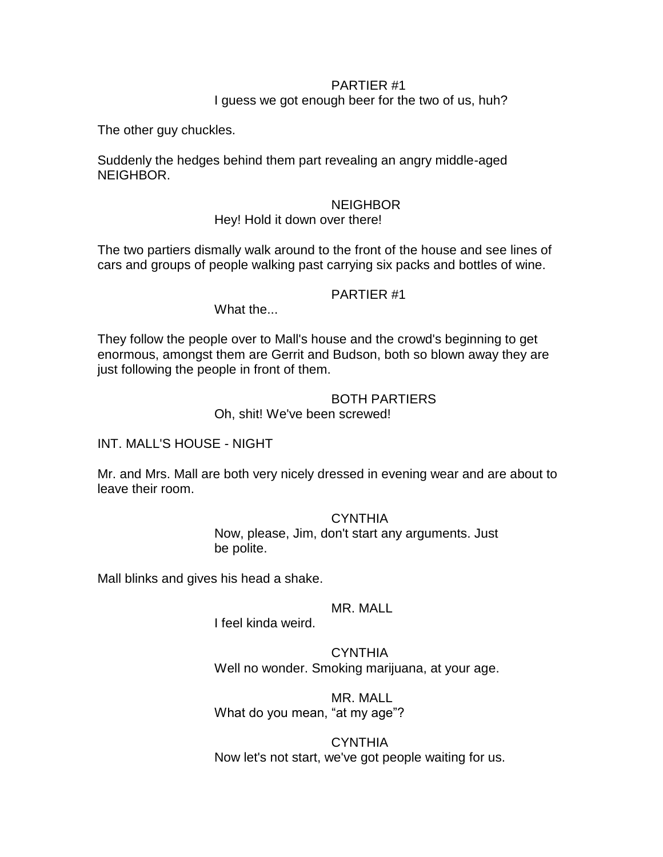## PARTIER #1

## I guess we got enough beer for the two of us, huh?

The other guy chuckles.

Suddenly the hedges behind them part revealing an angry middle-aged NEIGHBOR.

### **NEIGHBOR**

#### Hey! Hold it down over there!

The two partiers dismally walk around to the front of the house and see lines of cars and groups of people walking past carrying six packs and bottles of wine.

### PARTIER #1

What the...

They follow the people over to Mall's house and the crowd's beginning to get enormous, amongst them are Gerrit and Budson, both so blown away they are just following the people in front of them.

## BOTH PARTIERS

Oh, shit! We've been screwed!

INT. MALL'S HOUSE - NIGHT

Mr. and Mrs. Mall are both very nicely dressed in evening wear and are about to leave their room.

#### **CYNTHIA**

Now, please, Jim, don't start any arguments. Just be polite.

Mall blinks and gives his head a shake.

## MR. MALL

I feel kinda weird.

**CYNTHIA** Well no wonder. Smoking marijuana, at your age.

MR. MALL What do you mean, "at my age"?

**CYNTHIA** Now let's not start, we've got people waiting for us.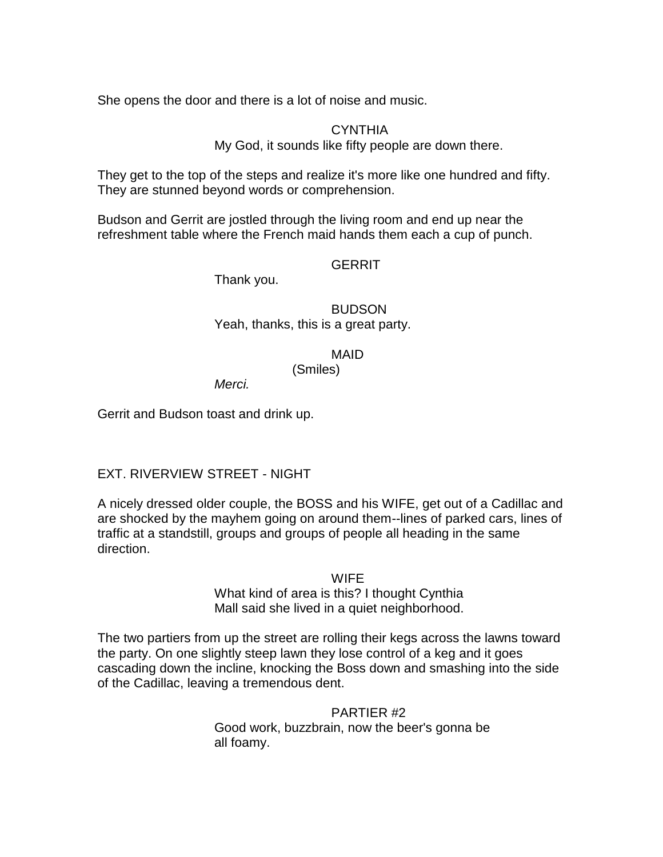She opens the door and there is a lot of noise and music.

#### **CYNTHIA** My God, it sounds like fifty people are down there.

They get to the top of the steps and realize it's more like one hundred and fifty. They are stunned beyond words or comprehension.

Budson and Gerrit are jostled through the living room and end up near the refreshment table where the French maid hands them each a cup of punch.

### **GERRIT**

Thank you.

BUDSON Yeah, thanks, this is a great party.

MAID

(Smiles)

*Merci.*

Gerrit and Budson toast and drink up.

EXT. RIVERVIEW STREET - NIGHT

A nicely dressed older couple, the BOSS and his WIFE, get out of a Cadillac and are shocked by the mayhem going on around them--lines of parked cars, lines of traffic at a standstill, groups and groups of people all heading in the same direction.

> **WIFE** What kind of area is this? I thought Cynthia Mall said she lived in a quiet neighborhood.

The two partiers from up the street are rolling their kegs across the lawns toward the party. On one slightly steep lawn they lose control of a keg and it goes cascading down the incline, knocking the Boss down and smashing into the side of the Cadillac, leaving a tremendous dent.

> PARTIER #2 Good work, buzzbrain, now the beer's gonna be all foamy.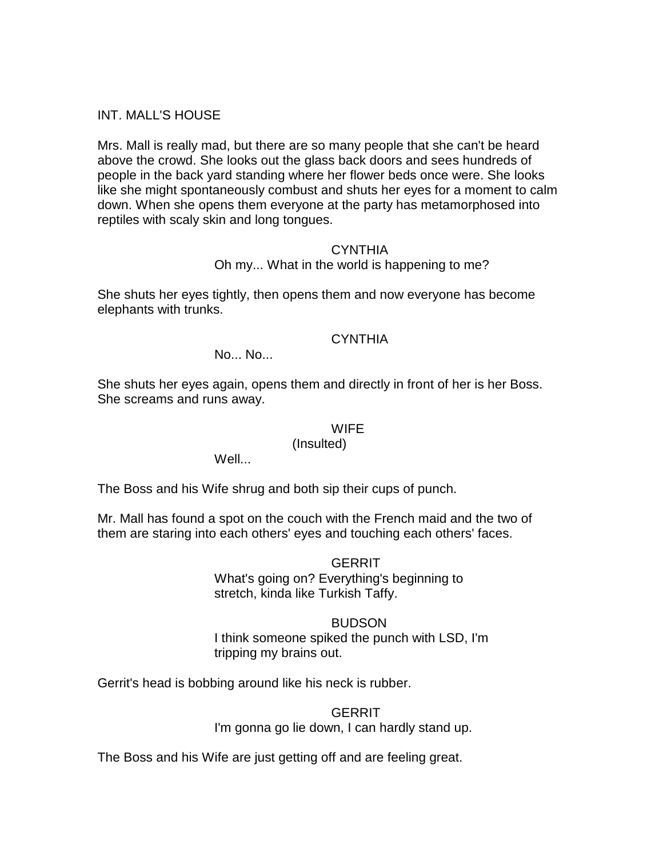## INT. MALL'S HOUSE

Mrs. Mall is really mad, but there are so many people that she can't be heard above the crowd. She looks out the glass back doors and sees hundreds of people in the back yard standing where her flower beds once were. She looks like she might spontaneously combust and shuts her eyes for a moment to calm down. When she opens them everyone at the party has metamorphosed into reptiles with scaly skin and long tongues.

#### **CYNTHIA**

### Oh my... What in the world is happening to me?

She shuts her eyes tightly, then opens them and now everyone has become elephants with trunks.

#### **CYNTHIA**

No... No...

She shuts her eyes again, opens them and directly in front of her is her Boss. She screams and runs away.

#### **WIFE**

(Insulted)

Well...

The Boss and his Wife shrug and both sip their cups of punch.

Mr. Mall has found a spot on the couch with the French maid and the two of them are staring into each others' eyes and touching each others' faces.

> **GERRIT** What's going on? Everything's beginning to stretch, kinda like Turkish Taffy.

#### **BUDSON**

I think someone spiked the punch with LSD, I'm tripping my brains out.

Gerrit's head is bobbing around like his neck is rubber.

**GERRIT** I'm gonna go lie down, I can hardly stand up.

The Boss and his Wife are just getting off and are feeling great.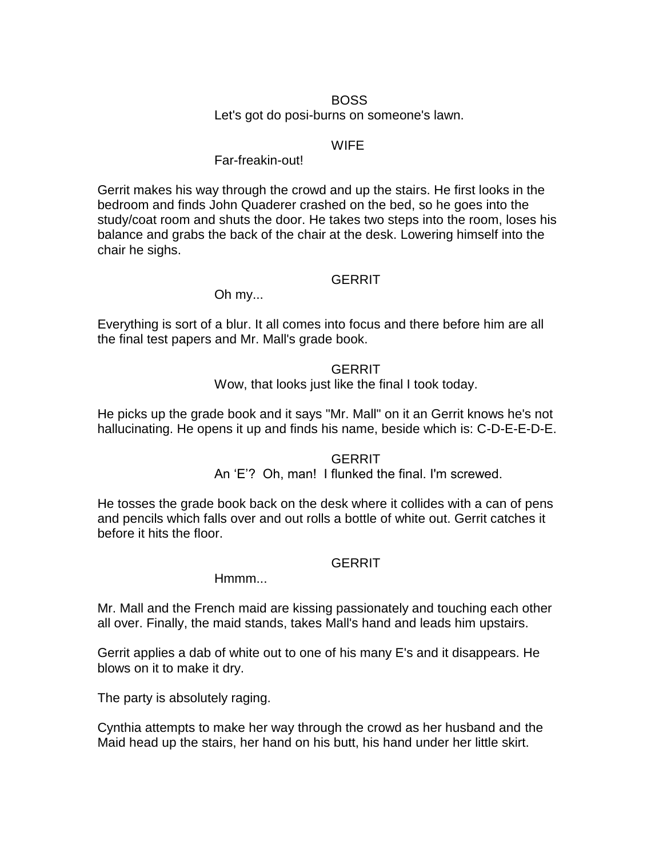#### BOSS

Let's got do posi-burns on someone's lawn.

#### WIFE

#### Far-freakin-out!

Gerrit makes his way through the crowd and up the stairs. He first looks in the bedroom and finds John Quaderer crashed on the bed, so he goes into the study/coat room and shuts the door. He takes two steps into the room, loses his balance and grabs the back of the chair at the desk. Lowering himself into the chair he sighs.

#### **GERRIT**

Oh my...

Everything is sort of a blur. It all comes into focus and there before him are all the final test papers and Mr. Mall's grade book.

#### **GERRIT**

Wow, that looks just like the final I took today.

He picks up the grade book and it says "Mr. Mall" on it an Gerrit knows he's not hallucinating. He opens it up and finds his name, beside which is: C-D-E-E-D-E.

### **GERRIT**

An "E"? Oh, man! I flunked the final. I'm screwed.

He tosses the grade book back on the desk where it collides with a can of pens and pencils which falls over and out rolls a bottle of white out. Gerrit catches it before it hits the floor.

### GERRIT

Hmmm...

Mr. Mall and the French maid are kissing passionately and touching each other all over. Finally, the maid stands, takes Mall's hand and leads him upstairs.

Gerrit applies a dab of white out to one of his many E's and it disappears. He blows on it to make it dry.

The party is absolutely raging.

Cynthia attempts to make her way through the crowd as her husband and the Maid head up the stairs, her hand on his butt, his hand under her little skirt.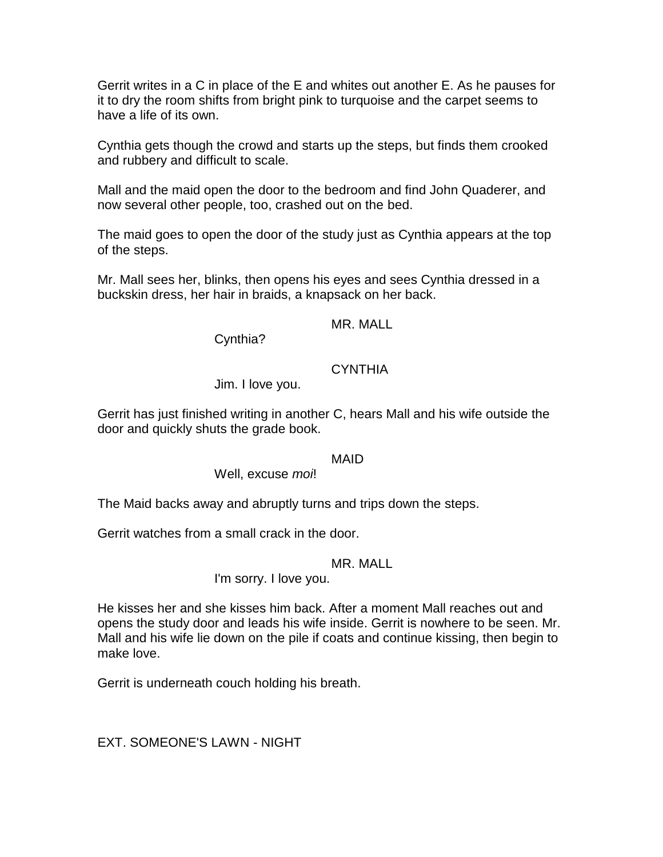Gerrit writes in a C in place of the E and whites out another E. As he pauses for it to dry the room shifts from bright pink to turquoise and the carpet seems to have a life of its own.

Cynthia gets though the crowd and starts up the steps, but finds them crooked and rubbery and difficult to scale.

Mall and the maid open the door to the bedroom and find John Quaderer, and now several other people, too, crashed out on the bed.

The maid goes to open the door of the study just as Cynthia appears at the top of the steps.

Mr. Mall sees her, blinks, then opens his eyes and sees Cynthia dressed in a buckskin dress, her hair in braids, a knapsack on her back.

MR. MALL

Cynthia?

### **CYNTHIA**

Jim. I love you.

Gerrit has just finished writing in another C, hears Mall and his wife outside the door and quickly shuts the grade book.

### MAID

Well, excuse *moi*!

The Maid backs away and abruptly turns and trips down the steps.

Gerrit watches from a small crack in the door.

#### MR. MALL

### I'm sorry. I love you.

He kisses her and she kisses him back. After a moment Mall reaches out and opens the study door and leads his wife inside. Gerrit is nowhere to be seen. Mr. Mall and his wife lie down on the pile if coats and continue kissing, then begin to make love.

Gerrit is underneath couch holding his breath.

EXT. SOMEONE'S LAWN - NIGHT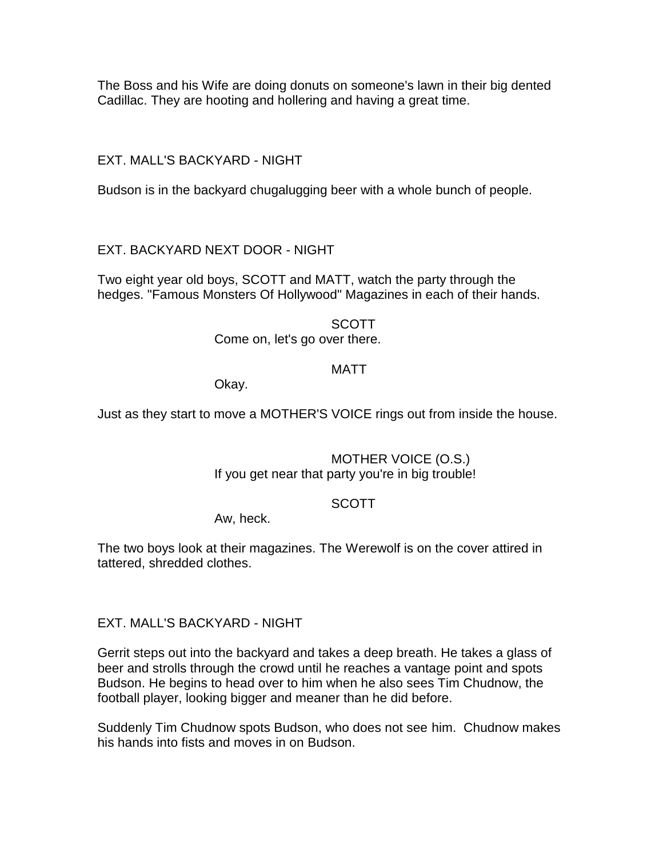The Boss and his Wife are doing donuts on someone's lawn in their big dented Cadillac. They are hooting and hollering and having a great time.

EXT. MALL'S BACKYARD - NIGHT

Budson is in the backyard chugalugging beer with a whole bunch of people.

EXT. BACKYARD NEXT DOOR - NIGHT

Two eight year old boys, SCOTT and MATT, watch the party through the hedges. "Famous Monsters Of Hollywood" Magazines in each of their hands.

SCOTT

Come on, let's go over there.

### MATT

Okay.

Just as they start to move a MOTHER'S VOICE rings out from inside the house.

MOTHER VOICE (O.S.) If you get near that party you're in big trouble!

## SCOTT

Aw, heck.

The two boys look at their magazines. The Werewolf is on the cover attired in tattered, shredded clothes.

EXT. MALL'S BACKYARD - NIGHT

Gerrit steps out into the backyard and takes a deep breath. He takes a glass of beer and strolls through the crowd until he reaches a vantage point and spots Budson. He begins to head over to him when he also sees Tim Chudnow, the football player, looking bigger and meaner than he did before.

Suddenly Tim Chudnow spots Budson, who does not see him. Chudnow makes his hands into fists and moves in on Budson.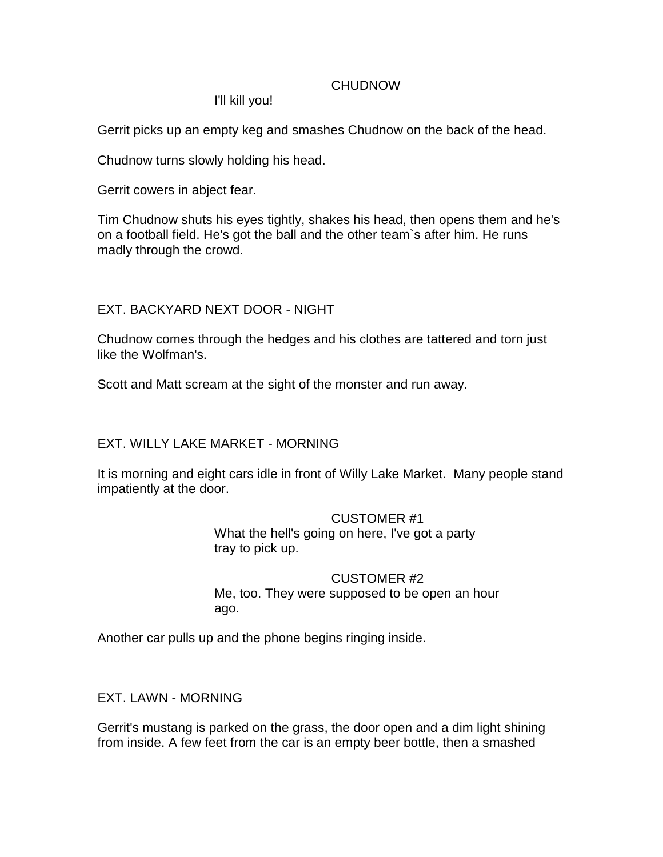#### CHUDNOW

I'll kill you!

Gerrit picks up an empty keg and smashes Chudnow on the back of the head.

Chudnow turns slowly holding his head.

Gerrit cowers in abject fear.

Tim Chudnow shuts his eyes tightly, shakes his head, then opens them and he's on a football field. He's got the ball and the other team`s after him. He runs madly through the crowd.

## EXT. BACKYARD NEXT DOOR - NIGHT

Chudnow comes through the hedges and his clothes are tattered and torn just like the Wolfman's.

Scott and Matt scream at the sight of the monster and run away.

## EXT. WILLY LAKE MARKET - MORNING

It is morning and eight cars idle in front of Willy Lake Market. Many people stand impatiently at the door.

> CUSTOMER #1 What the hell's going on here, I've got a party tray to pick up.

CUSTOMER #2 Me, too. They were supposed to be open an hour ago.

Another car pulls up and the phone begins ringing inside.

### EXT. LAWN - MORNING

Gerrit's mustang is parked on the grass, the door open and a dim light shining from inside. A few feet from the car is an empty beer bottle, then a smashed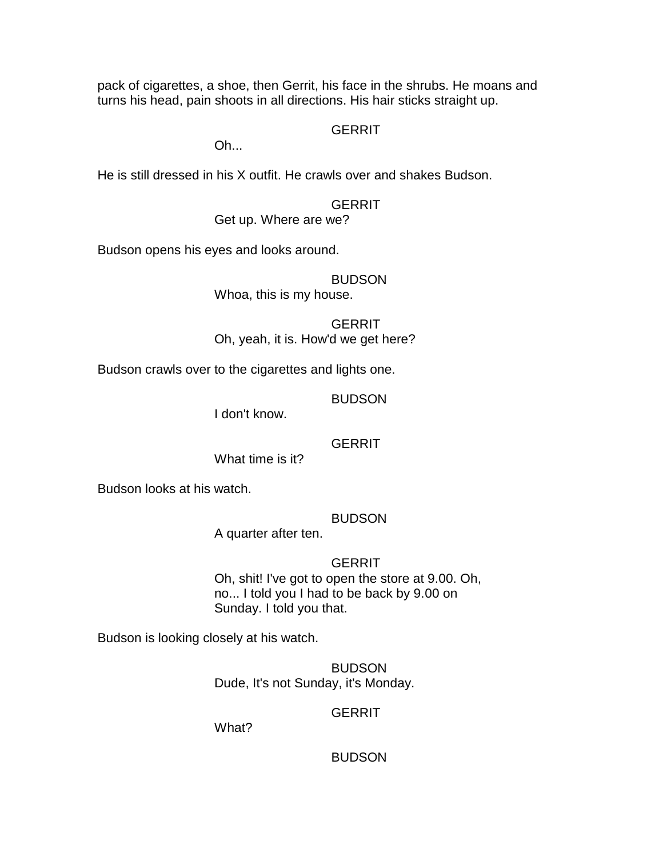pack of cigarettes, a shoe, then Gerrit, his face in the shrubs. He moans and turns his head, pain shoots in all directions. His hair sticks straight up.

#### **GERRIT**

Oh...

He is still dressed in his X outfit. He crawls over and shakes Budson.

#### **GERRIT**

Get up. Where are we?

Budson opens his eyes and looks around.

#### BUDSON

Whoa, this is my house.

**GERRIT** Oh, yeah, it is. How'd we get here?

Budson crawls over to the cigarettes and lights one.

**BUDSON** 

I don't know.

**GERRIT** 

What time is it?

Budson looks at his watch.

#### BUDSON

A quarter after ten.

# **GERRIT**

Oh, shit! I've got to open the store at 9.00. Oh, no... I told you I had to be back by 9.00 on Sunday. I told you that.

Budson is looking closely at his watch.

**BUDSON** Dude, It's not Sunday, it's Monday.

### **GERRIT**

What?

BUDSON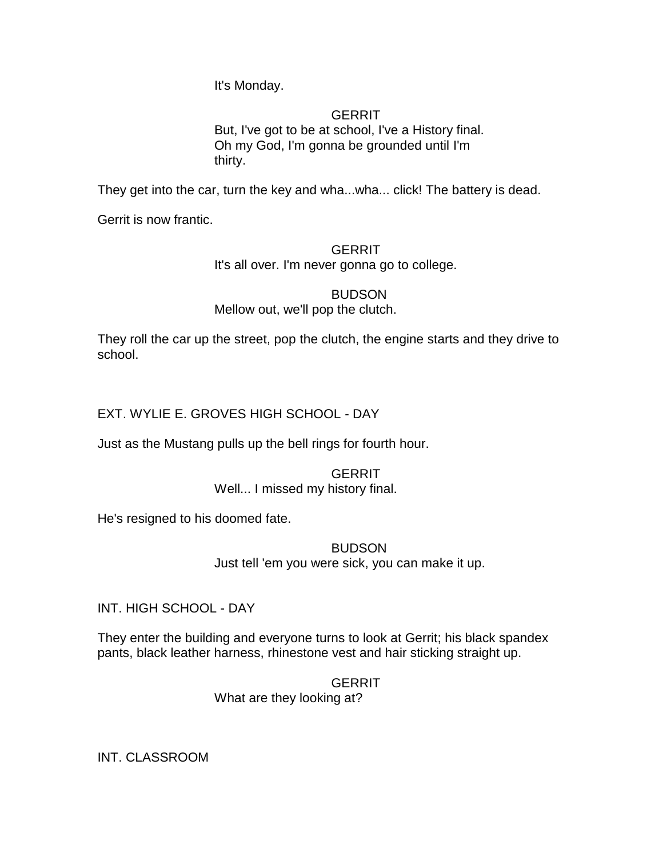It's Monday.

## **GERRIT**

But, I've got to be at school, I've a History final. Oh my God, I'm gonna be grounded until I'm thirty.

They get into the car, turn the key and wha...wha... click! The battery is dead.

Gerrit is now frantic.

## **GERRIT**

It's all over. I'm never gonna go to college.

BUDSON

## Mellow out, we'll pop the clutch.

They roll the car up the street, pop the clutch, the engine starts and they drive to school.

## EXT. WYLIE E. GROVES HIGH SCHOOL - DAY

Just as the Mustang pulls up the bell rings for fourth hour.

## **GERRIT**

Well... I missed my history final.

He's resigned to his doomed fate.

## **BUDSON**

Just tell 'em you were sick, you can make it up.

INT. HIGH SCHOOL - DAY

They enter the building and everyone turns to look at Gerrit; his black spandex pants, black leather harness, rhinestone vest and hair sticking straight up.

#### **GERRIT** What are they looking at?

INT. CLASSROOM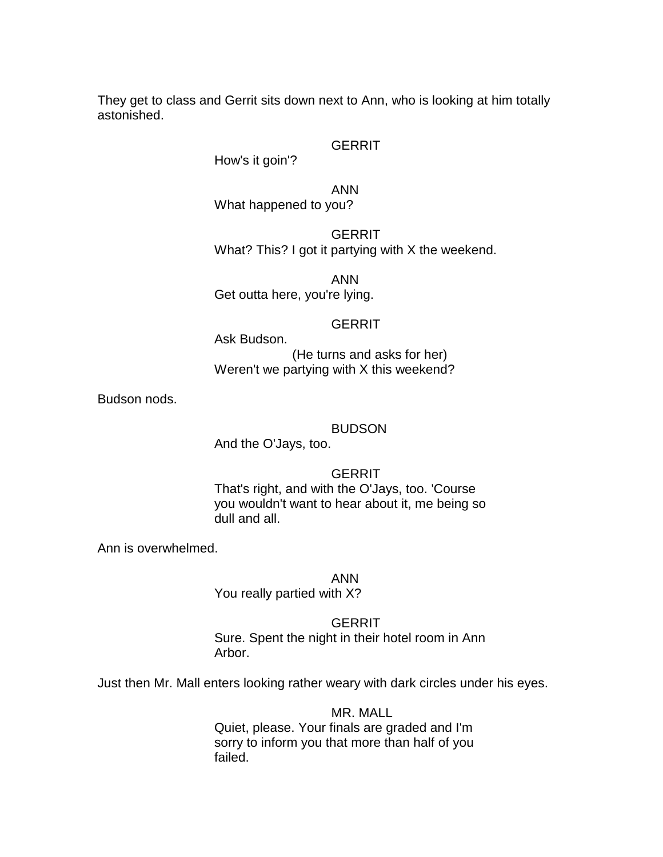They get to class and Gerrit sits down next to Ann, who is looking at him totally astonished.

### **GERRIT**

How's it goin'?

ANN

What happened to you?

**GERRIT** What? This? I got it partying with X the weekend.

ANN Get outta here, you're lying.

#### **GERRIT**

Ask Budson. (He turns and asks for her) Weren't we partying with X this weekend?

Budson nods.

#### BUDSON

And the O'Jays, too.

#### **GERRIT**

That's right, and with the O'Jays, too. 'Course you wouldn't want to hear about it, me being so dull and all.

Ann is overwhelmed.

#### ANN

You really partied with X?

#### **GERRIT**

Sure. Spent the night in their hotel room in Ann Arbor.

Just then Mr. Mall enters looking rather weary with dark circles under his eyes.

#### MR. MALL

Quiet, please. Your finals are graded and I'm sorry to inform you that more than half of you failed.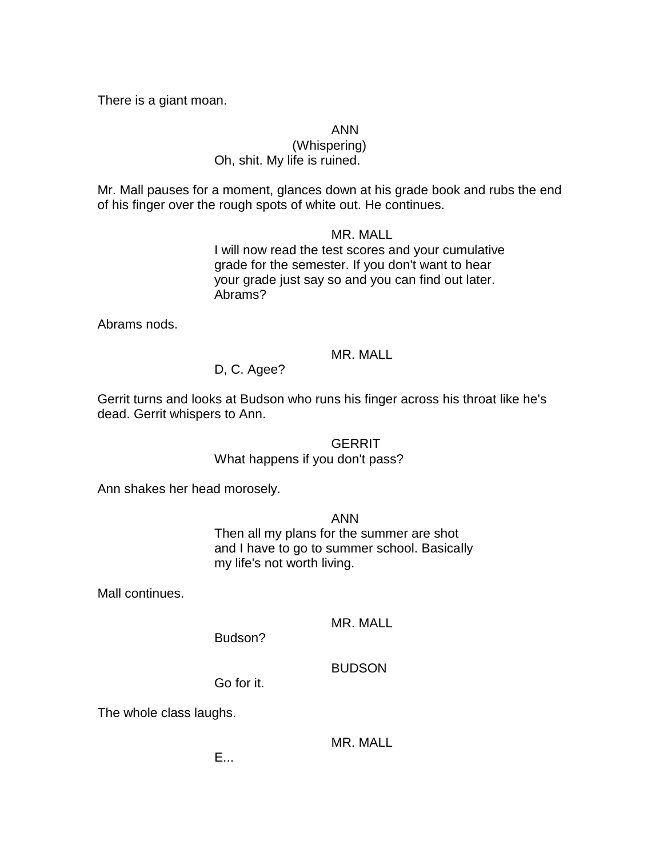There is a giant moan.

ANN

#### (Whispering) Oh, shit. My life is ruined.

Mr. Mall pauses for a moment, glances down at his grade book and rubs the end of his finger over the rough spots of white out. He continues.

#### MR. MALL I will now read the test scores and your cumulative grade for the semester. If you don't want to hear your grade just say so and you can find out later. Abrams?

Abrams nods.

### MR. MALL

D, C. Agee?

Gerrit turns and looks at Budson who runs his finger across his throat like he's dead. Gerrit whispers to Ann.

## **GERRIT** What happens if you don't pass?

Ann shakes her head morosely.

ANN Then all my plans for the summer are shot and I have to go to summer school. Basically my life's not worth living.

Mall continues.

### MR. MALL

Budson?

**BUDSON** 

Go for it.

The whole class laughs.

MR. MALL

E...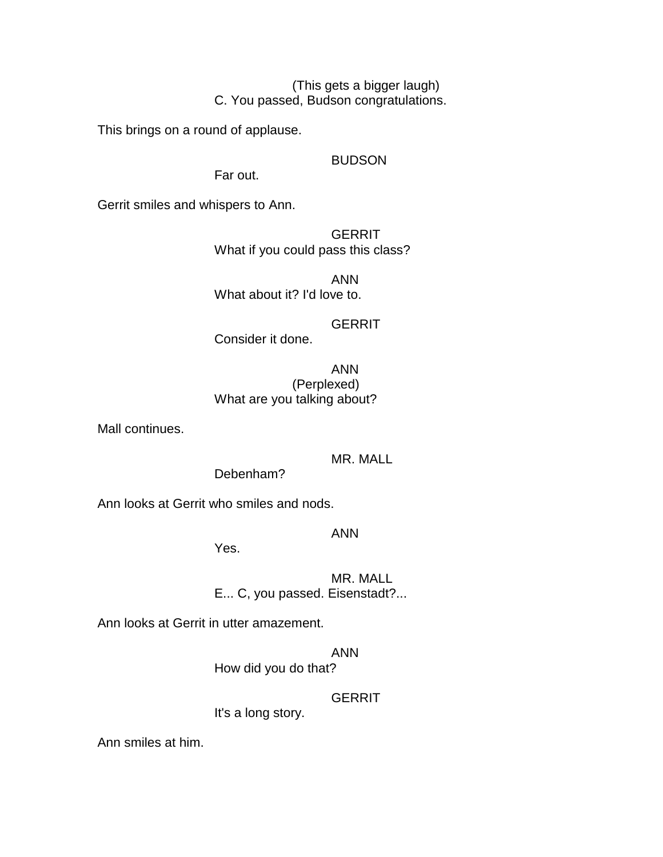(This gets a bigger laugh) C. You passed, Budson congratulations.

This brings on a round of applause.

#### BUDSON

Far out.

Gerrit smiles and whispers to Ann.

**GERRIT** What if you could pass this class?

ANN What about it? I'd love to.

### **GERRIT**

Consider it done.

ANN (Perplexed) What are you talking about?

Mall continues.

## MR. MALL

Debenham?

Ann looks at Gerrit who smiles and nods.

ANN

Yes.

MR. MALL E... C, you passed. Eisenstadt?...

Ann looks at Gerrit in utter amazement.

ANN

How did you do that?

### **GERRIT**

It's a long story.

Ann smiles at him.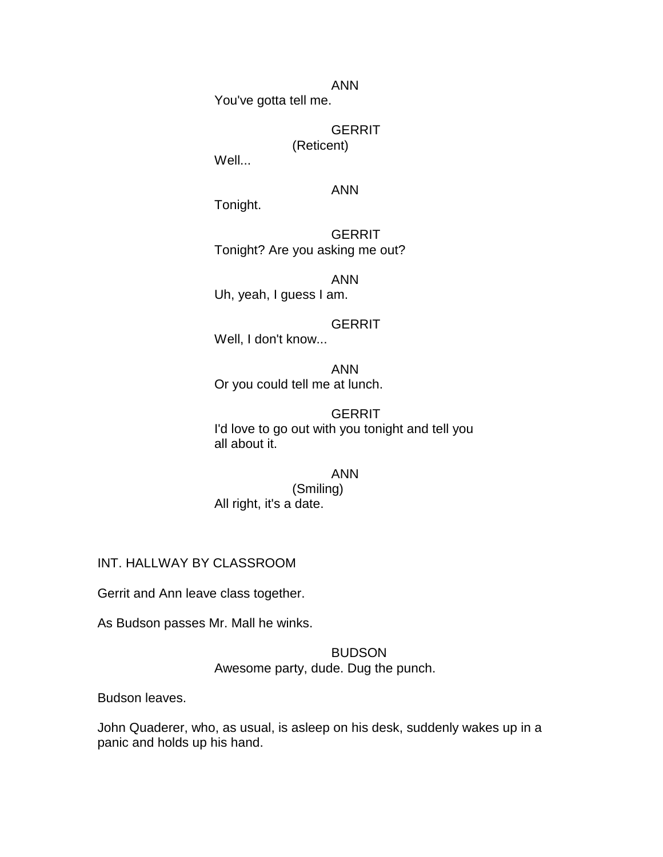ANN You've gotta tell me.

## **GERRIT**

### (Reticent)

Well...

### ANN

Tonight.

**GERRIT** Tonight? Are you asking me out?

ANN Uh, yeah, I guess I am.

### **GERRIT**

Well, I don't know...

ANN Or you could tell me at lunch.

## **GERRIT**

I'd love to go out with you tonight and tell you all about it.

ANN

(Smiling) All right, it's a date.

INT. HALLWAY BY CLASSROOM

Gerrit and Ann leave class together.

As Budson passes Mr. Mall he winks.

### BUDSON

Awesome party, dude. Dug the punch.

Budson leaves.

John Quaderer, who, as usual, is asleep on his desk, suddenly wakes up in a panic and holds up his hand.